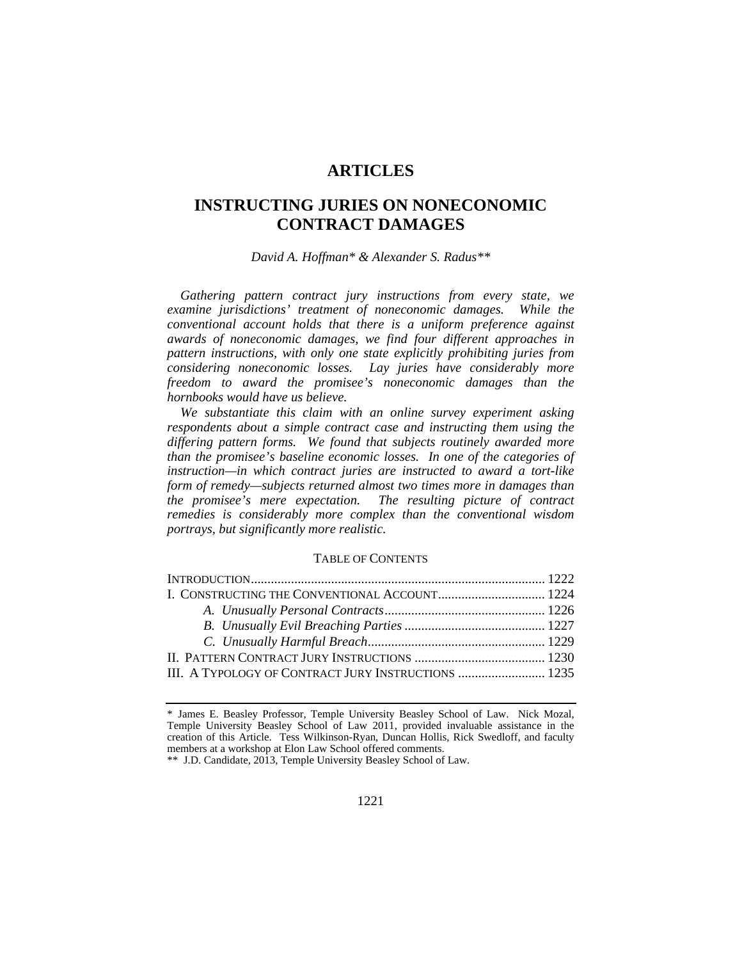# **ARTICLES**

# **INSTRUCTING JURIES ON NONECONOMIC CONTRACT DAMAGES**

*David A. Hoffman\* & Alexander S. Radus\*\** 

*Gathering pattern contract jury instructions from every state, we examine jurisdictions' treatment of noneconomic damages. While the conventional account holds that there is a uniform preference against awards of noneconomic damages, we find four different approaches in pattern instructions, with only one state explicitly prohibiting juries from considering noneconomic losses. Lay juries have considerably more freedom to award the promisee's noneconomic damages than the hornbooks would have us believe.* 

*We substantiate this claim with an online survey experiment asking respondents about a simple contract case and instructing them using the differing pattern forms. We found that subjects routinely awarded more than the promisee's baseline economic losses. In one of the categories of instruction—in which contract juries are instructed to award a tort-like form of remedy—subjects returned almost two times more in damages than the promisee's mere expectation. The resulting picture of contract remedies is considerably more complex than the conventional wisdom portrays, but significantly more realistic.* 

#### TABLE OF CONTENTS

| III. A TYPOLOGY OF CONTRACT JURY INSTRUCTIONS  1235 |  |
|-----------------------------------------------------|--|

\*\* J.D. Candidate, 2013, Temple University Beasley School of Law.

<sup>\*</sup> James E. Beasley Professor, Temple University Beasley School of Law. Nick Mozal, Temple University Beasley School of Law 2011, provided invaluable assistance in the creation of this Article. Tess Wilkinson-Ryan, Duncan Hollis, Rick Swedloff, and faculty members at a workshop at Elon Law School offered comments.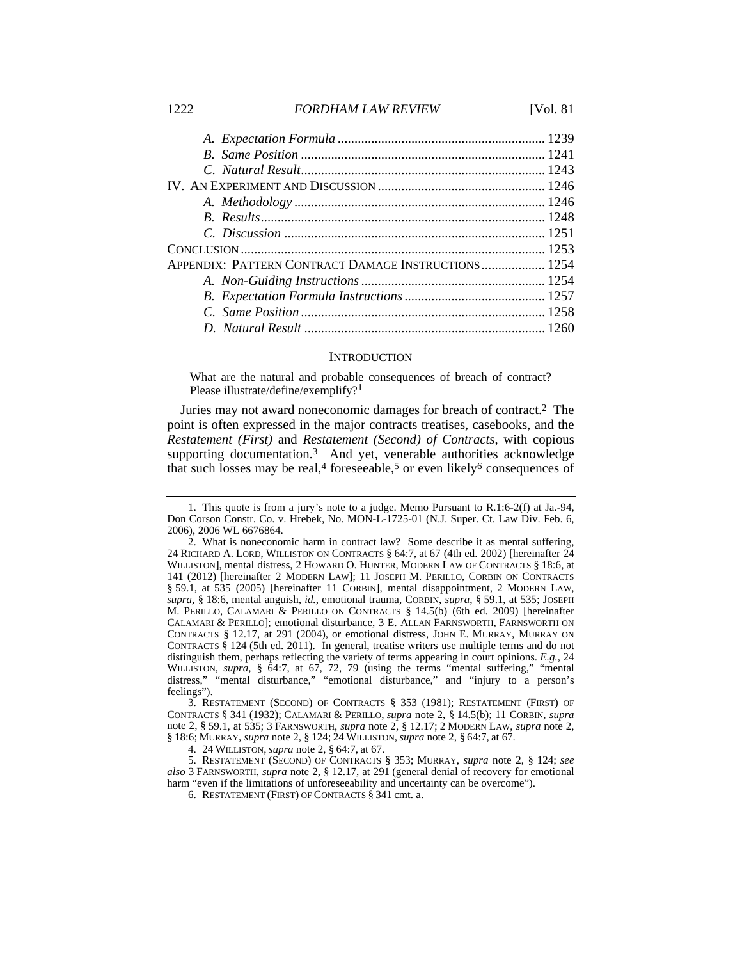#### 1222 *FORDHAM LAW REVIEW* [Vol. 81

| APPENDIX: PATTERN CONTRACT DAMAGE INSTRUCTIONS 1254 |  |
|-----------------------------------------------------|--|
|                                                     |  |
|                                                     |  |
|                                                     |  |
|                                                     |  |
|                                                     |  |

#### **INTRODUCTION**

What are the natural and probable consequences of breach of contract? Please illustrate/define/exemplify?<sup>1</sup>

Juries may not award noneconomic damages for breach of contract.2 The point is often expressed in the major contracts treatises, casebooks, and the *Restatement (First)* and *Restatement (Second) of Contracts*, with copious supporting documentation.<sup>3</sup> And yet, venerable authorities acknowledge that such losses may be real,<sup>4</sup> foreseeable,<sup>5</sup> or even likely<sup>6</sup> consequences of

 3. RESTATEMENT (SECOND) OF CONTRACTS § 353 (1981); RESTATEMENT (FIRST) OF CONTRACTS § 341 (1932); CALAMARI & PERILLO, *supra* note 2, § 14.5(b); 11 CORBIN, *supra* note 2, § 59.1, at 535; 3 FARNSWORTH, *supra* note 2, § 12.17; 2 MODERN LAW, *supra* note 2, § 18:6; MURRAY, *supra* note 2, § 124; 24 WILLISTON, *supra* note 2, § 64:7, at 67.

 <sup>1.</sup> This quote is from a jury's note to a judge. Memo Pursuant to R.1:6-2(f) at Ja.-94, Don Corson Constr. Co. v. Hrebek, No. MON-L-1725-01 (N.J. Super. Ct. Law Div. Feb. 6, 2006), 2006 WL 6676864.

 <sup>2.</sup> What is noneconomic harm in contract law? Some describe it as mental suffering, 24 RICHARD A. LORD, WILLISTON ON CONTRACTS § 64:7, at 67 (4th ed. 2002) [hereinafter 24 WILLISTON], mental distress, 2 HOWARD O. HUNTER, MODERN LAW OF CONTRACTS § 18:6, at 141 (2012) [hereinafter 2 MODERN LAW]; 11 JOSEPH M. PERILLO, CORBIN ON CONTRACTS § 59.1, at 535 (2005) [hereinafter 11 CORBIN], mental disappointment, 2 MODERN LAW, *supra*, § 18:6, mental anguish, *id.*, emotional trauma, CORBIN, *supra*, § 59.1, at 535; JOSEPH M. PERILLO, CALAMARI & PERILLO ON CONTRACTS § 14.5(b) (6th ed. 2009) [hereinafter CALAMARI & PERILLO]; emotional disturbance, 3 E. ALLAN FARNSWORTH, FARNSWORTH ON CONTRACTS § 12.17, at 291 (2004), or emotional distress, JOHN E. MURRAY, MURRAY ON CONTRACTS § 124 (5th ed. 2011). In general, treatise writers use multiple terms and do not distinguish them, perhaps reflecting the variety of terms appearing in court opinions. *E.g.*, 24 WILLISTON, *supra*, § 64:7, at 67, 72, 79 (using the terms "mental suffering," "mental distress," "mental disturbance," "emotional disturbance," and "injury to a person's feelings").

 <sup>4. 24</sup> WILLISTON, *supra* note 2, § 64:7, at 67.

 <sup>5.</sup> RESTATEMENT (SECOND) OF CONTRACTS § 353; MURRAY, *supra* note 2, § 124; *see also* 3 FARNSWORTH, *supra* note 2, § 12.17, at 291 (general denial of recovery for emotional harm "even if the limitations of unforeseeability and uncertainty can be overcome").

 <sup>6.</sup> RESTATEMENT (FIRST) OF CONTRACTS § 341 cmt. a.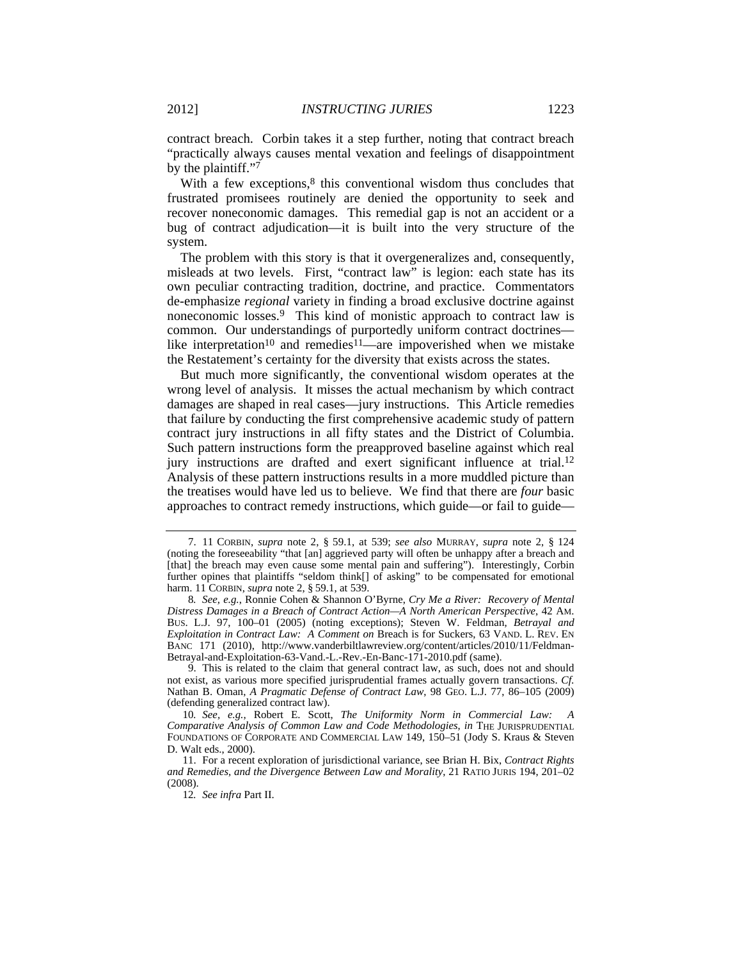contract breach. Corbin takes it a step further, noting that contract breach "practically always causes mental vexation and feelings of disappointment by the plaintiff."7

With a few exceptions, $8$  this conventional wisdom thus concludes that frustrated promisees routinely are denied the opportunity to seek and recover noneconomic damages. This remedial gap is not an accident or a bug of contract adjudication—it is built into the very structure of the system.

The problem with this story is that it overgeneralizes and, consequently, misleads at two levels. First, "contract law" is legion: each state has its own peculiar contracting tradition, doctrine, and practice. Commentators de-emphasize *regional* variety in finding a broad exclusive doctrine against noneconomic losses.9 This kind of monistic approach to contract law is common. Our understandings of purportedly uniform contract doctrines like interpretation<sup>10</sup> and remedies<sup>11</sup>—are impoverished when we mistake the Restatement's certainty for the diversity that exists across the states.

But much more significantly, the conventional wisdom operates at the wrong level of analysis. It misses the actual mechanism by which contract damages are shaped in real cases—jury instructions. This Article remedies that failure by conducting the first comprehensive academic study of pattern contract jury instructions in all fifty states and the District of Columbia. Such pattern instructions form the preapproved baseline against which real jury instructions are drafted and exert significant influence at trial.12 Analysis of these pattern instructions results in a more muddled picture than the treatises would have led us to believe. We find that there are *four* basic approaches to contract remedy instructions, which guide—or fail to guide—

 <sup>7. 11</sup> CORBIN, *supra* note 2, § 59.1, at 539; *see also* MURRAY, *supra* note 2, § 124 (noting the foreseeability "that [an] aggrieved party will often be unhappy after a breach and [that] the breach may even cause some mental pain and suffering"). Interestingly, Corbin further opines that plaintiffs "seldom think[] of asking" to be compensated for emotional harm. 11 CORBIN, *supra* note 2, § 59.1, at 539.

<sup>8</sup>*. See, e.g.*, Ronnie Cohen & Shannon O'Byrne, *Cry Me a River: Recovery of Mental Distress Damages in a Breach of Contract Action—A North American Perspective*, 42 AM. BUS. L.J. 97, 100–01 (2005) (noting exceptions); Steven W. Feldman, *Betrayal and Exploitation in Contract Law: A Comment on* Breach is for Suckers, 63 VAND. L. REV. EN BANC 171 (2010), http://www.vanderbiltlawreview.org/content/articles/2010/11/Feldman-Betrayal-and-Exploitation-63-Vand.-L.-Rev.-En-Banc-171-2010.pdf (same).

 <sup>9.</sup> This is related to the claim that general contract law, as such, does not and should not exist, as various more specified jurisprudential frames actually govern transactions. *Cf.* Nathan B. Oman, *A Pragmatic Defense of Contract Law*, 98 GEO. L.J. 77, 86–105 (2009) (defending generalized contract law).

<sup>10</sup>*. See, e.g.*, Robert E. Scott, *The Uniformity Norm in Commercial Law: A Comparative Analysis of Common Law and Code Methodologies*, *in* THE JURISPRUDENTIAL FOUNDATIONS OF CORPORATE AND COMMERCIAL LAW 149, 150–51 (Jody S. Kraus & Steven D. Walt eds., 2000).

 <sup>11.</sup> For a recent exploration of jurisdictional variance, see Brian H. Bix, *Contract Rights and Remedies, and the Divergence Between Law and Morality*, 21 RATIO JURIS 194, 201–02 (2008).

<sup>12</sup>*. See infra* Part II.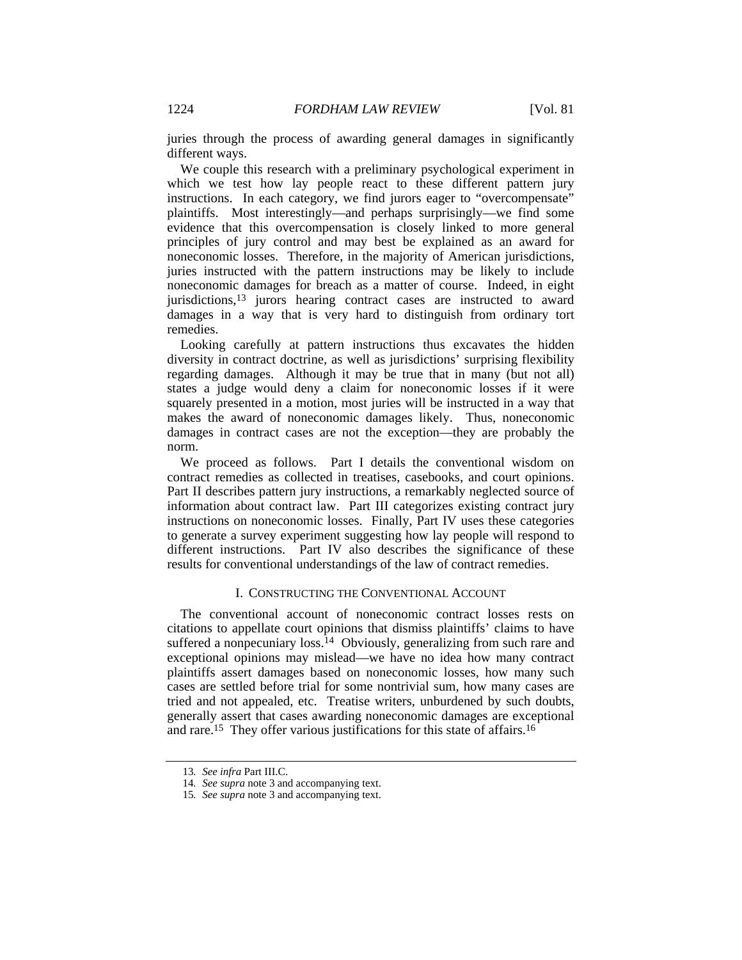juries through the process of awarding general damages in significantly different ways.

We couple this research with a preliminary psychological experiment in which we test how lay people react to these different pattern jury instructions. In each category, we find jurors eager to "overcompensate" plaintiffs. Most interestingly—and perhaps surprisingly—we find some evidence that this overcompensation is closely linked to more general principles of jury control and may best be explained as an award for noneconomic losses. Therefore, in the majority of American jurisdictions, juries instructed with the pattern instructions may be likely to include noneconomic damages for breach as a matter of course. Indeed, in eight jurisdictions,13 jurors hearing contract cases are instructed to award damages in a way that is very hard to distinguish from ordinary tort remedies.

Looking carefully at pattern instructions thus excavates the hidden diversity in contract doctrine, as well as jurisdictions' surprising flexibility regarding damages. Although it may be true that in many (but not all) states a judge would deny a claim for noneconomic losses if it were squarely presented in a motion, most juries will be instructed in a way that makes the award of noneconomic damages likely. Thus, noneconomic damages in contract cases are not the exception—they are probably the norm.

We proceed as follows. Part I details the conventional wisdom on contract remedies as collected in treatises, casebooks, and court opinions. Part II describes pattern jury instructions, a remarkably neglected source of information about contract law. Part III categorizes existing contract jury instructions on noneconomic losses. Finally, Part IV uses these categories to generate a survey experiment suggesting how lay people will respond to different instructions. Part IV also describes the significance of these results for conventional understandings of the law of contract remedies.

### I. CONSTRUCTING THE CONVENTIONAL ACCOUNT

The conventional account of noneconomic contract losses rests on citations to appellate court opinions that dismiss plaintiffs' claims to have suffered a nonpecuniary loss.<sup>14</sup> Obviously, generalizing from such rare and exceptional opinions may mislead—we have no idea how many contract plaintiffs assert damages based on noneconomic losses, how many such cases are settled before trial for some nontrivial sum, how many cases are tried and not appealed, etc. Treatise writers, unburdened by such doubts, generally assert that cases awarding noneconomic damages are exceptional and rare.15 They offer various justifications for this state of affairs.16

<sup>13</sup>*. See infra* Part III.C.

<sup>14</sup>*. See supra* note 3 and accompanying text.

<sup>15</sup>*. See supra* note 3 and accompanying text.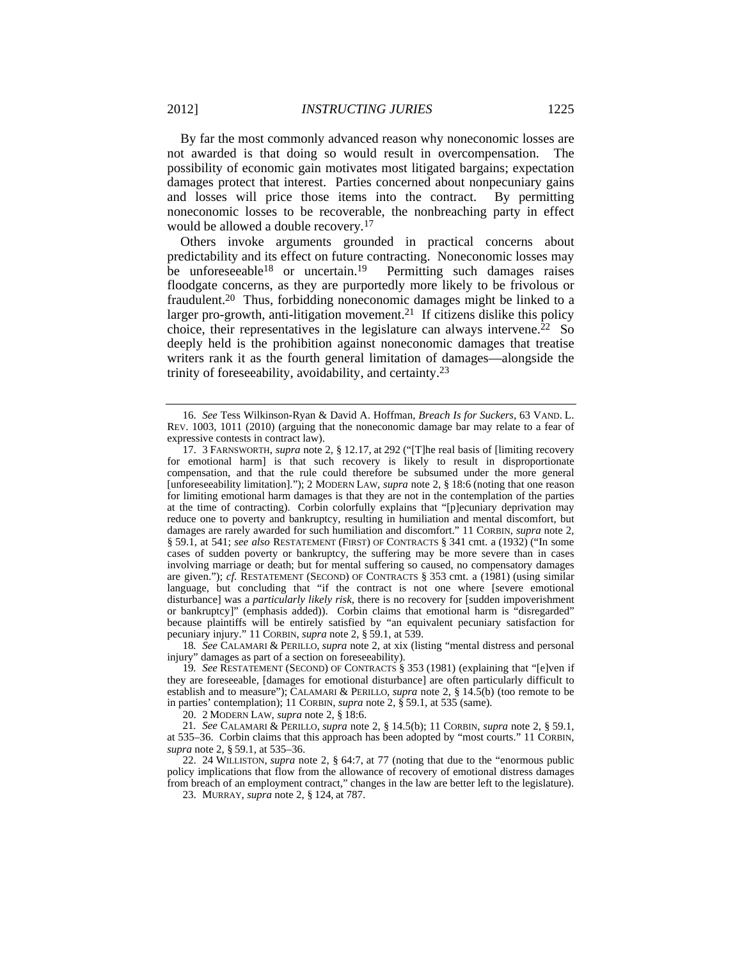By far the most commonly advanced reason why noneconomic losses are not awarded is that doing so would result in overcompensation. The possibility of economic gain motivates most litigated bargains; expectation damages protect that interest. Parties concerned about nonpecuniary gains and losses will price those items into the contract. By permitting noneconomic losses to be recoverable, the nonbreaching party in effect would be allowed a double recovery*.* 17

Others invoke arguments grounded in practical concerns about predictability and its effect on future contracting. Noneconomic losses may be unforeseeable<sup>18</sup> or uncertain.<sup>19</sup> Permitting such damages raises floodgate concerns, as they are purportedly more likely to be frivolous or fraudulent.20 Thus, forbidding noneconomic damages might be linked to a larger pro-growth, anti-litigation movement.<sup>21</sup> If citizens dislike this policy choice, their representatives in the legislature can always intervene. $22$  So deeply held is the prohibition against noneconomic damages that treatise writers rank it as the fourth general limitation of damages—alongside the trinity of foreseeability, avoidability, and certainty.23

18*. See* CALAMARI & PERILLO, *supra* note 2, at xix (listing "mental distress and personal injury" damages as part of a section on foreseeability).

 <sup>16.</sup> *See* Tess Wilkinson-Ryan & David A. Hoffman, *Breach Is for Suckers*, 63 VAND. L. REV. 1003, 1011 (2010) (arguing that the noneconomic damage bar may relate to a fear of expressive contests in contract law).

 <sup>17. 3</sup> FARNSWORTH, *supra* note 2, § 12.17, at 292 ("[T]he real basis of [limiting recovery for emotional harm] is that such recovery is likely to result in disproportionate compensation, and that the rule could therefore be subsumed under the more general [unforeseeability limitation]."); 2 MODERN LAW, *supra* note 2, § 18:6 (noting that one reason for limiting emotional harm damages is that they are not in the contemplation of the parties at the time of contracting). Corbin colorfully explains that "[p]ecuniary deprivation may reduce one to poverty and bankruptcy, resulting in humiliation and mental discomfort, but damages are rarely awarded for such humiliation and discomfort." 11 CORBIN, *supra* note 2, § 59.1, at 541; *see also* RESTATEMENT (FIRST) OF CONTRACTS § 341 cmt. a (1932) ("In some cases of sudden poverty or bankruptcy, the suffering may be more severe than in cases involving marriage or death; but for mental suffering so caused, no compensatory damages are given."); *cf.* RESTATEMENT (SECOND) OF CONTRACTS § 353 cmt. a (1981) (using similar language, but concluding that "if the contract is not one where [severe emotional disturbance] was a *particularly likely risk*, there is no recovery for [sudden impoverishment or bankruptcy]" (emphasis added)). Corbin claims that emotional harm is "disregarded" because plaintiffs will be entirely satisfied by "an equivalent pecuniary satisfaction for pecuniary injury." 11 CORBIN, *supra* note 2, § 59.1, at 539.

<sup>19</sup>*. See* RESTATEMENT (SECOND) OF CONTRACTS § 353 (1981) (explaining that "[e]ven if they are foreseeable, [damages for emotional disturbance] are often particularly difficult to establish and to measure"); CALAMARI & PERILLO, *supra* note 2, § 14.5(b) (too remote to be in parties' contemplation); 11 CORBIN, *supra* note 2, § 59.1, at 535 (same).

 <sup>20. 2</sup> MODERN LAW, *supra* note 2, § 18:6.

<sup>21</sup>*. See* CALAMARI & PERILLO, *supra* note 2, § 14.5(b); 11 CORBIN, *supra* note 2, § 59.1, at 535–36. Corbin claims that this approach has been adopted by "most courts." 11 CORBIN, *supra* note 2, § 59.1, at 535–36.

 <sup>22. 24</sup> WILLISTON, *supra* note 2, § 64:7, at 77 (noting that due to the "enormous public policy implications that flow from the allowance of recovery of emotional distress damages from breach of an employment contract," changes in the law are better left to the legislature).

 <sup>23.</sup> MURRAY, *supra* note 2, § 124, at 787.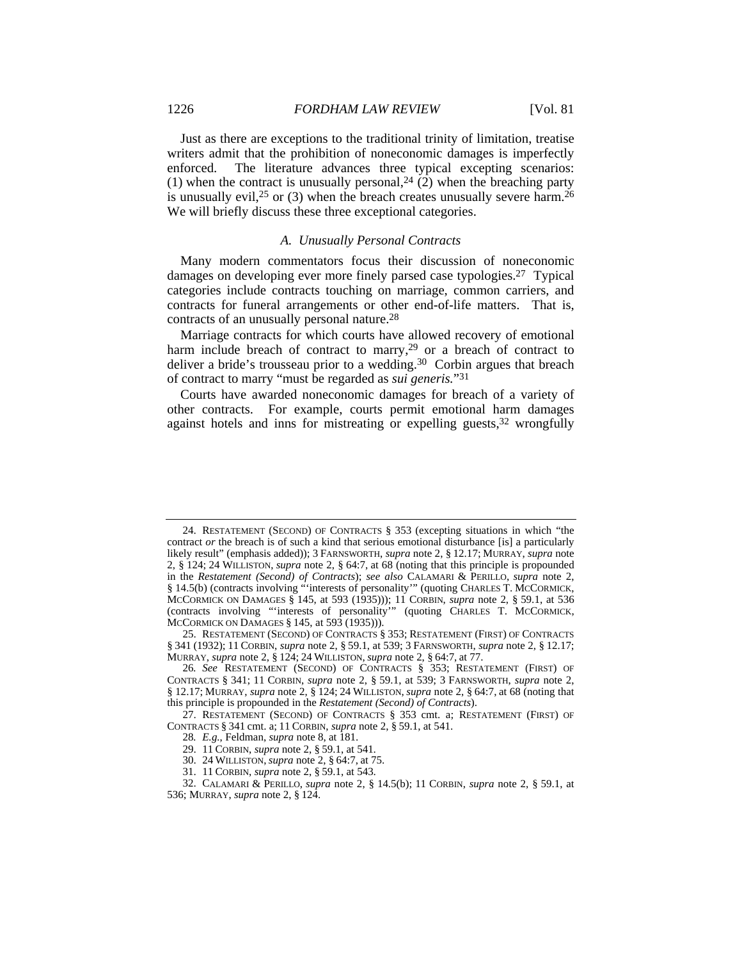Just as there are exceptions to the traditional trinity of limitation, treatise writers admit that the prohibition of noneconomic damages is imperfectly enforced. The literature advances three typical excepting scenarios: (1) when the contract is unusually personal,  $24$  (2) when the breaching party is unusually evil,  $2^5$  or (3) when the breach creates unusually severe harm.  $2^6$ We will briefly discuss these three exceptional categories.

### *A. Unusually Personal Contracts*

Many modern commentators focus their discussion of noneconomic damages on developing ever more finely parsed case typologies.27 Typical categories include contracts touching on marriage, common carriers, and contracts for funeral arrangements or other end-of-life matters. That is, contracts of an unusually personal nature.28

Marriage contracts for which courts have allowed recovery of emotional harm include breach of contract to marry,<sup>29</sup> or a breach of contract to deliver a bride's trousseau prior to a wedding.<sup>30</sup> Corbin argues that breach of contract to marry "must be regarded as *sui generis.*"31

Courts have awarded noneconomic damages for breach of a variety of other contracts. For example, courts permit emotional harm damages against hotels and inns for mistreating or expelling guests,<sup>32</sup> wrongfully

 <sup>24.</sup> RESTATEMENT (SECOND) OF CONTRACTS § 353 (excepting situations in which "the contract *or* the breach is of such a kind that serious emotional disturbance [is] a particularly likely result" (emphasis added)); 3 FARNSWORTH, *supra* note 2, § 12.17; MURRAY, *supra* note 2, § 124; 24 WILLISTON, *supra* note 2, § 64:7, at 68 (noting that this principle is propounded in the *Restatement (Second) of Contracts*); *see also* CALAMARI & PERILLO, *supra* note 2, § 14.5(b) (contracts involving "'interests of personality'" (quoting CHARLES T. MCCORMICK, MCCORMICK ON DAMAGES § 145, at 593 (1935))); 11 CORBIN, *supra* note 2, § 59.1, at 536 (contracts involving "'interests of personality'" (quoting CHARLES T. MCCORMICK, MCCORMICK ON DAMAGES § 145, at 593 (1935))).

 <sup>25.</sup> RESTATEMENT (SECOND) OF CONTRACTS § 353; RESTATEMENT (FIRST) OF CONTRACTS § 341 (1932); 11 CORBIN, *supra* note 2, § 59.1, at 539; 3 FARNSWORTH, *supra* note 2, § 12.17; MURRAY, *supra* note 2, § 124; 24 WILLISTON, *supra* note 2, § 64:7, at 77.

<sup>26</sup>*. See* RESTATEMENT (SECOND) OF CONTRACTS § 353; RESTATEMENT (FIRST) OF CONTRACTS § 341; 11 CORBIN, *supra* note 2, § 59.1, at 539; 3 FARNSWORTH, *supra* note 2, § 12.17; MURRAY, *supra* note 2, § 124; 24 WILLISTON, *supra* note 2, § 64:7, at 68 (noting that this principle is propounded in the *Restatement (Second) of Contracts*).

 <sup>27.</sup> RESTATEMENT (SECOND) OF CONTRACTS § 353 cmt. a; RESTATEMENT (FIRST) OF CONTRACTS § 341 cmt. a; 11 CORBIN, *supra* note 2, § 59.1, at 541.

<sup>28</sup>*. E.g.*, Feldman, *supra* note 8, at 181.

 <sup>29. 11</sup> CORBIN, *supra* note 2, § 59.1, at 541.

 <sup>30. 24</sup> WILLISTON, *supra* note 2, § 64:7, at 75.

 <sup>31. 11</sup> CORBIN, *supra* note 2, § 59.1, at 543.

 <sup>32.</sup> CALAMARI & PERILLO, *supra* note 2, § 14.5(b); 11 CORBIN, *supra* note 2, § 59.1, at 536; MURRAY, *supra* note 2, § 124.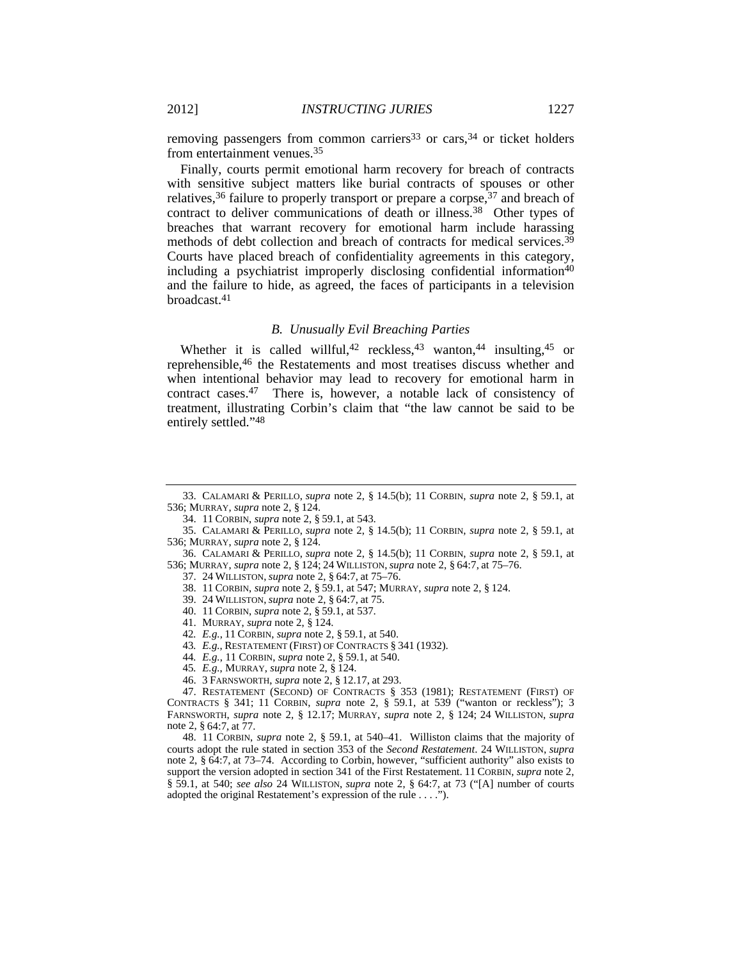removing passengers from common carriers<sup>33</sup> or cars,  $34$  or ticket holders from entertainment venues.35

Finally, courts permit emotional harm recovery for breach of contracts with sensitive subject matters like burial contracts of spouses or other relatives,<sup>36</sup> failure to properly transport or prepare a corpse,<sup>37</sup> and breach of contract to deliver communications of death or illness.<sup>38</sup> Other types of breaches that warrant recovery for emotional harm include harassing methods of debt collection and breach of contracts for medical services.<sup>39</sup> Courts have placed breach of confidentiality agreements in this category, including a psychiatrist improperly disclosing confidential information40 and the failure to hide, as agreed, the faces of participants in a television broadcast.41

#### *B. Unusually Evil Breaching Parties*

Whether it is called willful,<sup>42</sup> reckless,<sup>43</sup> wanton,<sup>44</sup> insulting,<sup>45</sup> or reprehensible,46 the Restatements and most treatises discuss whether and when intentional behavior may lead to recovery for emotional harm in contract cases.47 There is, however, a notable lack of consistency of treatment, illustrating Corbin's claim that "the law cannot be said to be entirely settled."48

 36. CALAMARI & PERILLO, *supra* note 2, § 14.5(b); 11 CORBIN, *supra* note 2, § 59.1, at 536; MURRAY, *supra* note 2, § 124; 24 WILLISTON, *supra* note 2, § 64:7, at 75–76.

- 37. 24 WILLISTON, *supra* note 2, § 64:7, at 75–76.
- 38. 11 CORBIN, *supra* note 2, § 59.1, at 547; MURRAY, *supra* note 2, § 124.
- 39. 24 WILLISTON, *supra* note 2, § 64:7, at 75.
- 40. 11 CORBIN, *supra* note 2, § 59.1, at 537.
- 41. MURRAY, *supra* note 2, § 124.
- 42*. E.g.*, 11 CORBIN, *supra* note 2, § 59.1, at 540.
- 43*. E.g.*, RESTATEMENT (FIRST) OF CONTRACTS § 341 (1932).
- 44*. E.g.*, 11 CORBIN, *supra* note 2, § 59.1, at 540.
- 45*. E.g.*, MURRAY, *supra* note 2, § 124.
- 46. 3 FARNSWORTH, *supra* note 2, § 12.17, at 293.

 48. 11 CORBIN, *supra* note 2, § 59.1, at 540–41. Williston claims that the majority of courts adopt the rule stated in section 353 of the *Second Restatement*. 24 WILLISTON, *supra* note 2, § 64:7, at 73–74. According to Corbin, however, "sufficient authority" also exists to support the version adopted in section 341 of the First Restatement. 11 CORBIN, *supra* note 2, § 59.1, at 540; *see also* 24 WILLISTON, *supra* note 2, § 64:7, at 73 ("[A] number of courts adopted the original Restatement's expression of the rule . . . .").

 <sup>33.</sup> CALAMARI & PERILLO, *supra* note 2, § 14.5(b); 11 CORBIN, *supra* note 2, § 59.1, at 536; MURRAY, *supra* note 2, § 124.

 <sup>34. 11</sup> CORBIN, *supra* note 2, § 59.1, at 543.

 <sup>35.</sup> CALAMARI & PERILLO, *supra* note 2, § 14.5(b); 11 CORBIN, *supra* note 2, § 59.1, at 536; MURRAY, *supra* note 2, § 124.

 <sup>47.</sup> RESTATEMENT (SECOND) OF CONTRACTS § 353 (1981); RESTATEMENT (FIRST) OF CONTRACTS § 341; 11 CORBIN, *supra* note 2, § 59.1, at 539 ("wanton or reckless"); 3 FARNSWORTH, *supra* note 2, § 12.17; MURRAY, *supra* note 2, § 124; 24 WILLISTON, *supra* note 2, § 64:7, at 77.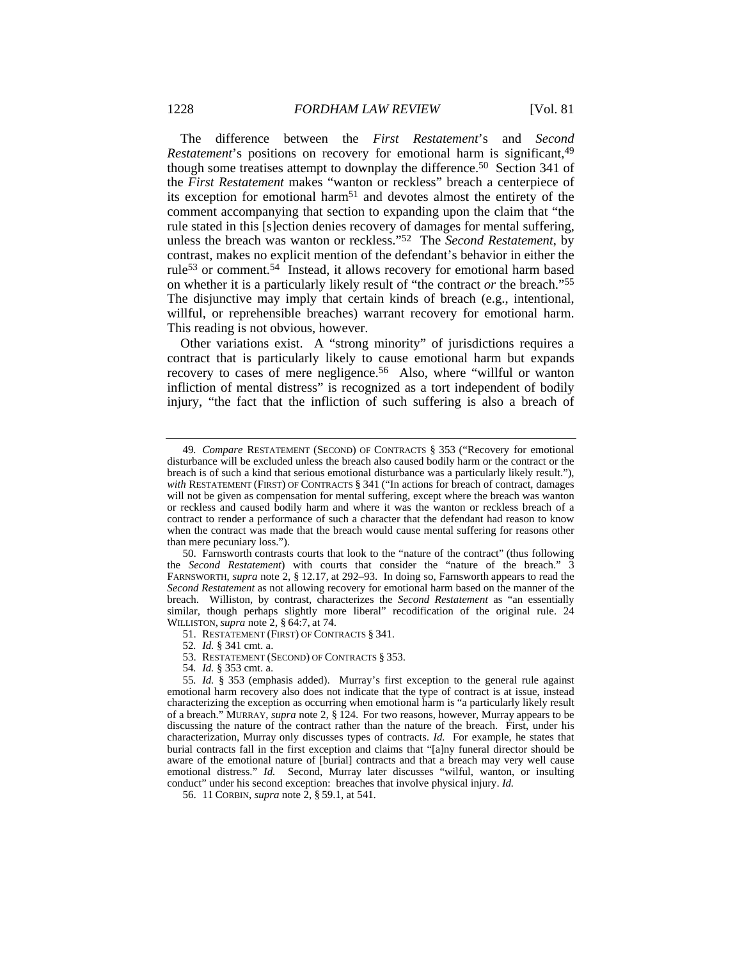The difference between the *First Restatement*'s and *Second Restatement*'s positions on recovery for emotional harm is significant,<sup>49</sup> though some treatises attempt to downplay the difference.<sup>50</sup> Section 341 of the *First Restatement* makes "wanton or reckless" breach a centerpiece of its exception for emotional harm51 and devotes almost the entirety of the comment accompanying that section to expanding upon the claim that "the rule stated in this [s]ection denies recovery of damages for mental suffering, unless the breach was wanton or reckless."52 The *Second Restatement*, by contrast, makes no explicit mention of the defendant's behavior in either the rule53 or comment.54 Instead, it allows recovery for emotional harm based on whether it is a particularly likely result of "the contract *or* the breach."55 The disjunctive may imply that certain kinds of breach (e.g., intentional, willful, or reprehensible breaches) warrant recovery for emotional harm. This reading is not obvious, however.

Other variations exist. A "strong minority" of jurisdictions requires a contract that is particularly likely to cause emotional harm but expands recovery to cases of mere negligence.<sup>56</sup> Also, where "willful or wanton infliction of mental distress" is recognized as a tort independent of bodily injury, "the fact that the infliction of such suffering is also a breach of

51. RESTATEMENT (FIRST) OF CONTRACTS § 341.

52*. Id.* § 341 cmt. a.

53. RESTATEMENT (SECOND) OF CONTRACTS § 353.

54*. Id.* § 353 cmt. a.

<sup>49</sup>*. Compare* RESTATEMENT (SECOND) OF CONTRACTS § 353 ("Recovery for emotional disturbance will be excluded unless the breach also caused bodily harm or the contract or the breach is of such a kind that serious emotional disturbance was a particularly likely result."), with RESTATEMENT (FIRST) OF CONTRACTS § 341 ("In actions for breach of contract, damages will not be given as compensation for mental suffering, except where the breach was wanton or reckless and caused bodily harm and where it was the wanton or reckless breach of a contract to render a performance of such a character that the defendant had reason to know when the contract was made that the breach would cause mental suffering for reasons other than mere pecuniary loss.").

 <sup>50.</sup> Farnsworth contrasts courts that look to the "nature of the contract" (thus following the *Second Restatement*) with courts that consider the "nature of the breach." 3 FARNSWORTH, *supra* note 2, § 12.17, at 292–93. In doing so, Farnsworth appears to read the *Second Restatement* as not allowing recovery for emotional harm based on the manner of the breach. Williston, by contrast, characterizes the *Second Restatement* as "an essentially similar, though perhaps slightly more liberal" recodification of the original rule. 24 WILLISTON, *supra* note 2, § 64:7, at 74.

<sup>55</sup>*. Id.* § 353 (emphasis added). Murray's first exception to the general rule against emotional harm recovery also does not indicate that the type of contract is at issue, instead characterizing the exception as occurring when emotional harm is "a particularly likely result of a breach." MURRAY, *supra* note 2, § 124. For two reasons, however, Murray appears to be discussing the nature of the contract rather than the nature of the breach. First, under his characterization, Murray only discusses types of contracts. *Id.* For example, he states that burial contracts fall in the first exception and claims that "[a]ny funeral director should be aware of the emotional nature of [burial] contracts and that a breach may very well cause emotional distress." *Id.* Second, Murray later discusses "wilful, wanton, or insulting conduct" under his second exception: breaches that involve physical injury. *Id.*

 <sup>56. 11</sup> CORBIN, *supra* note 2, § 59.1, at 541.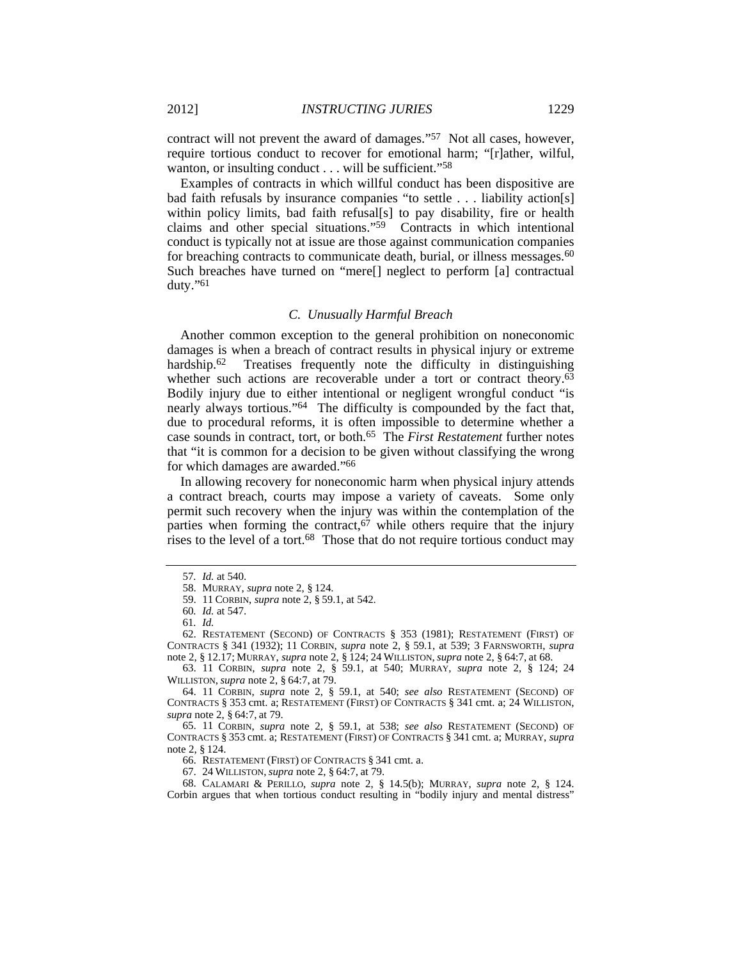contract will not prevent the award of damages."57 Not all cases, however, require tortious conduct to recover for emotional harm; "[r]ather, wilful, wanton, or insulting conduct . . . will be sufficient."<sup>58</sup>

Examples of contracts in which willful conduct has been dispositive are bad faith refusals by insurance companies "to settle . . . liability action[s] within policy limits, bad faith refusal[s] to pay disability, fire or health claims and other special situations."59 Contracts in which intentional conduct is typically not at issue are those against communication companies for breaching contracts to communicate death, burial, or illness messages.<sup>60</sup> Such breaches have turned on "mere[] neglect to perform [a] contractual duty."61

#### *C. Unusually Harmful Breach*

Another common exception to the general prohibition on noneconomic damages is when a breach of contract results in physical injury or extreme hardship.<sup>62</sup> Treatises frequently note the difficulty in distinguishing whether such actions are recoverable under a tort or contract theory.<sup>63</sup> Bodily injury due to either intentional or negligent wrongful conduct "is nearly always tortious."64 The difficulty is compounded by the fact that, due to procedural reforms, it is often impossible to determine whether a case sounds in contract, tort, or both.65 The *First Restatement* further notes that "it is common for a decision to be given without classifying the wrong for which damages are awarded."66

In allowing recovery for noneconomic harm when physical injury attends a contract breach, courts may impose a variety of caveats. Some only permit such recovery when the injury was within the contemplation of the parties when forming the contract,  $67$  while others require that the injury rises to the level of a tort. $68$  Those that do not require tortious conduct may

 63. 11 CORBIN, *supra* note 2, § 59.1, at 540; MURRAY, *supra* note 2, § 124; 24 WILLISTON, *supra* note 2, § 64:7, at 79.

 64. 11 CORBIN, *supra* note 2, § 59.1, at 540; *see also* RESTATEMENT (SECOND) OF CONTRACTS § 353 cmt. a; RESTATEMENT (FIRST) OF CONTRACTS § 341 cmt. a; 24 WILLISTON, *supra* note 2, § 64:7, at 79.

 65. 11 CORBIN, *supra* note 2, § 59.1, at 538; *see also* RESTATEMENT (SECOND) OF CONTRACTS § 353 cmt. a; RESTATEMENT (FIRST) OF CONTRACTS § 341 cmt. a; MURRAY, *supra*  note 2, § 124.

66. RESTATEMENT (FIRST) OF CONTRACTS § 341 cmt. a.

67. 24 WILLISTON, *supra* note 2, § 64:7, at 79.

 68. CALAMARI & PERILLO, *supra* note 2, § 14.5(b); MURRAY, *supra* note 2, § 124. Corbin argues that when tortious conduct resulting in "bodily injury and mental distress"

<sup>57</sup>*. Id.* at 540.

 <sup>58.</sup> MURRAY, *supra* note 2, § 124.

 <sup>59. 11</sup> CORBIN, *supra* note 2, § 59.1, at 542.

<sup>60</sup>*. Id.* at 547.

<sup>61</sup>*. Id.*

 <sup>62.</sup> RESTATEMENT (SECOND) OF CONTRACTS § 353 (1981); RESTATEMENT (FIRST) OF CONTRACTS § 341 (1932); 11 CORBIN, *supra* note 2, § 59.1, at 539; 3 FARNSWORTH, *supra* note 2, § 12.17; MURRAY, *supra* note 2, § 124; 24 WILLISTON, *supra* note 2, § 64:7, at 68.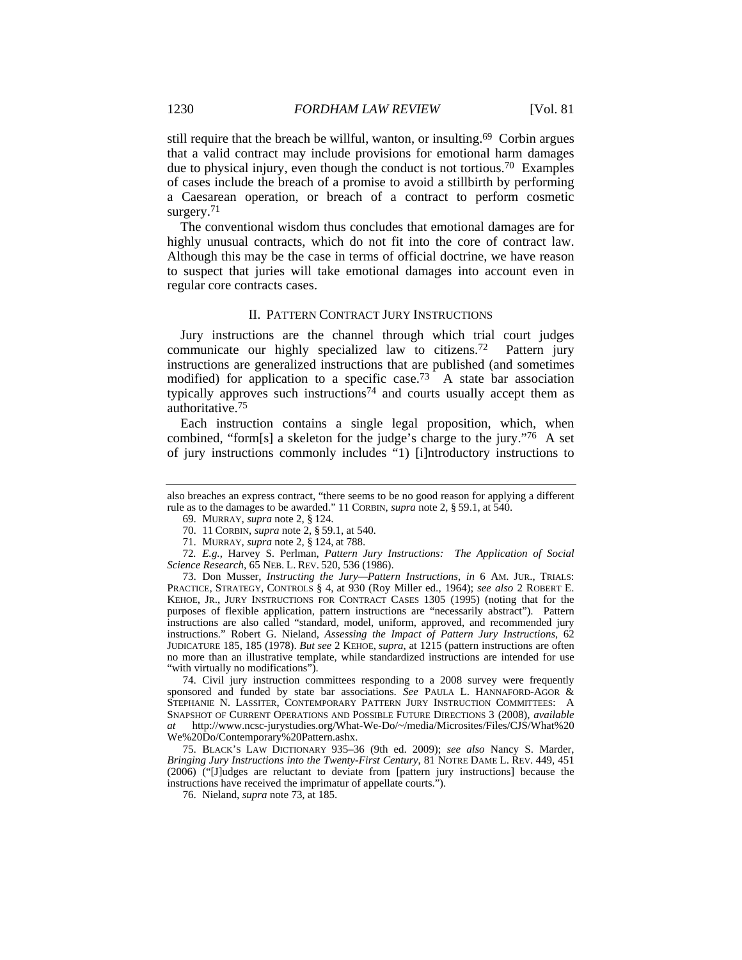still require that the breach be willful, wanton, or insulting.69 Corbin argues that a valid contract may include provisions for emotional harm damages due to physical injury, even though the conduct is not tortious.70 Examples of cases include the breach of a promise to avoid a stillbirth by performing a Caesarean operation, or breach of a contract to perform cosmetic surgery.<sup>71</sup>

The conventional wisdom thus concludes that emotional damages are for highly unusual contracts, which do not fit into the core of contract law. Although this may be the case in terms of official doctrine, we have reason to suspect that juries will take emotional damages into account even in regular core contracts cases.

#### II. PATTERN CONTRACT JURY INSTRUCTIONS

Jury instructions are the channel through which trial court judges communicate our highly specialized law to citizens.72 Pattern jury instructions are generalized instructions that are published (and sometimes modified) for application to a specific case.73 A state bar association typically approves such instructions<sup>74</sup> and courts usually accept them as authoritative.75

Each instruction contains a single legal proposition, which, when combined, "form[s] a skeleton for the judge's charge to the jury."76 A set of jury instructions commonly includes "1) [i]ntroductory instructions to

 73. Don Musser, *Instructing the Jury—Pattern Instructions*, *in* 6 AM. JUR., TRIALS: PRACTICE, STRATEGY, CONTROLS § 4, at 930 (Roy Miller ed., 1964); *see also* 2 ROBERT E. KEHOE, JR., JURY INSTRUCTIONS FOR CONTRACT CASES 1305 (1995) (noting that for the purposes of flexible application, pattern instructions are "necessarily abstract"). Pattern instructions are also called "standard, model, uniform, approved, and recommended jury instructions." Robert G. Nieland, *Assessing the Impact of Pattern Jury Instructions*, 62 JUDICATURE 185, 185 (1978). *But see* 2 KEHOE, *supra*, at 1215 (pattern instructions are often no more than an illustrative template, while standardized instructions are intended for use "with virtually no modifications").

 74. Civil jury instruction committees responding to a 2008 survey were frequently sponsored and funded by state bar associations. *See* PAULA L. HANNAFORD-AGOR & STEPHANIE N. LASSITER, CONTEMPORARY PATTERN JURY INSTRUCTION COMMITTEES: A SNAPSHOT OF CURRENT OPERATIONS AND POSSIBLE FUTURE DIRECTIONS 3 (2008), *available at* http://www.ncsc-jurystudies.org/What-We-Do/~/media/Microsites/Files/CJS/What%20 We%20Do/Contemporary%20Pattern.ashx.

 75. BLACK'S LAW DICTIONARY 935–36 (9th ed. 2009); *see also* Nancy S. Marder, *Bringing Jury Instructions into the Twenty-First Century*, 81 NOTRE DAME L. REV. 449, 451 (2006) ("[J]udges are reluctant to deviate from [pattern jury instructions] because the instructions have received the imprimatur of appellate courts.").

also breaches an express contract, "there seems to be no good reason for applying a different rule as to the damages to be awarded." 11 CORBIN, *supra* note 2, § 59.1, at 540.

 <sup>69.</sup> MURRAY, *supra* note 2, § 124.

 <sup>70. 11</sup> CORBIN, *supra* note 2, § 59.1, at 540.

 <sup>71.</sup> MURRAY, *supra* note 2, § 124, at 788.

<sup>72</sup>*. E.g.*, Harvey S. Perlman, *Pattern Jury Instructions: The Application of Social Science Research*, 65 NEB. L. REV. 520, 536 (1986).

 <sup>76.</sup> Nieland, *supra* note 73, at 185.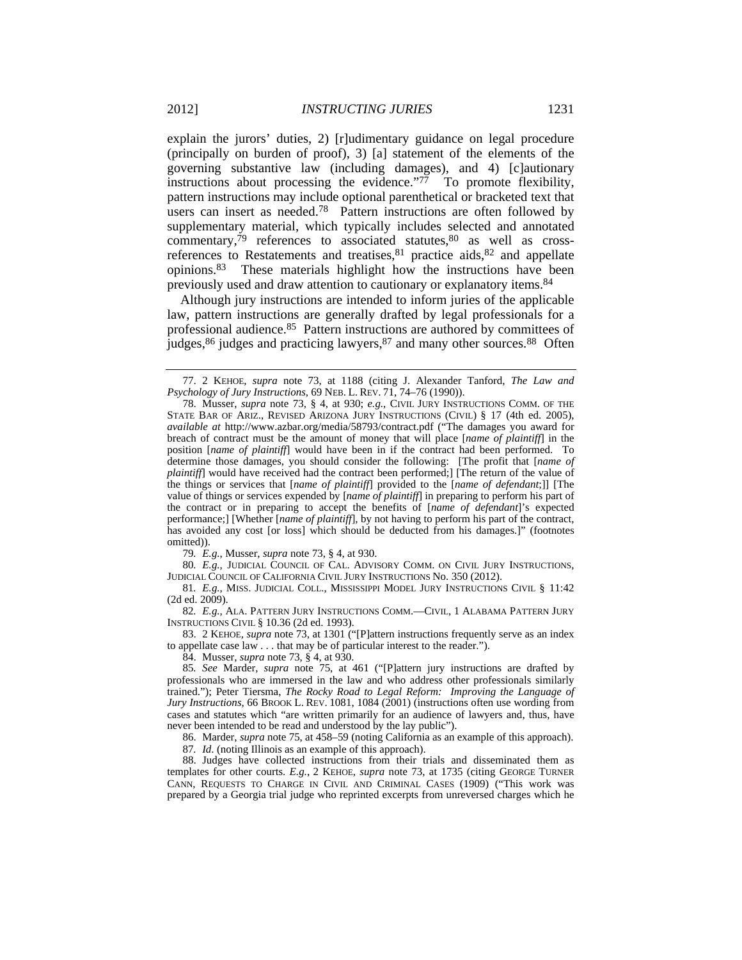explain the jurors' duties, 2) [r]udimentary guidance on legal procedure (principally on burden of proof), 3) [a] statement of the elements of the governing substantive law (including damages), and 4) [c]autionary instructions about processing the evidence."77 To promote flexibility, pattern instructions may include optional parenthetical or bracketed text that users can insert as needed.78 Pattern instructions are often followed by supplementary material, which typically includes selected and annotated commentary, $^{79}$  references to associated statutes, $^{80}$  as well as crossreferences to Restatements and treatises, <sup>81</sup> practice aids, <sup>82</sup> and appellate opinions.83 These materials highlight how the instructions have been previously used and draw attention to cautionary or explanatory items.84

Although jury instructions are intended to inform juries of the applicable law, pattern instructions are generally drafted by legal professionals for a professional audience.85 Pattern instructions are authored by committees of judges,86 judges and practicing lawyers,87 and many other sources.88 Often

79*. E.g.*, Musser, *supra* note 73, § 4, at 930.

80*. E.g.*, JUDICIAL COUNCIL OF CAL. ADVISORY COMM. ON CIVIL JURY INSTRUCTIONS, JUDICIAL COUNCIL OF CALIFORNIA CIVIL JURY INSTRUCTIONS No. 350 (2012).

81*. E.g.*, MISS. JUDICIAL COLL., MISSISSIPPI MODEL JURY INSTRUCTIONS CIVIL § 11:42  $(2d$  ed.  $2009)$ .

82*. E.g.*, ALA. PATTERN JURY INSTRUCTIONS COMM.—CIVIL, 1 ALABAMA PATTERN JURY INSTRUCTIONS CIVIL § 10.36 (2d ed. 1993).

 83. 2 KEHOE, *supra* note 73, at 1301 ("[P]attern instructions frequently serve as an index to appellate case law . . . that may be of particular interest to the reader.").

84. Musser, *supra* note 73, § 4, at 930.

85*. See* Marder, *supra* note 75, at 461 ("[P]attern jury instructions are drafted by professionals who are immersed in the law and who address other professionals similarly trained."); Peter Tiersma, *The Rocky Road to Legal Reform: Improving the Language of Jury Instructions*, 66 BROOK L. REV. 1081, 1084 (2001) (instructions often use wording from cases and statutes which "are written primarily for an audience of lawyers and, thus, have never been intended to be read and understood by the lay public").

86. Marder, *supra* note 75, at 458–59 (noting California as an example of this approach).

87*. Id*. (noting Illinois as an example of this approach).

 88. Judges have collected instructions from their trials and disseminated them as templates for other courts. *E.g.*, 2 KEHOE, *supra* note 73, at 1735 (citing GEORGE TURNER CANN, REQUESTS TO CHARGE IN CIVIL AND CRIMINAL CASES (1909) ("This work was prepared by a Georgia trial judge who reprinted excerpts from unreversed charges which he

 <sup>77. 2</sup> KEHOE, *supra* note 73, at 1188 (citing J. Alexander Tanford, *The Law and Psychology of Jury Instructions*, 69 NEB. L. REV. 71, 74–76 (1990)).

 <sup>78.</sup> Musser, *supra* note 73, § 4, at 930; *e.g.*, CIVIL JURY INSTRUCTIONS COMM. OF THE STATE BAR OF ARIZ., REVISED ARIZONA JURY INSTRUCTIONS (CIVIL) § 17 (4th ed. 2005), *available at* http://www.azbar.org/media/58793/contract.pdf ("The damages you award for breach of contract must be the amount of money that will place [*name of plaintiff*] in the position [*name of plaintiff*] would have been in if the contract had been performed. To determine those damages, you should consider the following: [The profit that [*name of plaintiff*] would have received had the contract been performed;] [The return of the value of the things or services that [*name of plaintiff*] provided to the [*name of defendant*;]] [The value of things or services expended by [*name of plaintiff*] in preparing to perform his part of the contract or in preparing to accept the benefits of [*name of defendant*]'s expected performance;] [Whether [*name of plaintiff*], by not having to perform his part of the contract, has avoided any cost [or loss] which should be deducted from his damages.]" (footnotes omitted)).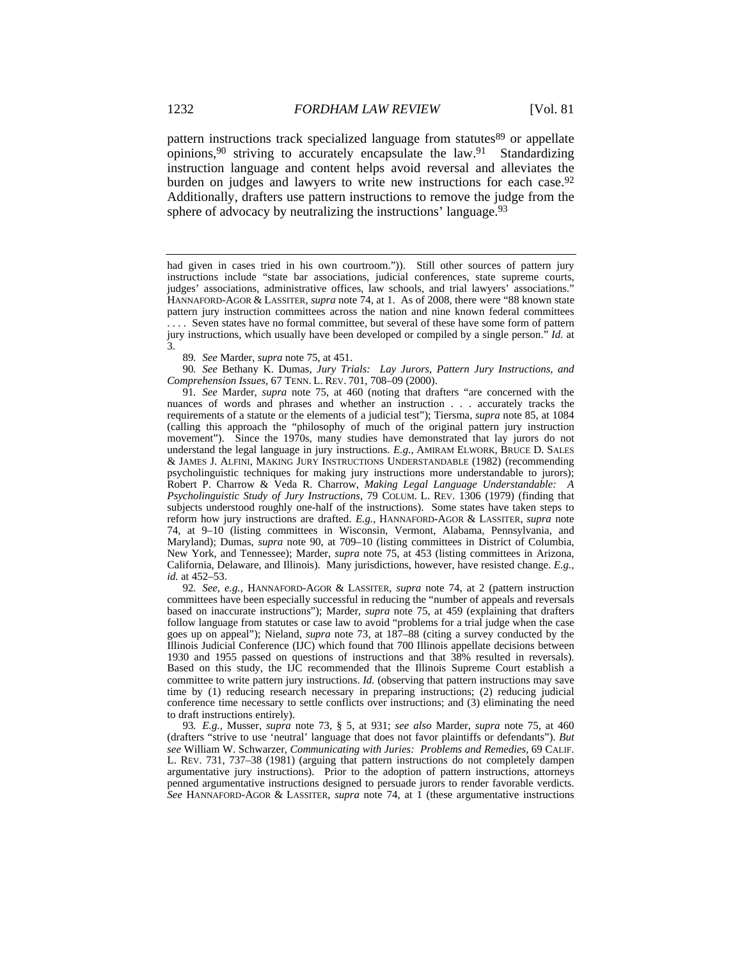pattern instructions track specialized language from statutes<sup>89</sup> or appellate opinions,90 striving to accurately encapsulate the law.91 Standardizing instruction language and content helps avoid reversal and alleviates the burden on judges and lawyers to write new instructions for each case.<sup>92</sup> Additionally, drafters use pattern instructions to remove the judge from the sphere of advocacy by neutralizing the instructions' language.<sup>93</sup>

89*. See* Marder, *supra* note 75, at 451.

90*. See* Bethany K. Dumas, *Jury Trials: Lay Jurors, Pattern Jury Instructions, and Comprehension Issues*, 67 TENN. L. REV. 701, 708–09 (2000).

91*. See* Marder, *supra* note 75, at 460 (noting that drafters "are concerned with the nuances of words and phrases and whether an instruction . . . accurately tracks the requirements of a statute or the elements of a judicial test"); Tiersma, *supra* note 85, at 1084 (calling this approach the "philosophy of much of the original pattern jury instruction movement"). Since the 1970s, many studies have demonstrated that lay jurors do not understand the legal language in jury instructions. *E.g.*, AMIRAM ELWORK, BRUCE D. SALES & JAMES J. ALFINI, MAKING JURY INSTRUCTIONS UNDERSTANDABLE (1982) (recommending psycholinguistic techniques for making jury instructions more understandable to jurors); Robert P. Charrow & Veda R. Charrow, *Making Legal Language Understandable: A Psycholinguistic Study of Jury Instructions*, 79 COLUM. L. REV. 1306 (1979) (finding that subjects understood roughly one-half of the instructions). Some states have taken steps to reform how jury instructions are drafted. *E.g.*, HANNAFORD-AGOR & LASSITER, *supra* note 74, at 9–10 (listing committees in Wisconsin, Vermont, Alabama, Pennsylvania, and Maryland); Dumas, *supra* note 90, at 709–10 (listing committees in District of Columbia, New York, and Tennessee); Marder, *supra* note 75, at 453 (listing committees in Arizona, California, Delaware, and Illinois). Many jurisdictions, however, have resisted change. *E.g.*, *id.* at 452–53.

92*. See, e.g.*, HANNAFORD-AGOR & LASSITER, *supra* note 74, at 2 (pattern instruction committees have been especially successful in reducing the "number of appeals and reversals based on inaccurate instructions"); Marder, *supra* note 75, at 459 (explaining that drafters follow language from statutes or case law to avoid "problems for a trial judge when the case goes up on appeal"); Nieland, *supra* note 73, at 187–88 (citing a survey conducted by the Illinois Judicial Conference (IJC) which found that 700 Illinois appellate decisions between 1930 and 1955 passed on questions of instructions and that 38% resulted in reversals). Based on this study, the IJC recommended that the Illinois Supreme Court establish a committee to write pattern jury instructions. *Id.* (observing that pattern instructions may save time by (1) reducing research necessary in preparing instructions; (2) reducing judicial conference time necessary to settle conflicts over instructions; and (3) eliminating the need to draft instructions entirely).

93*. E.g.*, Musser, *supra* note 73, § 5, at 931; *see also* Marder, *supra* note 75, at 460 (drafters "strive to use 'neutral' language that does not favor plaintiffs or defendants"). *But see* William W. Schwarzer, *Communicating with Juries: Problems and Remedies*, 69 CALIF. L. REV. 731, 737–38 (1981) (arguing that pattern instructions do not completely dampen argumentative jury instructions). Prior to the adoption of pattern instructions, attorneys penned argumentative instructions designed to persuade jurors to render favorable verdicts. *See* HANNAFORD-AGOR & LASSITER, *supra* note 74, at 1 (these argumentative instructions

had given in cases tried in his own courtroom.")). Still other sources of pattern jury instructions include "state bar associations, judicial conferences, state supreme courts, judges' associations, administrative offices, law schools, and trial lawyers' associations." HANNAFORD-AGOR & LASSITER, *supra* note 74, at 1. As of 2008, there were "88 known state pattern jury instruction committees across the nation and nine known federal committees . . . . Seven states have no formal committee, but several of these have some form of pattern jury instructions, which usually have been developed or compiled by a single person." *Id.* at 3.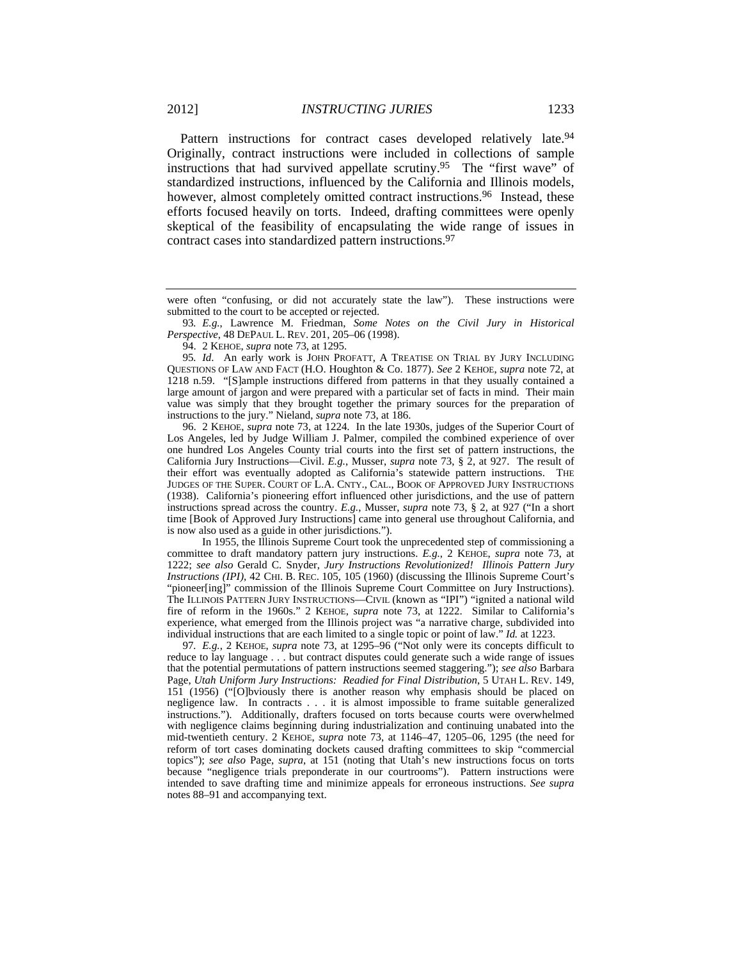Pattern instructions for contract cases developed relatively late.<sup>94</sup> Originally, contract instructions were included in collections of sample instructions that had survived appellate scrutiny.95 The "first wave" of standardized instructions, influenced by the California and Illinois models, however, almost completely omitted contract instructions.<sup>96</sup> Instead, these efforts focused heavily on torts. Indeed, drafting committees were openly skeptical of the feasibility of encapsulating the wide range of issues in contract cases into standardized pattern instructions.97

94. 2 KEHOE, *supra* note 73, at 1295.

95*. Id*. An early work is JOHN PROFATT, A TREATISE ON TRIAL BY JURY INCLUDING QUESTIONS OF LAW AND FACT (H.O. Houghton & Co. 1877). *See* 2 KEHOE, *supra* note 72, at 1218 n.59. "[S]ample instructions differed from patterns in that they usually contained a large amount of jargon and were prepared with a particular set of facts in mind. Their main value was simply that they brought together the primary sources for the preparation of instructions to the jury." Nieland, *supra* note 73, at 186.

 96. 2 KEHOE, *supra* note 73, at 1224. In the late 1930s, judges of the Superior Court of Los Angeles, led by Judge William J. Palmer, compiled the combined experience of over one hundred Los Angeles County trial courts into the first set of pattern instructions, the California Jury Instructions—Civil. *E.g.*, Musser, *supra* note 73, § 2, at 927. The result of their effort was eventually adopted as California's statewide pattern instructions. THE JUDGES OF THE SUPER. COURT OF L.A. CNTY., CAL., BOOK OF APPROVED JURY INSTRUCTIONS (1938). California's pioneering effort influenced other jurisdictions, and the use of pattern instructions spread across the country. *E.g.*, Musser, *supra* note 73, § 2, at 927 ("In a short time [Book of Approved Jury Instructions] came into general use throughout California, and is now also used as a guide in other jurisdictions.").

 In 1955, the Illinois Supreme Court took the unprecedented step of commissioning a committee to draft mandatory pattern jury instructions. *E.g.*, 2 KEHOE, *supra* note 73, at 1222; *see also* Gerald C. Snyder, *Jury Instructions Revolutionized! Illinois Pattern Jury Instructions (IPI)*, 42 CHI. B. REC. 105, 105 (1960) (discussing the Illinois Supreme Court's "pioneer[ing]" commission of the Illinois Supreme Court Committee on Jury Instructions). The ILLINOIS PATTERN JURY INSTRUCTIONS—CIVIL (known as "IPI") "ignited a national wild fire of reform in the 1960s." 2 KEHOE, *supra* note 73, at 1222. Similar to California's experience, what emerged from the Illinois project was "a narrative charge, subdivided into individual instructions that are each limited to a single topic or point of law." *Id.* at 1223.

97*. E.g.*, 2 KEHOE, *supra* note 73, at 1295–96 ("Not only were its concepts difficult to reduce to lay language . . . but contract disputes could generate such a wide range of issues that the potential permutations of pattern instructions seemed staggering."); *see also* Barbara Page, *Utah Uniform Jury Instructions: Readied for Final Distribution*, 5 UTAH L. REV. 149, 151 (1956) ("[O]bviously there is another reason why emphasis should be placed on negligence law. In contracts . . . it is almost impossible to frame suitable generalized instructions."). Additionally, drafters focused on torts because courts were overwhelmed with negligence claims beginning during industrialization and continuing unabated into the mid-twentieth century. 2 KEHOE, *supra* note 73, at 1146–47, 1205–06, 1295 (the need for reform of tort cases dominating dockets caused drafting committees to skip "commercial topics"); *see also* Page, *supra*, at 151 (noting that Utah's new instructions focus on torts because "negligence trials preponderate in our courtrooms"). Pattern instructions were intended to save drafting time and minimize appeals for erroneous instructions. *See supra* notes 88–91 and accompanying text.

were often "confusing, or did not accurately state the law"). These instructions were submitted to the court to be accepted or rejected.

<sup>93</sup>*. E.g.*, Lawrence M. Friedman, *Some Notes on the Civil Jury in Historical Perspective*, 48 DEPAUL L. REV. 201, 205–06 (1998).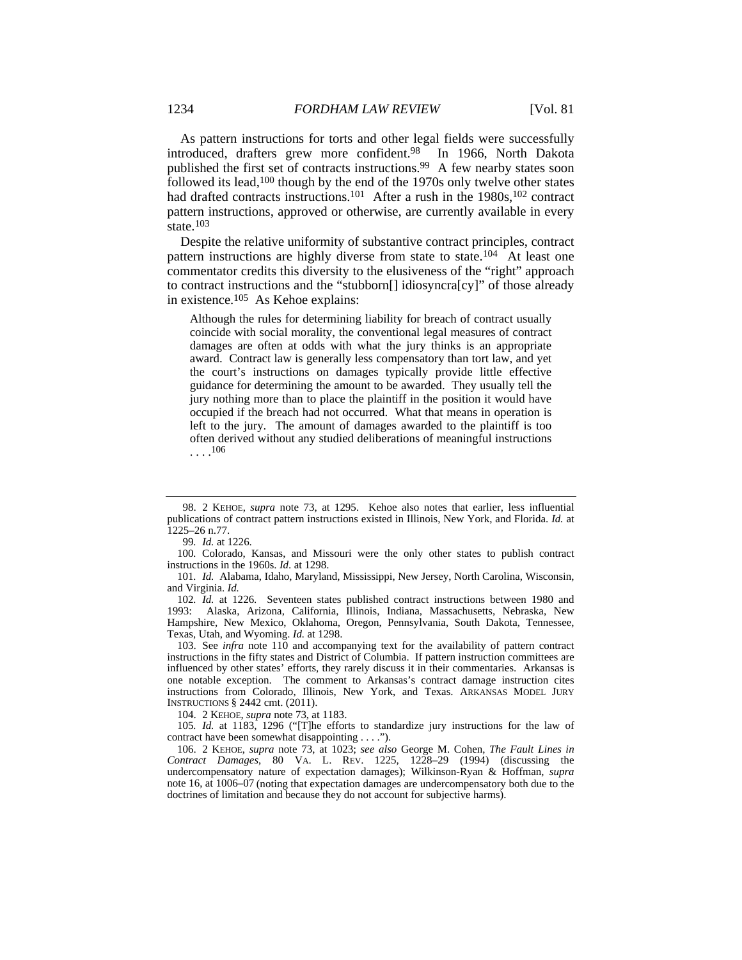As pattern instructions for torts and other legal fields were successfully introduced, drafters grew more confident.98 In 1966, North Dakota published the first set of contracts instructions.<sup>99</sup> A few nearby states soon followed its lead,100 though by the end of the 1970s only twelve other states had drafted contracts instructions.<sup>101</sup> After a rush in the 1980s,<sup>102</sup> contract pattern instructions, approved or otherwise, are currently available in every state.<sup>103</sup>

Despite the relative uniformity of substantive contract principles, contract pattern instructions are highly diverse from state to state.<sup>104</sup> At least one commentator credits this diversity to the elusiveness of the "right" approach to contract instructions and the "stubborn[] idiosyncra[cy]" of those already in existence.105 As Kehoe explains:

Although the rules for determining liability for breach of contract usually coincide with social morality, the conventional legal measures of contract damages are often at odds with what the jury thinks is an appropriate award. Contract law is generally less compensatory than tort law, and yet the court's instructions on damages typically provide little effective guidance for determining the amount to be awarded. They usually tell the jury nothing more than to place the plaintiff in the position it would have occupied if the breach had not occurred. What that means in operation is left to the jury. The amount of damages awarded to the plaintiff is too often derived without any studied deliberations of meaningful instructions  $\ldots$ <sup>106</sup>

 <sup>98. 2</sup> KEHOE, *supra* note 73, at 1295. Kehoe also notes that earlier, less influential publications of contract pattern instructions existed in Illinois, New York, and Florida. *Id.* at 1225–26 n.77.

<sup>99</sup>*. Id.* at 1226.

<sup>100</sup>*.* Colorado, Kansas, and Missouri were the only other states to publish contract instructions in the 1960s. *Id*. at 1298.

<sup>101</sup>*. Id.* Alabama, Idaho, Maryland, Mississippi, New Jersey, North Carolina, Wisconsin, and Virginia. *Id.*

<sup>102</sup>*. Id.* at 1226. Seventeen states published contract instructions between 1980 and 1993: Alaska, Arizona, California, Illinois, Indiana, Massachusetts, Nebraska, New Hampshire, New Mexico, Oklahoma, Oregon, Pennsylvania, South Dakota, Tennessee, Texas, Utah, and Wyoming. *Id.* at 1298.

 <sup>103.</sup> See *infra* note 110 and accompanying text for the availability of pattern contract instructions in the fifty states and District of Columbia. If pattern instruction committees are influenced by other states' efforts, they rarely discuss it in their commentaries. Arkansas is one notable exception. The comment to Arkansas's contract damage instruction cites instructions from Colorado, Illinois, New York, and Texas. ARKANSAS MODEL JURY INSTRUCTIONS § 2442 cmt. (2011).

 <sup>104. 2</sup> KEHOE, *supra* note 73, at 1183.

<sup>105</sup>*. Id.* at 1183, 1296 ("[T]he efforts to standardize jury instructions for the law of contract have been somewhat disappointing . . . .").

 <sup>106. 2</sup> KEHOE, *supra* note 73, at 1023; *see also* George M. Cohen, *The Fault Lines in Contract Damages*, 80 VA. L. REV. 1225, 1228–29 (1994) (discussing the undercompensatory nature of expectation damages); Wilkinson-Ryan & Hoffman, *supra*  note 16, at 1006–07 (noting that expectation damages are undercompensatory both due to the doctrines of limitation and because they do not account for subjective harms).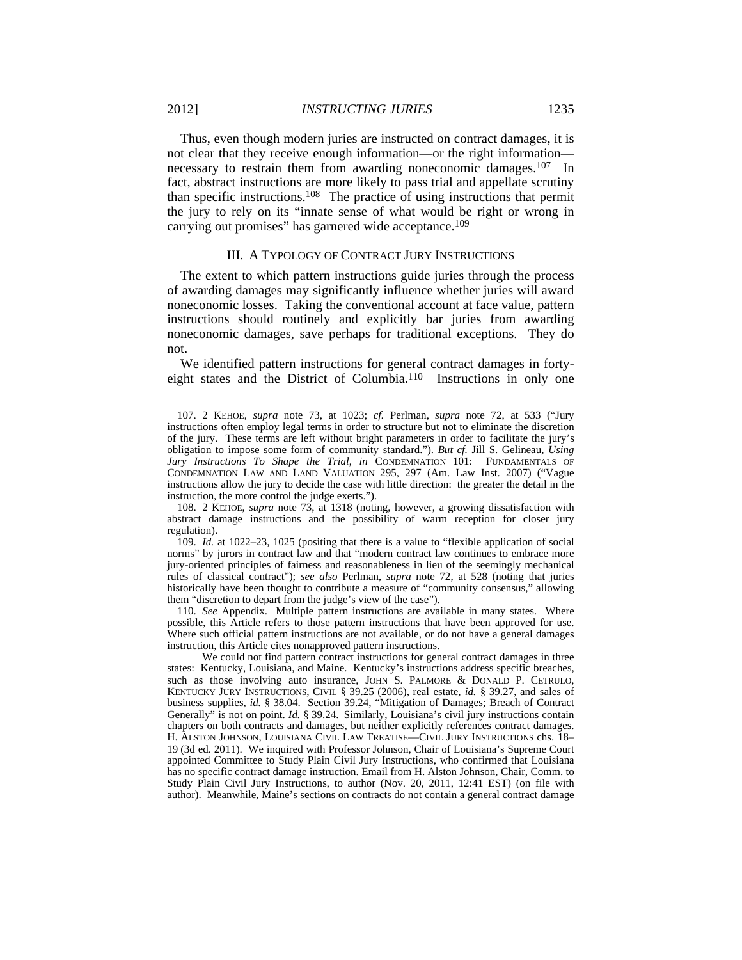Thus, even though modern juries are instructed on contract damages, it is not clear that they receive enough information—or the right information necessary to restrain them from awarding noneconomic damages.<sup>107</sup> In fact, abstract instructions are more likely to pass trial and appellate scrutiny than specific instructions.108 The practice of using instructions that permit the jury to rely on its "innate sense of what would be right or wrong in carrying out promises" has garnered wide acceptance.<sup>109</sup>

#### III. A TYPOLOGY OF CONTRACT JURY INSTRUCTIONS

The extent to which pattern instructions guide juries through the process of awarding damages may significantly influence whether juries will award noneconomic losses. Taking the conventional account at face value, pattern instructions should routinely and explicitly bar juries from awarding noneconomic damages, save perhaps for traditional exceptions. They do not.

We identified pattern instructions for general contract damages in fortyeight states and the District of Columbia.110 Instructions in only one

 108. 2 KEHOE, *supra* note 73, at 1318 (noting, however, a growing dissatisfaction with abstract damage instructions and the possibility of warm reception for closer jury regulation).

 109. *Id.* at 1022–23, 1025 (positing that there is a value to "flexible application of social norms" by jurors in contract law and that "modern contract law continues to embrace more jury-oriented principles of fairness and reasonableness in lieu of the seemingly mechanical rules of classical contract"); *see also* Perlman, *supra* note 72, at 528 (noting that juries historically have been thought to contribute a measure of "community consensus," allowing them "discretion to depart from the judge's view of the case").

 110. *See* Appendix. Multiple pattern instructions are available in many states. Where possible, this Article refers to those pattern instructions that have been approved for use. Where such official pattern instructions are not available, or do not have a general damages instruction, this Article cites nonapproved pattern instructions.

 We could not find pattern contract instructions for general contract damages in three states: Kentucky, Louisiana, and Maine. Kentucky's instructions address specific breaches, such as those involving auto insurance, JOHN S. PALMORE & DONALD P. CETRULO, KENTUCKY JURY INSTRUCTIONS, CIVIL § 39.25 (2006), real estate, *id.* § 39.27, and sales of business supplies, *id.* § 38.04. Section 39.24, "Mitigation of Damages; Breach of Contract Generally" is not on point. *Id.* § 39.24. Similarly, Louisiana's civil jury instructions contain chapters on both contracts and damages, but neither explicitly references contract damages. H. ALSTON JOHNSON, LOUISIANA CIVIL LAW TREATISE—CIVIL JURY INSTRUCTIONS chs. 18– 19 (3d ed. 2011). We inquired with Professor Johnson, Chair of Louisiana's Supreme Court appointed Committee to Study Plain Civil Jury Instructions, who confirmed that Louisiana has no specific contract damage instruction. Email from H. Alston Johnson, Chair, Comm. to Study Plain Civil Jury Instructions, to author (Nov. 20, 2011, 12:41 EST) (on file with author). Meanwhile, Maine's sections on contracts do not contain a general contract damage

 <sup>107. 2</sup> KEHOE, *supra* note 73, at 1023; *cf.* Perlman, *supra* note 72, at 533 ("Jury instructions often employ legal terms in order to structure but not to eliminate the discretion of the jury. These terms are left without bright parameters in order to facilitate the jury's obligation to impose some form of community standard."). *But cf.* Jill S. Gelineau, *Using Jury Instructions To Shape the Trial*, *in* CONDEMNATION 101: FUNDAMENTALS OF CONDEMNATION LAW AND LAND VALUATION 295, 297 (Am. Law Inst. 2007) ("Vague instructions allow the jury to decide the case with little direction: the greater the detail in the instruction, the more control the judge exerts.").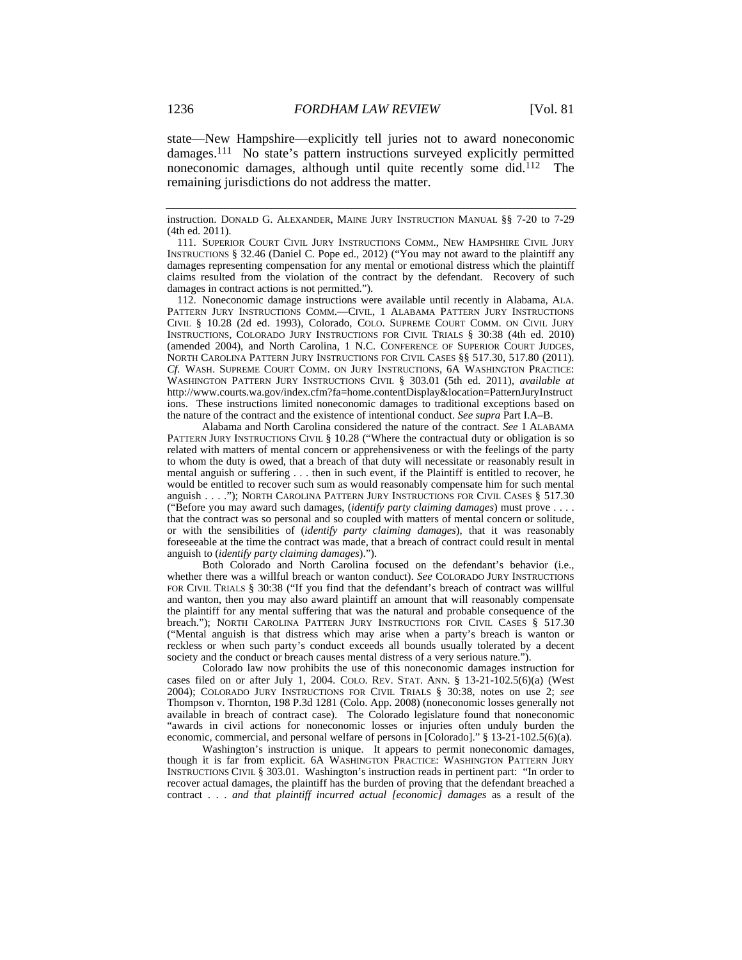state—New Hampshire—explicitly tell juries not to award noneconomic damages.111 No state's pattern instructions surveyed explicitly permitted noneconomic damages, although until quite recently some did.112 The remaining jurisdictions do not address the matter.

instruction. DONALD G. ALEXANDER, MAINE JURY INSTRUCTION MANUAL §§ 7-20 to 7-29 (4th ed. 2011).

 111. SUPERIOR COURT CIVIL JURY INSTRUCTIONS COMM., NEW HAMPSHIRE CIVIL JURY INSTRUCTIONS § 32.46 (Daniel C. Pope ed., 2012) ("You may not award to the plaintiff any damages representing compensation for any mental or emotional distress which the plaintiff claims resulted from the violation of the contract by the defendant. Recovery of such damages in contract actions is not permitted.").

 112. Noneconomic damage instructions were available until recently in Alabama, ALA. PATTERN JURY INSTRUCTIONS COMM.—CIVIL, 1 ALABAMA PATTERN JURY INSTRUCTIONS CIVIL § 10.28 (2d ed. 1993), Colorado, COLO. SUPREME COURT COMM. ON CIVIL JURY INSTRUCTIONS, COLORADO JURY INSTRUCTIONS FOR CIVIL TRIALS § 30:38 (4th ed. 2010) (amended 2004), and North Carolina, 1 N.C. CONFERENCE OF SUPERIOR COURT JUDGES, NORTH CAROLINA PATTERN JURY INSTRUCTIONS FOR CIVIL CASES §§ 517.30, 517.80 (2011). *Cf.* WASH. SUPREME COURT COMM. ON JURY INSTRUCTIONS, 6A WASHINGTON PRACTICE: WASHINGTON PATTERN JURY INSTRUCTIONS CIVIL § 303.01 (5th ed. 2011), *available at*  http://www.courts.wa.gov/index.cfm?fa=home.contentDisplay&location=PatternJuryInstruct ions. These instructions limited noneconomic damages to traditional exceptions based on the nature of the contract and the existence of intentional conduct. *See supra* Part I.A–B.

 Alabama and North Carolina considered the nature of the contract. *See* 1 ALABAMA PATTERN JURY INSTRUCTIONS CIVIL § 10.28 ("Where the contractual duty or obligation is so related with matters of mental concern or apprehensiveness or with the feelings of the party to whom the duty is owed, that a breach of that duty will necessitate or reasonably result in mental anguish or suffering . . . then in such event, if the Plaintiff is entitled to recover, he would be entitled to recover such sum as would reasonably compensate him for such mental anguish . . . ."); NORTH CAROLINA PATTERN JURY INSTRUCTIONS FOR CIVIL CASES § 517.30 ("Before you may award such damages, (*identify party claiming damages*) must prove . . . . that the contract was so personal and so coupled with matters of mental concern or solitude, or with the sensibilities of (*identify party claiming damages*), that it was reasonably foreseeable at the time the contract was made, that a breach of contract could result in mental anguish to (*identify party claiming damages*).").

 Both Colorado and North Carolina focused on the defendant's behavior (i.e., whether there was a willful breach or wanton conduct). *See* COLORADO JURY INSTRUCTIONS FOR CIVIL TRIALS § 30:38 ("If you find that the defendant's breach of contract was willful and wanton, then you may also award plaintiff an amount that will reasonably compensate the plaintiff for any mental suffering that was the natural and probable consequence of the breach."); NORTH CAROLINA PATTERN JURY INSTRUCTIONS FOR CIVIL CASES § 517.30 ("Mental anguish is that distress which may arise when a party's breach is wanton or reckless or when such party's conduct exceeds all bounds usually tolerated by a decent society and the conduct or breach causes mental distress of a very serious nature.").

 Colorado law now prohibits the use of this noneconomic damages instruction for cases filed on or after July 1, 2004. COLO. REV. STAT. ANN. § 13-21-102.5(6)(a) (West 2004); COLORADO JURY INSTRUCTIONS FOR CIVIL TRIALS § 30:38, notes on use 2; *see* Thompson v. Thornton, 198 P.3d 1281 (Colo. App. 2008) (noneconomic losses generally not available in breach of contract case). The Colorado legislature found that noneconomic "awards in civil actions for noneconomic losses or injuries often unduly burden the economic, commercial, and personal welfare of persons in [Colorado]." § 13-21-102.5(6)(a).

Washington's instruction is unique. It appears to permit noneconomic damages, though it is far from explicit. 6A WASHINGTON PRACTICE: WASHINGTON PATTERN JURY INSTRUCTIONS CIVIL § 303.01. Washington's instruction reads in pertinent part: "In order to recover actual damages, the plaintiff has the burden of proving that the defendant breached a contract . . . *and that plaintiff incurred actual [economic] damages* as a result of the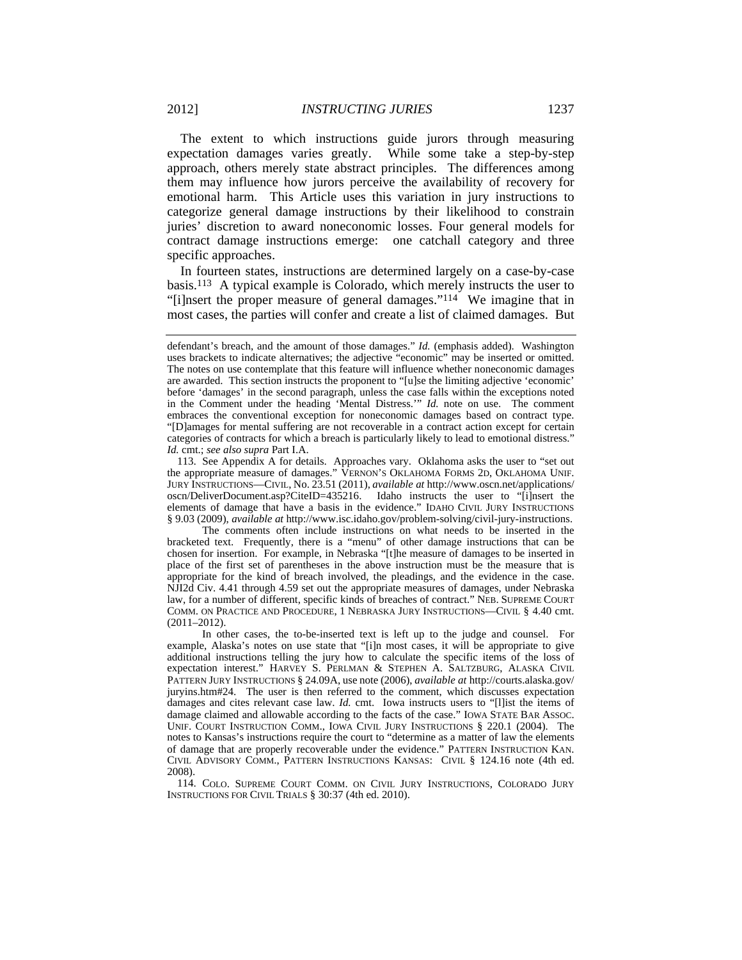The extent to which instructions guide jurors through measuring expectation damages varies greatly. While some take a step-by-step approach, others merely state abstract principles. The differences among them may influence how jurors perceive the availability of recovery for emotional harm. This Article uses this variation in jury instructions to categorize general damage instructions by their likelihood to constrain juries' discretion to award noneconomic losses. Four general models for contract damage instructions emerge: one catchall category and three specific approaches.

In fourteen states, instructions are determined largely on a case-by-case basis.113 A typical example is Colorado, which merely instructs the user to "[i]nsert the proper measure of general damages."114 We imagine that in most cases, the parties will confer and create a list of claimed damages. But

 The comments often include instructions on what needs to be inserted in the bracketed text. Frequently, there is a "menu" of other damage instructions that can be chosen for insertion. For example, in Nebraska "[t]he measure of damages to be inserted in place of the first set of parentheses in the above instruction must be the measure that is appropriate for the kind of breach involved, the pleadings, and the evidence in the case. NJI2d Civ. 4.41 through 4.59 set out the appropriate measures of damages, under Nebraska law, for a number of different, specific kinds of breaches of contract." NEB. SUPREME COURT COMM. ON PRACTICE AND PROCEDURE, 1 NEBRASKA JURY INSTRUCTIONS—CIVIL § 4.40 cmt. (2011–2012).

 In other cases, the to-be-inserted text is left up to the judge and counsel. For example, Alaska's notes on use state that "[i]n most cases, it will be appropriate to give additional instructions telling the jury how to calculate the specific items of the loss of expectation interest." HARVEY S. PERLMAN & STEPHEN A. SALTZBURG, ALASKA CIVIL PATTERN JURY INSTRUCTIONS § 24.09A, use note (2006), *available at* http://courts.alaska.gov/ juryins.htm#24. The user is then referred to the comment, which discusses expectation damages and cites relevant case law. *Id.* cmt. Iowa instructs users to "[l]ist the items of damage claimed and allowable according to the facts of the case." IOWA STATE BAR ASSOC. UNIF. COURT INSTRUCTION COMM., IOWA CIVIL JURY INSTRUCTIONS § 220.1 (2004). The notes to Kansas's instructions require the court to "determine as a matter of law the elements of damage that are properly recoverable under the evidence." PATTERN INSTRUCTION KAN. CIVIL ADVISORY COMM., PATTERN INSTRUCTIONS KANSAS: CIVIL § 124.16 note (4th ed. 2008).

 114. COLO. SUPREME COURT COMM. ON CIVIL JURY INSTRUCTIONS, COLORADO JURY INSTRUCTIONS FOR CIVIL TRIALS § 30:37 (4th ed. 2010).

defendant's breach, and the amount of those damages." *Id.* (emphasis added). Washington uses brackets to indicate alternatives; the adjective "economic" may be inserted or omitted. The notes on use contemplate that this feature will influence whether noneconomic damages are awarded. This section instructs the proponent to "[u]se the limiting adjective 'economic' before 'damages' in the second paragraph, unless the case falls within the exceptions noted in the Comment under the heading 'Mental Distress.'" *Id.* note on use. The comment embraces the conventional exception for noneconomic damages based on contract type. "[D]amages for mental suffering are not recoverable in a contract action except for certain categories of contracts for which a breach is particularly likely to lead to emotional distress." *Id.* cmt.; *see also supra* Part I.A.

 <sup>113.</sup> See Appendix A for details. Approaches vary. Oklahoma asks the user to "set out the appropriate measure of damages." VERNON'S OKLAHOMA FORMS 2D, OKLAHOMA UNIF. JURY INSTRUCTIONS—CIVIL, No. 23.51 (2011), *available at* http://www.oscn.net/applications/ oscn/DeliverDocument.asp?CiteID=435216. Idaho instructs the user to "[i]nsert the elements of damage that have a basis in the evidence." IDAHO CIVIL JURY INSTRUCTIONS § 9.03 (2009), *available at* http://www.isc.idaho.gov/problem-solving/civil-jury-instructions.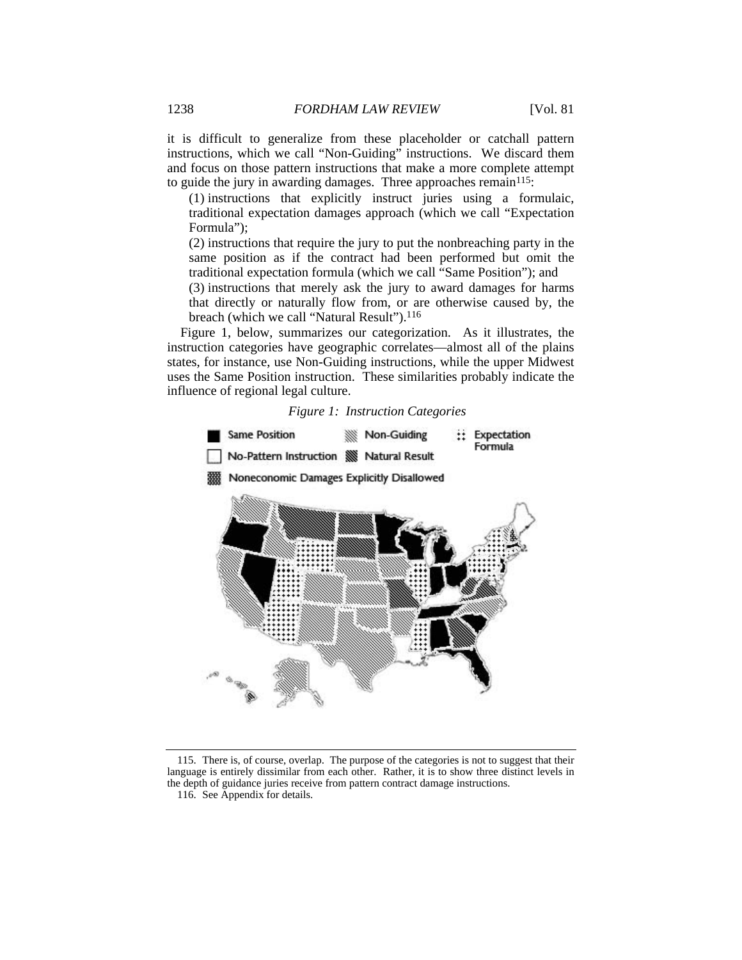it is difficult to generalize from these placeholder or catchall pattern instructions, which we call "Non-Guiding" instructions. We discard them and focus on those pattern instructions that make a more complete attempt to guide the jury in awarding damages. Three approaches remain<sup>115</sup>:

(1) instructions that explicitly instruct juries using a formulaic, traditional expectation damages approach (which we call "Expectation Formula");

(2) instructions that require the jury to put the nonbreaching party in the same position as if the contract had been performed but omit the traditional expectation formula (which we call "Same Position"); and

(3) instructions that merely ask the jury to award damages for harms that directly or naturally flow from, or are otherwise caused by, the breach (which we call "Natural Result").<sup>116</sup>

Figure 1, below, summarizes our categorization. As it illustrates, the instruction categories have geographic correlates—almost all of the plains states, for instance, use Non-Guiding instructions, while the upper Midwest uses the Same Position instruction. These similarities probably indicate the influence of regional legal culture.





 115. There is, of course, overlap. The purpose of the categories is not to suggest that their language is entirely dissimilar from each other. Rather, it is to show three distinct levels in the depth of guidance juries receive from pattern contract damage instructions.

 <sup>116.</sup> See Appendix for details.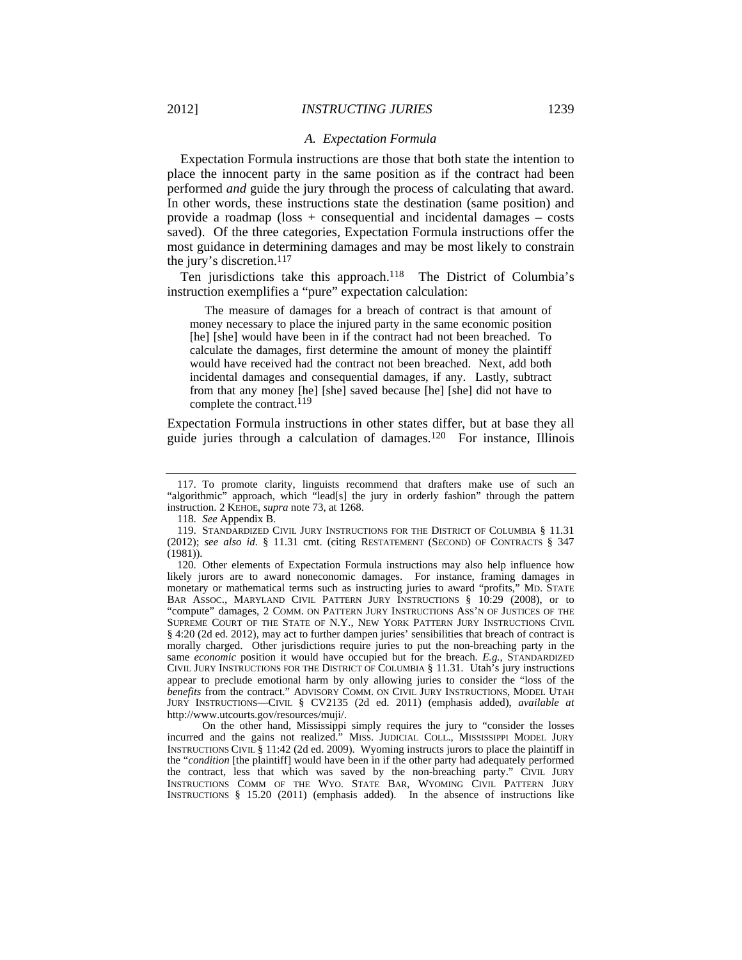#### *A. Expectation Formula*

Expectation Formula instructions are those that both state the intention to place the innocent party in the same position as if the contract had been performed *and* guide the jury through the process of calculating that award. In other words, these instructions state the destination (same position) and provide a roadmap ( $loss + consequential$  and incidental damages – costs saved). Of the three categories, Expectation Formula instructions offer the most guidance in determining damages and may be most likely to constrain the jury's discretion.117

Ten jurisdictions take this approach.<sup>118</sup> The District of Columbia's instruction exemplifies a "pure" expectation calculation:

 The measure of damages for a breach of contract is that amount of money necessary to place the injured party in the same economic position [he] [she] would have been in if the contract had not been breached. To calculate the damages, first determine the amount of money the plaintiff would have received had the contract not been breached. Next, add both incidental damages and consequential damages, if any. Lastly, subtract from that any money [he] [she] saved because [he] [she] did not have to complete the contract.<sup>119</sup>

Expectation Formula instructions in other states differ, but at base they all guide juries through a calculation of damages.120 For instance, Illinois

 On the other hand, Mississippi simply requires the jury to "consider the losses incurred and the gains not realized." MISS. JUDICIAL COLL., MISSISSIPPI MODEL JURY INSTRUCTIONS CIVIL § 11:42 (2d ed. 2009). Wyoming instructs jurors to place the plaintiff in the "*condition* [the plaintiff] would have been in if the other party had adequately performed the contract, less that which was saved by the non-breaching party." CIVIL JURY INSTRUCTIONS COMM OF THE WYO. STATE BAR, WYOMING CIVIL PATTERN JURY INSTRUCTIONS § 15.20 (2011) (emphasis added). In the absence of instructions like

 <sup>117.</sup> To promote clarity, linguists recommend that drafters make use of such an "algorithmic" approach, which "lead[s] the jury in orderly fashion" through the pattern instruction. 2 KEHOE, *supra* note 73, at 1268.

 <sup>118.</sup> *See* Appendix B.

 <sup>119.</sup> STANDARDIZED CIVIL JURY INSTRUCTIONS FOR THE DISTRICT OF COLUMBIA § 11.31 (2012); *see also id.* § 11.31 cmt. (citing RESTATEMENT (SECOND) OF CONTRACTS § 347 (1981)).

 <sup>120.</sup> Other elements of Expectation Formula instructions may also help influence how likely jurors are to award noneconomic damages. For instance, framing damages in monetary or mathematical terms such as instructing juries to award "profits," MD. STATE BAR ASSOC., MARYLAND CIVIL PATTERN JURY INSTRUCTIONS § 10:29 (2008), or to "compute" damages, 2 COMM. ON PATTERN JURY INSTRUCTIONS ASS'N OF JUSTICES OF THE SUPREME COURT OF THE STATE OF N.Y., NEW YORK PATTERN JURY INSTRUCTIONS CIVIL § 4:20 (2d ed. 2012), may act to further dampen juries' sensibilities that breach of contract is morally charged. Other jurisdictions require juries to put the non-breaching party in the same *economic* position it would have occupied but for the breach. *E.g.*, STANDARDIZED CIVIL JURY INSTRUCTIONS FOR THE DISTRICT OF COLUMBIA § 11.31. Utah's jury instructions appear to preclude emotional harm by only allowing juries to consider the "loss of the *benefits* from the contract." ADVISORY COMM. ON CIVIL JURY INSTRUCTIONS, MODEL UTAH JURY INSTRUCTIONS—CIVIL § CV2135 (2d ed. 2011) (emphasis added), *available at* http://www.utcourts.gov/resources/muji/.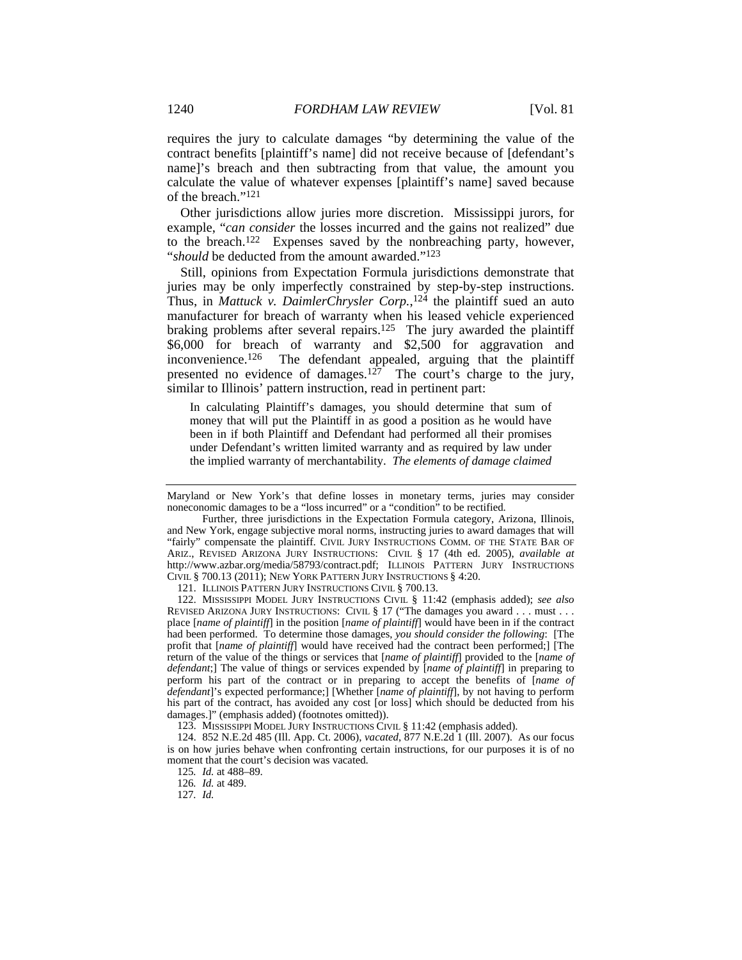requires the jury to calculate damages "by determining the value of the contract benefits [plaintiff's name] did not receive because of [defendant's name]'s breach and then subtracting from that value, the amount you calculate the value of whatever expenses [plaintiff's name] saved because of the breach."121

Other jurisdictions allow juries more discretion. Mississippi jurors, for example, "*can consider* the losses incurred and the gains not realized" due to the breach.122 Expenses saved by the nonbreaching party, however, "*should* be deducted from the amount awarded."123

Still, opinions from Expectation Formula jurisdictions demonstrate that juries may be only imperfectly constrained by step-by-step instructions. Thus, in *Mattuck v. DaimlerChrysler Corp.*, 124 the plaintiff sued an auto manufacturer for breach of warranty when his leased vehicle experienced braking problems after several repairs.<sup>125</sup> The jury awarded the plaintiff \$6,000 for breach of warranty and \$2,500 for aggravation and inconvenience.<sup>126</sup> The defendant appealed, arguing that the plaintiff presented no evidence of damages.<sup>127</sup> The court's charge to the jury, similar to Illinois' pattern instruction, read in pertinent part:

In calculating Plaintiff's damages, you should determine that sum of money that will put the Plaintiff in as good a position as he would have been in if both Plaintiff and Defendant had performed all their promises under Defendant's written limited warranty and as required by law under the implied warranty of merchantability. *The elements of damage claimed* 

121. ILLINOIS PATTERN JURY INSTRUCTIONS CIVIL § 700.13.

 122. MISSISSIPPI MODEL JURY INSTRUCTIONS CIVIL § 11:42 (emphasis added); *see also* REVISED ARIZONA JURY INSTRUCTIONS: CIVIL § 17 ("The damages you award . . . must . . . place [*name of plaintiff*] in the position [*name of plaintiff*] would have been in if the contract had been performed. To determine those damages, *you should consider the following*: [The profit that [*name of plaintiff*] would have received had the contract been performed;] [The return of the value of the things or services that [*name of plaintiff*] provided to the [*name of defendant*;] The value of things or services expended by [*name of plaintiff*] in preparing to perform his part of the contract or in preparing to accept the benefits of [*name of defendant*]'s expected performance;] [Whether [*name of plaintiff*], by not having to perform his part of the contract, has avoided any cost [or loss] which should be deducted from his damages.]" (emphasis added) (footnotes omitted)).

123. MISSISSIPPI MODEL JURY INSTRUCTIONS CIVIL § 11:42 (emphasis added).

127*. Id.*

Maryland or New York's that define losses in monetary terms, juries may consider noneconomic damages to be a "loss incurred" or a "condition" to be rectified.

Further, three jurisdictions in the Expectation Formula category, Arizona, Illinois, and New York, engage subjective moral norms, instructing juries to award damages that will "fairly" compensate the plaintiff. CIVIL JURY INSTRUCTIONS COMM. OF THE STATE BAR OF ARIZ., REVISED ARIZONA JURY INSTRUCTIONS: CIVIL § 17 (4th ed. 2005), *available at* http://www.azbar.org/media/58793/contract.pdf; ILLINOIS PATTERN JURY INSTRUCTIONS CIVIL § 700.13 (2011); NEW YORK PATTERN JURY INSTRUCTIONS § 4:20.

 <sup>124. 852</sup> N.E.2d 485 (Ill. App. Ct. 2006), *vacated*, 877 N.E.2d 1 (Ill. 2007). As our focus is on how juries behave when confronting certain instructions, for our purposes it is of no moment that the court's decision was vacated.

<sup>125</sup>*. Id.* at 488–89.

<sup>126</sup>*. Id.* at 489.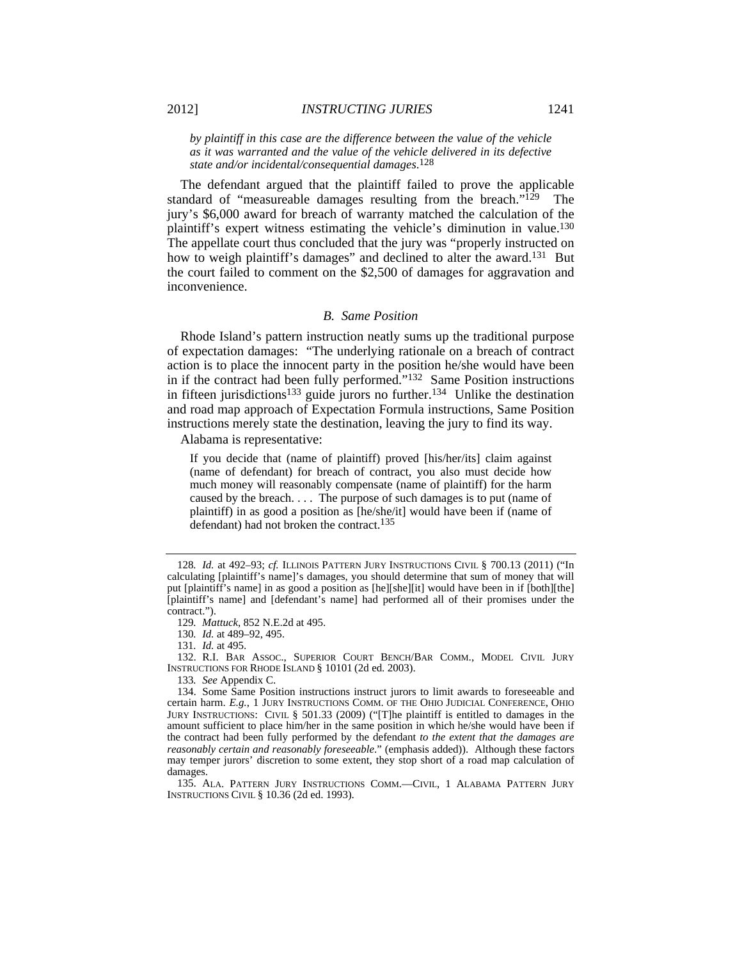*by plaintiff in this case are the difference between the value of the vehicle as it was warranted and the value of the vehicle delivered in its defective state and/or incidental/consequential damages*. 128

The defendant argued that the plaintiff failed to prove the applicable standard of "measureable damages resulting from the breach." $129$  The jury's \$6,000 award for breach of warranty matched the calculation of the plaintiff's expert witness estimating the vehicle's diminution in value.130 The appellate court thus concluded that the jury was "properly instructed on how to weigh plaintiff's damages" and declined to alter the award.<sup>131</sup> But the court failed to comment on the \$2,500 of damages for aggravation and inconvenience.

#### *B. Same Position*

Rhode Island's pattern instruction neatly sums up the traditional purpose of expectation damages: "The underlying rationale on a breach of contract action is to place the innocent party in the position he/she would have been in if the contract had been fully performed."<sup>132</sup> Same Position instructions in fifteen jurisdictions<sup>133</sup> guide jurors no further.<sup>134</sup> Unlike the destination and road map approach of Expectation Formula instructions, Same Position instructions merely state the destination, leaving the jury to find its way.

Alabama is representative:

If you decide that (name of plaintiff) proved [his/her/its] claim against (name of defendant) for breach of contract, you also must decide how much money will reasonably compensate (name of plaintiff) for the harm caused by the breach. . . . The purpose of such damages is to put (name of plaintiff) in as good a position as [he/she/it] would have been if (name of defendant) had not broken the contract.<sup>135</sup>

 132. R.I. BAR ASSOC., SUPERIOR COURT BENCH/BAR COMM., MODEL CIVIL JURY INSTRUCTIONS FOR RHODE ISLAND § 10101 (2d ed. 2003).

133*. See* Appendix C.

<sup>128</sup>*. Id.* at 492–93; *cf.* ILLINOIS PATTERN JURY INSTRUCTIONS CIVIL § 700.13 (2011) ("In calculating [plaintiff's name]'s damages, you should determine that sum of money that will put [plaintiff's name] in as good a position as [he][she][it] would have been in if [both][the] [plaintiff's name] and [defendant's name] had performed all of their promises under the contract.").

<sup>129</sup>*. Mattuck*, 852 N.E.2d at 495.

<sup>130</sup>*. Id.* at 489–92, 495.

<sup>131</sup>*. Id.* at 495.

 <sup>134.</sup> Some Same Position instructions instruct jurors to limit awards to foreseeable and certain harm. *E.g.*, 1 JURY INSTRUCTIONS COMM. OF THE OHIO JUDICIAL CONFERENCE, OHIO JURY INSTRUCTIONS: CIVIL § 501.33 (2009) ("[T]he plaintiff is entitled to damages in the amount sufficient to place him/her in the same position in which he/she would have been if the contract had been fully performed by the defendant *to the extent that the damages are reasonably certain and reasonably foreseeable*." (emphasis added)). Although these factors may temper jurors' discretion to some extent, they stop short of a road map calculation of damages.

 <sup>135.</sup> ALA. PATTERN JURY INSTRUCTIONS COMM.—CIVIL, 1 ALABAMA PATTERN JURY INSTRUCTIONS CIVIL § 10.36 (2d ed. 1993).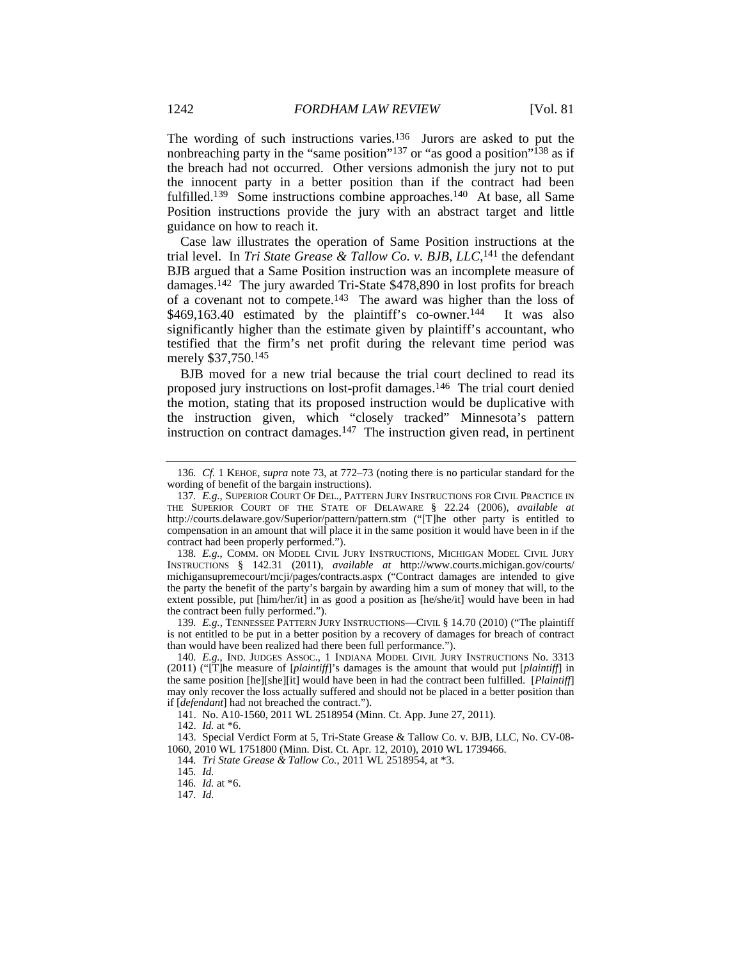The wording of such instructions varies.<sup>136</sup> Jurors are asked to put the nonbreaching party in the "same position"<sup>137</sup> or "as good a position"<sup>138</sup> as if the breach had not occurred. Other versions admonish the jury not to put the innocent party in a better position than if the contract had been fulfilled.<sup>139</sup> Some instructions combine approaches.<sup>140</sup> At base, all Same Position instructions provide the jury with an abstract target and little guidance on how to reach it.

Case law illustrates the operation of Same Position instructions at the trial level. In *Tri State Grease & Tallow Co. v. BJB, LLC*,<sup>141</sup> the defendant BJB argued that a Same Position instruction was an incomplete measure of damages.142 The jury awarded Tri-State \$478,890 in lost profits for breach of a covenant not to compete.143 The award was higher than the loss of  $$469,163.40$  estimated by the plaintiff's co-owner.<sup>144</sup> It was also significantly higher than the estimate given by plaintiff's accountant, who testified that the firm's net profit during the relevant time period was merely \$37,750.145

BJB moved for a new trial because the trial court declined to read its proposed jury instructions on lost-profit damages.146 The trial court denied the motion, stating that its proposed instruction would be duplicative with the instruction given, which "closely tracked" Minnesota's pattern instruction on contract damages.<sup>147</sup> The instruction given read, in pertinent

139*. E.g.*, TENNESSEE PATTERN JURY INSTRUCTIONS—CIVIL § 14.70 (2010) ("The plaintiff is not entitled to be put in a better position by a recovery of damages for breach of contract than would have been realized had there been full performance.").

141. No. A10-1560, 2011 WL 2518954 (Minn. Ct. App. June 27, 2011).

 143. Special Verdict Form at 5, Tri-State Grease & Tallow Co. v. BJB, LLC, No. CV-08- 1060, 2010 WL 1751800 (Minn. Dist. Ct. Apr. 12, 2010), 2010 WL 1739466.

146*. Id.* at \*6.

<sup>136</sup>*. Cf.* 1 KEHOE, *supra* note 73, at 772–73 (noting there is no particular standard for the wording of benefit of the bargain instructions).

<sup>137</sup>*. E.g.*, SUPERIOR COURT OF DEL., PATTERN JURY INSTRUCTIONS FOR CIVIL PRACTICE IN THE SUPERIOR COURT OF THE STATE OF DELAWARE § 22.24 (2006), *available at* http://courts.delaware.gov/Superior/pattern/pattern.stm ("[T]he other party is entitled to compensation in an amount that will place it in the same position it would have been in if the contract had been properly performed.").

<sup>138</sup>*. E.g.*, COMM. ON MODEL CIVIL JURY INSTRUCTIONS, MICHIGAN MODEL CIVIL JURY INSTRUCTIONS § 142.31 (2011), *available at* http://www.courts.michigan.gov/courts/ michigansupremecourt/mcji/pages/contracts.aspx ("Contract damages are intended to give the party the benefit of the party's bargain by awarding him a sum of money that will, to the extent possible, put [him/her/it] in as good a position as [he/she/it] would have been in had the contract been fully performed.").

<sup>140</sup>*. E.g.*, IND. JUDGES ASSOC., 1 INDIANA MODEL CIVIL JURY INSTRUCTIONS No. 3313 (2011) ("[T]he measure of [*plaintiff*]'s damages is the amount that would put [*plaintiff*] in the same position [he][she][it] would have been in had the contract been fulfilled. [*Plaintiff*] may only recover the loss actually suffered and should not be placed in a better position than if [*defendant*] had not breached the contract.").

 <sup>142.</sup> *Id.* at \*6.

<sup>144</sup>*. Tri State Grease & Tallow Co.*, 2011 WL 2518954, at \*3.

<sup>145</sup>*. Id.*

<sup>147</sup>*. Id.*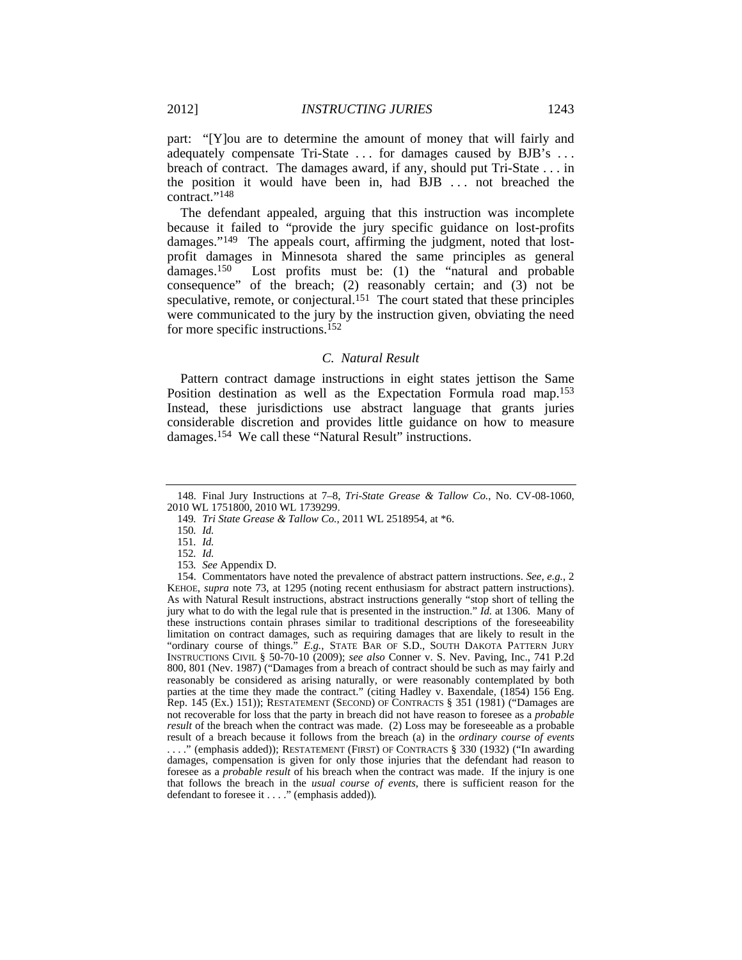part: "[Y]ou are to determine the amount of money that will fairly and adequately compensate Tri-State ... for damages caused by BJB's ... breach of contract. The damages award, if any, should put Tri-State . . . in the position it would have been in, had BJB . . . not breached the contract."148

The defendant appealed, arguing that this instruction was incomplete because it failed to "provide the jury specific guidance on lost-profits damages."149 The appeals court, affirming the judgment, noted that lostprofit damages in Minnesota shared the same principles as general damages.150 Lost profits must be: (1) the "natural and probable consequence" of the breach; (2) reasonably certain; and (3) not be speculative, remote, or conjectural.<sup>151</sup> The court stated that these principles were communicated to the jury by the instruction given, obviating the need for more specific instructions.<sup>152</sup>

### *C. Natural Result*

Pattern contract damage instructions in eight states jettison the Same Position destination as well as the Expectation Formula road map.153 Instead, these jurisdictions use abstract language that grants juries considerable discretion and provides little guidance on how to measure damages.154 We call these "Natural Result" instructions.

 <sup>148.</sup> Final Jury Instructions at 7–8, *Tri-State Grease & Tallow Co.*, No. CV-08-1060, 2010 WL 1751800, 2010 WL 1739299.

<sup>149</sup>*. Tri State Grease & Tallow Co.*, 2011 WL 2518954, at \*6.

<sup>150</sup>*. Id.*

<sup>151</sup>*. Id.*

<sup>152</sup>*. Id.*

<sup>153</sup>*. See* Appendix D.

 <sup>154.</sup> Commentators have noted the prevalence of abstract pattern instructions. *See, e.g.*, 2 KEHOE, *supra* note 73, at 1295 (noting recent enthusiasm for abstract pattern instructions). As with Natural Result instructions, abstract instructions generally "stop short of telling the jury what to do with the legal rule that is presented in the instruction." *Id.* at 1306. Many of these instructions contain phrases similar to traditional descriptions of the foreseeability limitation on contract damages, such as requiring damages that are likely to result in the "ordinary course of things." *E.g.*, STATE BAR OF S.D., SOUTH DAKOTA PATTERN JURY INSTRUCTIONS CIVIL § 50-70-10 (2009); *see also* Conner v. S. Nev. Paving, Inc., 741 P.2d 800, 801 (Nev. 1987) ("Damages from a breach of contract should be such as may fairly and reasonably be considered as arising naturally, or were reasonably contemplated by both parties at the time they made the contract." (citing Hadley v. Baxendale, (1854) 156 Eng. Rep. 145 (Ex.) 151)); RESTATEMENT (SECOND) OF CONTRACTS § 351 (1981) ("Damages are not recoverable for loss that the party in breach did not have reason to foresee as a *probable result* of the breach when the contract was made. (2) Loss may be foreseeable as a probable result of a breach because it follows from the breach (a) in the *ordinary course of events* . . . ." (emphasis added)); RESTATEMENT (FIRST) OF CONTRACTS § 330 (1932) ("In awarding damages, compensation is given for only those injuries that the defendant had reason to foresee as a *probable result* of his breach when the contract was made. If the injury is one that follows the breach in the *usual course of events*, there is sufficient reason for the defendant to foresee it . . . ." (emphasis added))*.*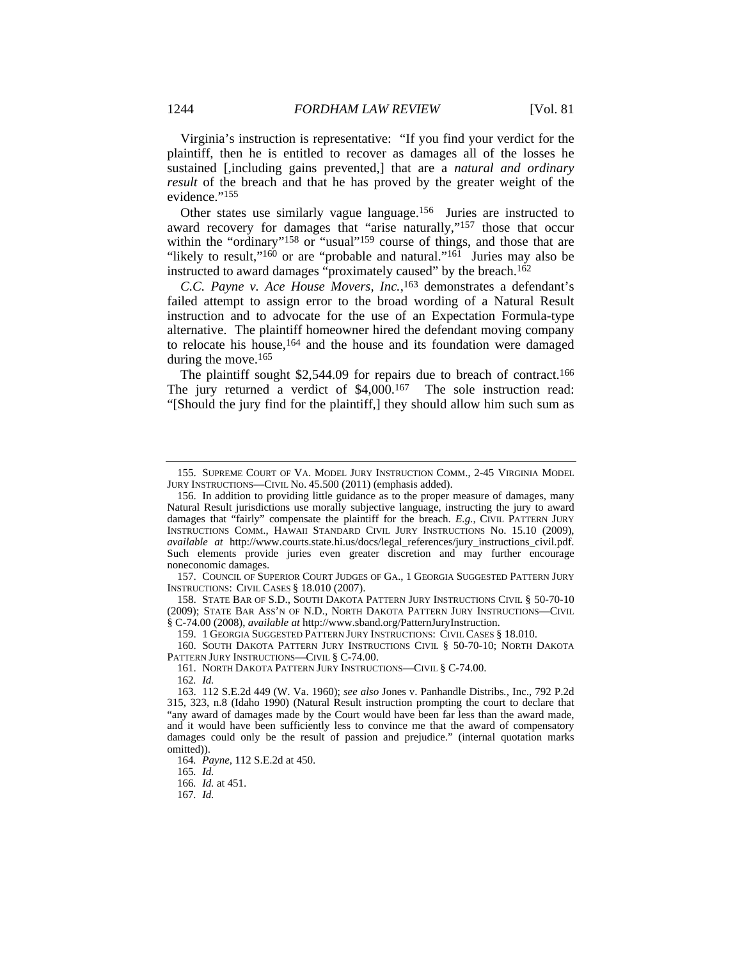Virginia's instruction is representative: "If you find your verdict for the plaintiff, then he is entitled to recover as damages all of the losses he sustained [,including gains prevented,] that are a *natural and ordinary result* of the breach and that he has proved by the greater weight of the evidence."<sup>155</sup>

Other states use similarly vague language.156 Juries are instructed to award recovery for damages that "arise naturally,"157 those that occur within the "ordinary"<sup>158</sup> or "usual"<sup>159</sup> course of things, and those that are "likely to result,"<sup>160</sup> or are "probable and natural."<sup>161</sup> Juries may also be instructed to award damages "proximately caused" by the breach.<sup>162</sup>

*C.C. Payne v. Ace House Movers, Inc.*, 163 demonstrates a defendant's failed attempt to assign error to the broad wording of a Natural Result instruction and to advocate for the use of an Expectation Formula-type alternative. The plaintiff homeowner hired the defendant moving company to relocate his house,164 and the house and its foundation were damaged during the move.<sup>165</sup>

The plaintiff sought \$2,544.09 for repairs due to breach of contract.<sup>166</sup> The jury returned a verdict of \$4,000.167 The sole instruction read: "[Should the jury find for the plaintiff,] they should allow him such sum as

 157. COUNCIL OF SUPERIOR COURT JUDGES OF GA., 1 GEORGIA SUGGESTED PATTERN JURY INSTRUCTIONS: CIVIL CASES § 18.010 (2007).

 158. STATE BAR OF S.D., SOUTH DAKOTA PATTERN JURY INSTRUCTIONS CIVIL § 50-70-10 (2009); STATE BAR ASS'N OF N.D., NORTH DAKOTA PATTERN JURY INSTRUCTIONS—CIVIL § C-74.00 (2008), *available at* http://www.sband.org/PatternJuryInstruction.

159. 1 GEORGIA SUGGESTED PATTERN JURY INSTRUCTIONS: CIVIL CASES § 18.010.

160. SOUTH DAKOTA PATTERN JURY INSTRUCTIONS CIVIL § 50-70-10; NORTH DAKOTA PATTERN JURY INSTRUCTIONS—CIVIL § C-74.00.

161. NORTH DAKOTA PATTERN JURY INSTRUCTIONS—CIVIL § C-74.00.

162*. Id.*

164*. Payne*, 112 S.E.2d at 450.

165*. Id.*

166*. Id.* at 451.

167*. Id.*

 <sup>155.</sup> SUPREME COURT OF VA. MODEL JURY INSTRUCTION COMM., 2-45 VIRGINIA MODEL JURY INSTRUCTIONS—CIVIL No. 45.500 (2011) (emphasis added).

 <sup>156.</sup> In addition to providing little guidance as to the proper measure of damages, many Natural Result jurisdictions use morally subjective language, instructing the jury to award damages that "fairly" compensate the plaintiff for the breach. *E.g.*, CIVIL PATTERN JURY INSTRUCTIONS COMM., HAWAII STANDARD CIVIL JURY INSTRUCTIONS No. 15.10 (2009), *available at* http://www.courts.state.hi.us/docs/legal\_references/jury\_instructions\_civil.pdf. Such elements provide juries even greater discretion and may further encourage noneconomic damages.

 <sup>163. 112</sup> S.E.2d 449 (W. Va. 1960); *see also* Jones v. Panhandle Distribs*.*, Inc., 792 P.2d 315, 323, n.8 (Idaho 1990) (Natural Result instruction prompting the court to declare that "any award of damages made by the Court would have been far less than the award made, and it would have been sufficiently less to convince me that the award of compensatory damages could only be the result of passion and prejudice." (internal quotation marks omitted)).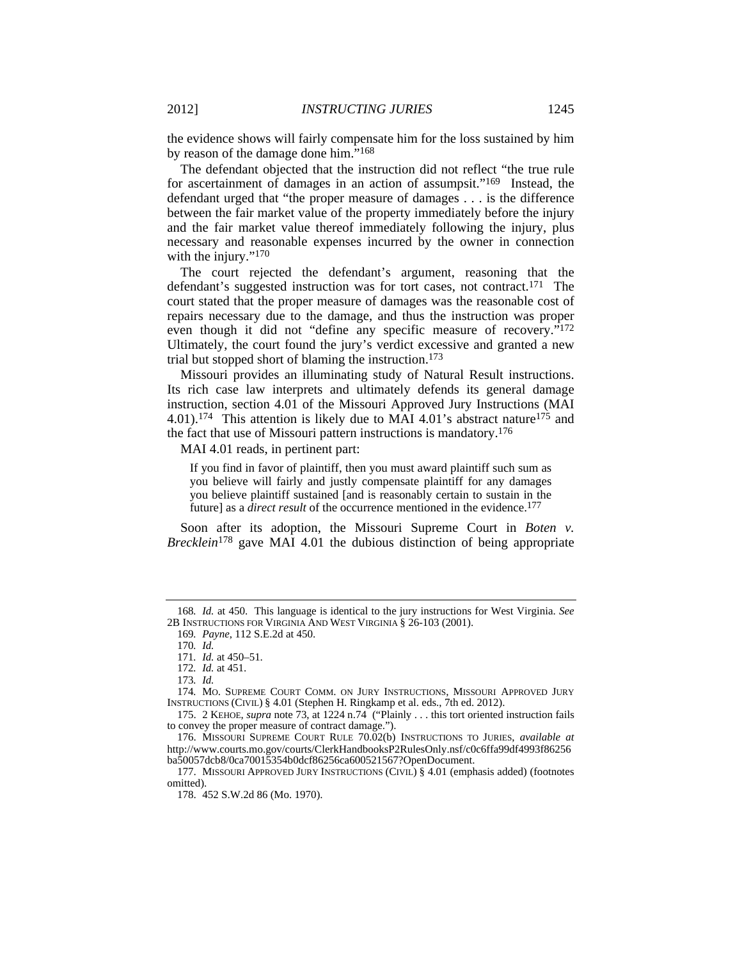the evidence shows will fairly compensate him for the loss sustained by him by reason of the damage done him."168

The defendant objected that the instruction did not reflect "the true rule for ascertainment of damages in an action of assumpsit."169 Instead, the defendant urged that "the proper measure of damages . . . is the difference between the fair market value of the property immediately before the injury and the fair market value thereof immediately following the injury, plus necessary and reasonable expenses incurred by the owner in connection with the injury."<sup>170</sup>

The court rejected the defendant's argument, reasoning that the defendant's suggested instruction was for tort cases, not contract.171 The court stated that the proper measure of damages was the reasonable cost of repairs necessary due to the damage, and thus the instruction was proper even though it did not "define any specific measure of recovery."172 Ultimately, the court found the jury's verdict excessive and granted a new trial but stopped short of blaming the instruction.173

Missouri provides an illuminating study of Natural Result instructions. Its rich case law interprets and ultimately defends its general damage instruction, section 4.01 of the Missouri Approved Jury Instructions (MAI 4.01).174 This attention is likely due to MAI 4.01's abstract nature175 and the fact that use of Missouri pattern instructions is mandatory.176

MAI 4.01 reads, in pertinent part:

If you find in favor of plaintiff, then you must award plaintiff such sum as you believe will fairly and justly compensate plaintiff for any damages you believe plaintiff sustained [and is reasonably certain to sustain in the future] as a *direct result* of the occurrence mentioned in the evidence.177

Soon after its adoption, the Missouri Supreme Court in *Boten v*. *Brecklein*<sup>178</sup> gave MAI 4.01 the dubious distinction of being appropriate

170*. Id.*

 175. 2 KEHOE, *supra* note 73, at 1224 n.74 ("Plainly . . . this tort oriented instruction fails to convey the proper measure of contract damage.").

 176. MISSOURI SUPREME COURT RULE 70.02(b) INSTRUCTIONS TO JURIES, *available at* http://www.courts.mo.gov/courts/ClerkHandbooksP2RulesOnly.nsf/c0c6ffa99df4993f86256 ba50057dcb8/0ca70015354b0dcf86256ca600521567?OpenDocument.

 177. MISSOURI APPROVED JURY INSTRUCTIONS (CIVIL) § 4.01 (emphasis added) (footnotes omitted).

<sup>168</sup>*. Id.* at 450. This language is identical to the jury instructions for West Virginia. *See* 2B INSTRUCTIONS FOR VIRGINIA AND WEST VIRGINIA § 26-103 (2001).

<sup>169</sup>*. Payne*, 112 S.E.2d at 450.

<sup>171</sup>*. Id.* at 450–51.

<sup>172</sup>*. Id.* at 451.

<sup>173</sup>*. Id.*

<sup>174</sup>*.* MO. SUPREME COURT COMM. ON JURY INSTRUCTIONS, MISSOURI APPROVED JURY INSTRUCTIONS (CIVIL) § 4.01 (Stephen H. Ringkamp et al. eds., 7th ed. 2012).

 <sup>178. 452</sup> S.W.2d 86 (Mo. 1970).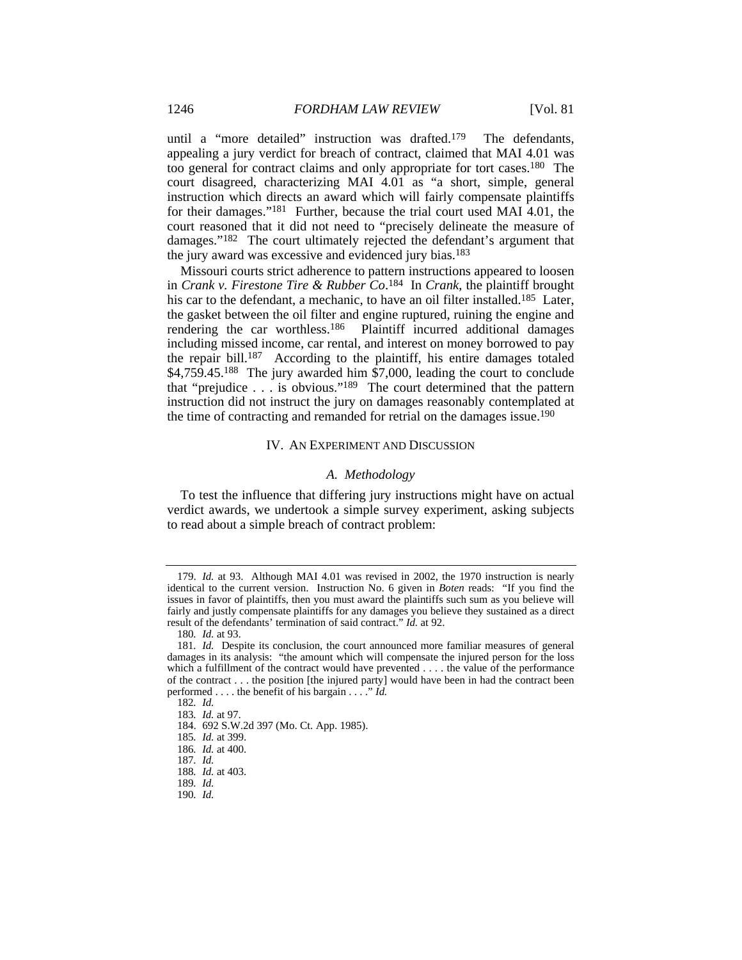until a "more detailed" instruction was drafted.179 The defendants, appealing a jury verdict for breach of contract, claimed that MAI 4.01 was too general for contract claims and only appropriate for tort cases.180 The court disagreed, characterizing MAI 4.01 as "a short, simple, general instruction which directs an award which will fairly compensate plaintiffs for their damages."181 Further, because the trial court used MAI 4.01, the court reasoned that it did not need to "precisely delineate the measure of damages."182 The court ultimately rejected the defendant's argument that the jury award was excessive and evidenced jury bias.183

Missouri courts strict adherence to pattern instructions appeared to loosen in *Crank v. Firestone Tire & Rubber Co*. 184 In *Crank*, the plaintiff brought his car to the defendant, a mechanic, to have an oil filter installed.<sup>185</sup> Later, the gasket between the oil filter and engine ruptured, ruining the engine and rendering the car worthless.186 Plaintiff incurred additional damages including missed income, car rental, and interest on money borrowed to pay the repair bill.187 According to the plaintiff, his entire damages totaled \$4,759.45.188 The jury awarded him \$7,000, leading the court to conclude that "prejudice . . . is obvious."189 The court determined that the pattern instruction did not instruct the jury on damages reasonably contemplated at the time of contracting and remanded for retrial on the damages issue.190

#### IV. AN EXPERIMENT AND DISCUSSION

### *A. Methodology*

To test the influence that differing jury instructions might have on actual verdict awards, we undertook a simple survey experiment, asking subjects to read about a simple breach of contract problem:

 <sup>179.</sup> *Id.* at 93. Although MAI 4.01 was revised in 2002, the 1970 instruction is nearly identical to the current version. Instruction No. 6 given in *Boten* reads: "If you find the issues in favor of plaintiffs, then you must award the plaintiffs such sum as you believe will fairly and justly compensate plaintiffs for any damages you believe they sustained as a direct result of the defendants' termination of said contract." *Id.* at 92.

<sup>180</sup>*. Id.* at 93.

<sup>181</sup>*. Id.* Despite its conclusion, the court announced more familiar measures of general damages in its analysis: "the amount which will compensate the injured person for the loss which a fulfillment of the contract would have prevented . . . . the value of the performance of the contract . . . the position [the injured party] would have been in had the contract been performed . . . . the benefit of his bargain . . . ." *Id.*

<sup>182</sup>*. Id.*

<sup>183</sup>*. Id.* at 97.

 <sup>184. 692</sup> S.W.2d 397 (Mo. Ct. App. 1985).

<sup>185</sup>*. Id.* at 399.

<sup>186</sup>*. Id.* at 400.

<sup>187</sup>*. Id.* 188*. Id.* at 403.

<sup>189</sup>*. Id.*

<sup>190</sup>*. Id.*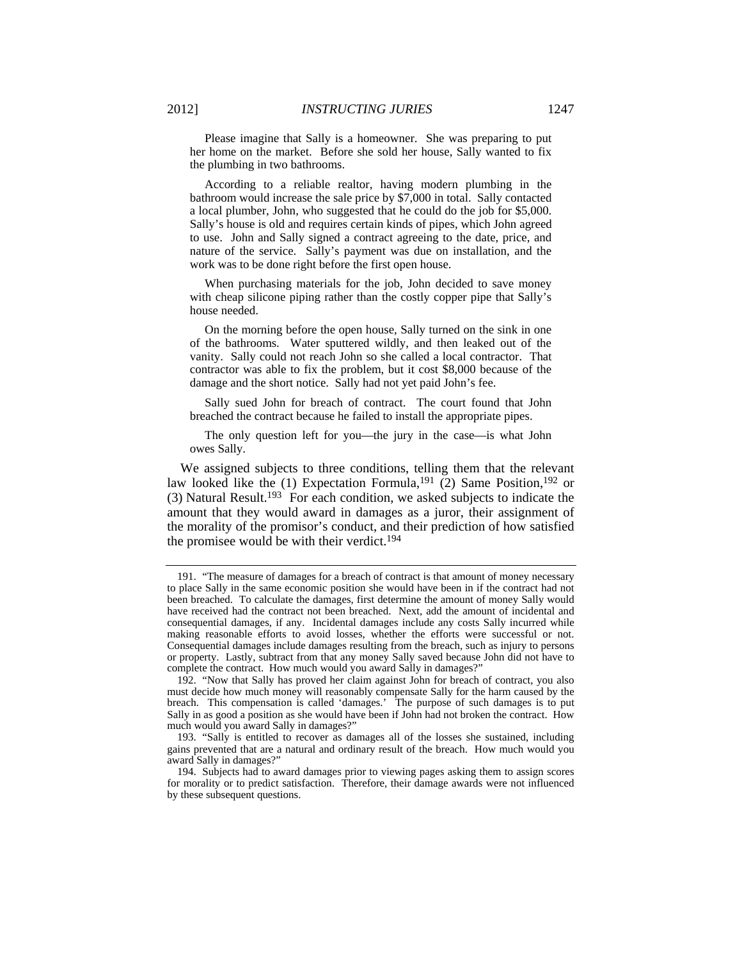Please imagine that Sally is a homeowner. She was preparing to put her home on the market. Before she sold her house, Sally wanted to fix the plumbing in two bathrooms.

 According to a reliable realtor, having modern plumbing in the bathroom would increase the sale price by \$7,000 in total. Sally contacted a local plumber, John, who suggested that he could do the job for \$5,000. Sally's house is old and requires certain kinds of pipes, which John agreed to use. John and Sally signed a contract agreeing to the date, price, and nature of the service. Sally's payment was due on installation, and the work was to be done right before the first open house.

 When purchasing materials for the job, John decided to save money with cheap silicone piping rather than the costly copper pipe that Sally's house needed.

 On the morning before the open house, Sally turned on the sink in one of the bathrooms. Water sputtered wildly, and then leaked out of the vanity. Sally could not reach John so she called a local contractor. That contractor was able to fix the problem, but it cost \$8,000 because of the damage and the short notice. Sally had not yet paid John's fee.

 Sally sued John for breach of contract. The court found that John breached the contract because he failed to install the appropriate pipes.

 The only question left for you—the jury in the case—is what John owes Sally.

We assigned subjects to three conditions, telling them that the relevant law looked like the (1) Expectation Formula, <sup>191</sup> (2) Same Position, <sup>192</sup> or (3) Natural Result.193 For each condition, we asked subjects to indicate the amount that they would award in damages as a juror, their assignment of the morality of the promisor's conduct, and their prediction of how satisfied the promisee would be with their verdict.194

 <sup>191. &</sup>quot;The measure of damages for a breach of contract is that amount of money necessary to place Sally in the same economic position she would have been in if the contract had not been breached. To calculate the damages, first determine the amount of money Sally would have received had the contract not been breached. Next, add the amount of incidental and consequential damages, if any. Incidental damages include any costs Sally incurred while making reasonable efforts to avoid losses, whether the efforts were successful or not. Consequential damages include damages resulting from the breach, such as injury to persons or property. Lastly, subtract from that any money Sally saved because John did not have to complete the contract. How much would you award Sally in damages?"

 <sup>192. &</sup>quot;Now that Sally has proved her claim against John for breach of contract, you also must decide how much money will reasonably compensate Sally for the harm caused by the breach. This compensation is called 'damages.' The purpose of such damages is to put Sally in as good a position as she would have been if John had not broken the contract. How much would you award Sally in damages?"

 <sup>193. &</sup>quot;Sally is entitled to recover as damages all of the losses she sustained, including gains prevented that are a natural and ordinary result of the breach. How much would you award Sally in damages?"

 <sup>194.</sup> Subjects had to award damages prior to viewing pages asking them to assign scores for morality or to predict satisfaction. Therefore, their damage awards were not influenced by these subsequent questions.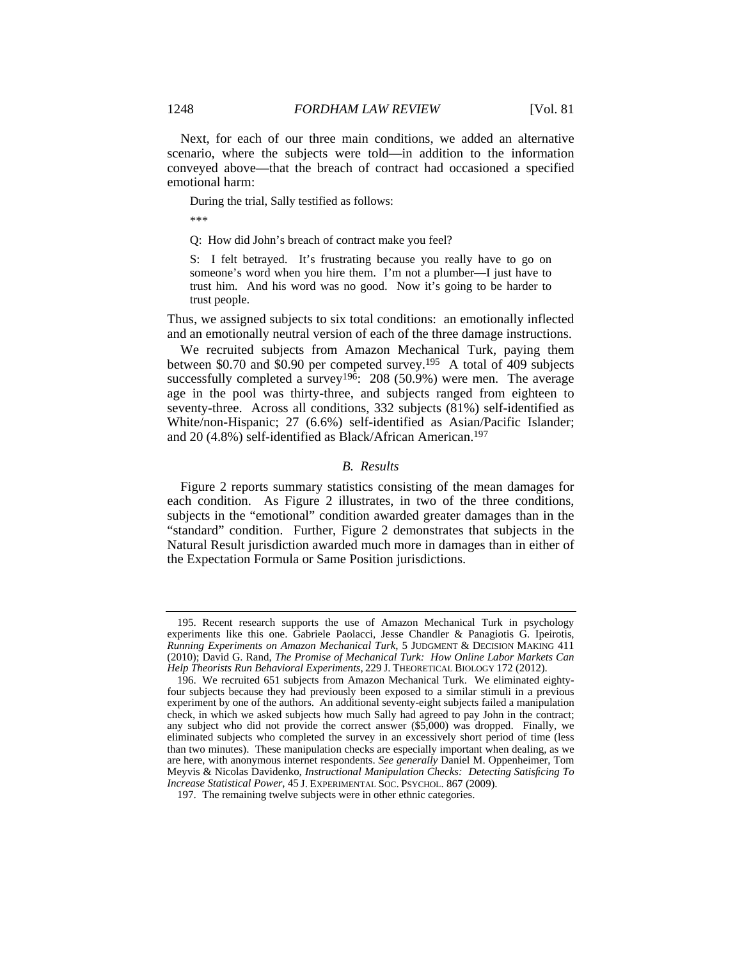Next, for each of our three main conditions, we added an alternative scenario, where the subjects were told—in addition to the information conveyed above—that the breach of contract had occasioned a specified emotional harm:

During the trial, Sally testified as follows:

\*\*\*

Q: How did John's breach of contract make you feel?

S: I felt betrayed. It's frustrating because you really have to go on someone's word when you hire them. I'm not a plumber—I just have to trust him. And his word was no good. Now it's going to be harder to trust people.

Thus, we assigned subjects to six total conditions: an emotionally inflected and an emotionally neutral version of each of the three damage instructions.

We recruited subjects from Amazon Mechanical Turk, paying them between \$0.70 and \$0.90 per competed survey.195 A total of 409 subjects successfully completed a survey<sup>196</sup>: 208 (50.9%) were men. The average age in the pool was thirty-three, and subjects ranged from eighteen to seventy-three. Across all conditions, 332 subjects (81%) self-identified as White/non-Hispanic; 27 (6.6%) self-identified as Asian/Pacific Islander; and 20 (4.8%) self-identified as Black/African American.197

### *B. Results*

Figure 2 reports summary statistics consisting of the mean damages for each condition. As Figure 2 illustrates, in two of the three conditions, subjects in the "emotional" condition awarded greater damages than in the "standard" condition. Further, Figure 2 demonstrates that subjects in the Natural Result jurisdiction awarded much more in damages than in either of the Expectation Formula or Same Position jurisdictions.

 <sup>195.</sup> Recent research supports the use of Amazon Mechanical Turk in psychology experiments like this one. Gabriele Paolacci, Jesse Chandler & Panagiotis G. Ipeirotis, *Running Experiments on Amazon Mechanical Turk*, 5 JUDGMENT & DECISION MAKING 411 (2010); David G. Rand, *The Promise of Mechanical Turk: How Online Labor Markets Can Help Theorists Run Behavioral Experiments*, 229 J. THEORETICAL BIOLOGY 172 (2012).

 <sup>196.</sup> We recruited 651 subjects from Amazon Mechanical Turk. We eliminated eightyfour subjects because they had previously been exposed to a similar stimuli in a previous experiment by one of the authors. An additional seventy-eight subjects failed a manipulation check, in which we asked subjects how much Sally had agreed to pay John in the contract; any subject who did not provide the correct answer (\$5,000) was dropped. Finally, we eliminated subjects who completed the survey in an excessively short period of time (less than two minutes). These manipulation checks are especially important when dealing, as we are here, with anonymous internet respondents. *See generally* Daniel M. Oppenheimer, Tom Meyvis & Nicolas Davidenko, *Instructional Manipulation Checks: Detecting Satisficing To Increase Statistical Power*, 45 J. EXPERIMENTAL SOC. PSYCHOL. 867 (2009).

 <sup>197.</sup> The remaining twelve subjects were in other ethnic categories.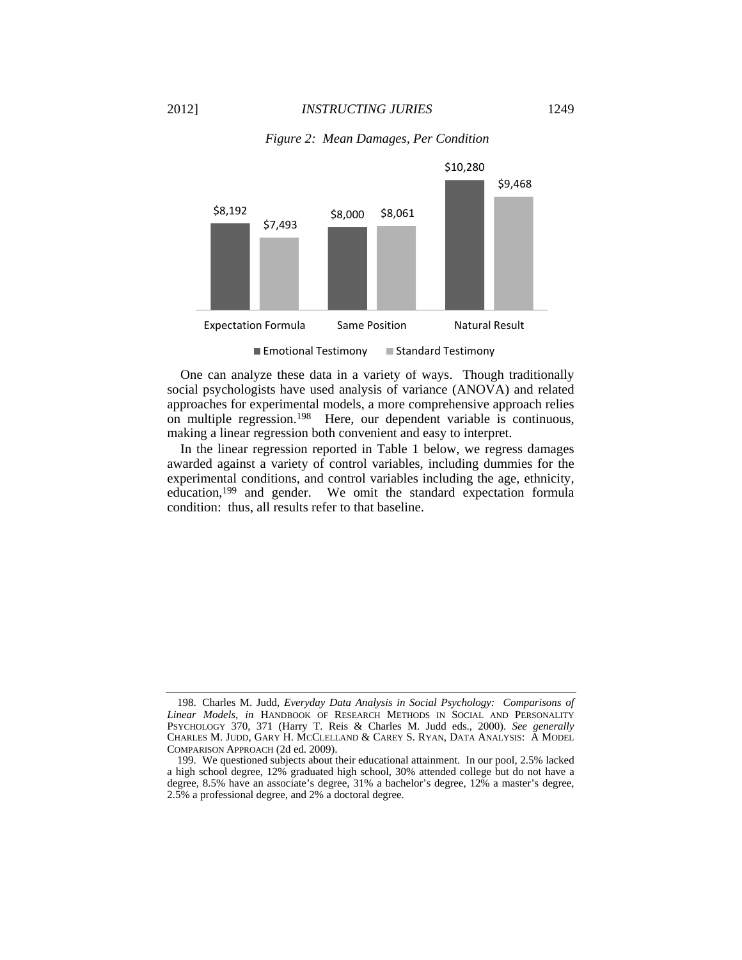



■ Emotional Testimony ■ Standard Testimony

One can analyze these data in a variety of ways. Though traditionally social psychologists have used analysis of variance (ANOVA) and related approaches for experimental models, a more comprehensive approach relies on multiple regression.198 Here, our dependent variable is continuous, making a linear regression both convenient and easy to interpret.

In the linear regression reported in Table 1 below, we regress damages awarded against a variety of control variables, including dummies for the experimental conditions, and control variables including the age, ethnicity, education,199 and gender. We omit the standard expectation formula condition: thus, all results refer to that baseline.

 <sup>198.</sup> Charles M. Judd, *Everyday Data Analysis in Social Psychology: Comparisons of Linear Models*, *in* HANDBOOK OF RESEARCH METHODS IN SOCIAL AND PERSONALITY PSYCHOLOGY 370, 371 (Harry T. Reis & Charles M. Judd eds., 2000). *See generally*  CHARLES M. JUDD, GARY H. MCCLELLAND & CAREY S. RYAN, DATA ANALYSIS: A MODEL COMPARISON APPROACH (2d ed. 2009).

 <sup>199.</sup> We questioned subjects about their educational attainment. In our pool, 2.5% lacked a high school degree, 12% graduated high school, 30% attended college but do not have a degree, 8.5% have an associate's degree, 31% a bachelor's degree, 12% a master's degree, 2.5% a professional degree, and 2% a doctoral degree.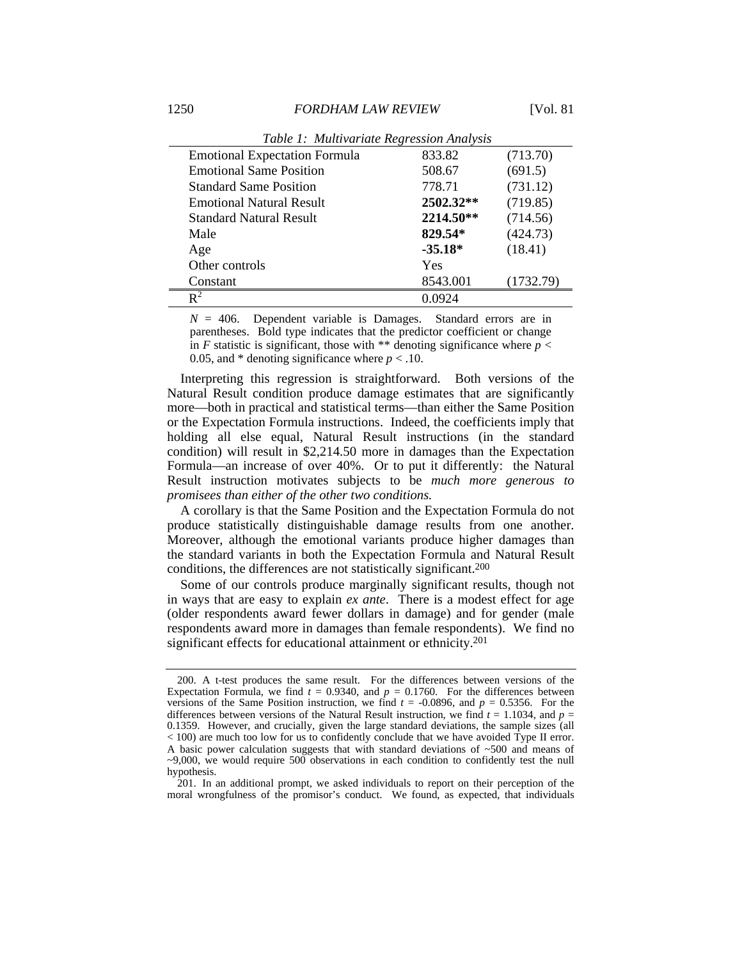| Twore It haller can leave Ite group to the contract the state |           |           |
|---------------------------------------------------------------|-----------|-----------|
| <b>Emotional Expectation Formula</b>                          | 833.82    | (713.70)  |
| <b>Emotional Same Position</b>                                | 508.67    | (691.5)   |
| <b>Standard Same Position</b>                                 | 778.71    | (731.12)  |
| <b>Emotional Natural Result</b>                               | 2502.32** | (719.85)  |
| <b>Standard Natural Result</b>                                | 2214.50** | (714.56)  |
| Male                                                          | 829.54*   | (424.73)  |
| Age                                                           | $-35.18*$ | (18.41)   |
| Other controls                                                | Yes       |           |
| Constant                                                      | 8543.001  | (1732.79) |
| $\mathbf{R}^2$                                                | 0.0924    |           |
|                                                               |           |           |

*Table 1: Multivariate Regression Analysis* 

 $N = 406$ . Dependent variable is Damages. Standard errors are in parentheses. Bold type indicates that the predictor coefficient or change in *F* statistic is significant, those with \*\* denoting significance where  $p <$ 0.05, and  $*$  denoting significance where  $p < 0.10$ .

Interpreting this regression is straightforward. Both versions of the Natural Result condition produce damage estimates that are significantly more—both in practical and statistical terms—than either the Same Position or the Expectation Formula instructions. Indeed, the coefficients imply that holding all else equal, Natural Result instructions (in the standard condition) will result in \$2,214.50 more in damages than the Expectation Formula—an increase of over 40%. Or to put it differently: the Natural Result instruction motivates subjects to be *much more generous to promisees than either of the other two conditions.*

A corollary is that the Same Position and the Expectation Formula do not produce statistically distinguishable damage results from one another. Moreover, although the emotional variants produce higher damages than the standard variants in both the Expectation Formula and Natural Result conditions, the differences are not statistically significant.200

Some of our controls produce marginally significant results, though not in ways that are easy to explain *ex ante*. There is a modest effect for age (older respondents award fewer dollars in damage) and for gender (male respondents award more in damages than female respondents). We find no significant effects for educational attainment or ethnicity.<sup>201</sup>

 <sup>200.</sup> A t-test produces the same result. For the differences between versions of the Expectation Formula, we find  $t = 0.9340$ , and  $p = 0.1760$ . For the differences between versions of the Same Position instruction, we find  $t = -0.0896$ , and  $p = 0.5356$ . For the differences between versions of the Natural Result instruction, we find  $t = 1.1034$ , and  $p =$ 0.1359. However, and crucially, given the large standard deviations, the sample sizes (all < 100) are much too low for us to confidently conclude that we have avoided Type II error. A basic power calculation suggests that with standard deviations of  $\sim$ 500 and means of ~9,000, we would require 500 observations in each condition to confidently test the null hypothesis.

 <sup>201.</sup> In an additional prompt, we asked individuals to report on their perception of the moral wrongfulness of the promisor's conduct. We found, as expected, that individuals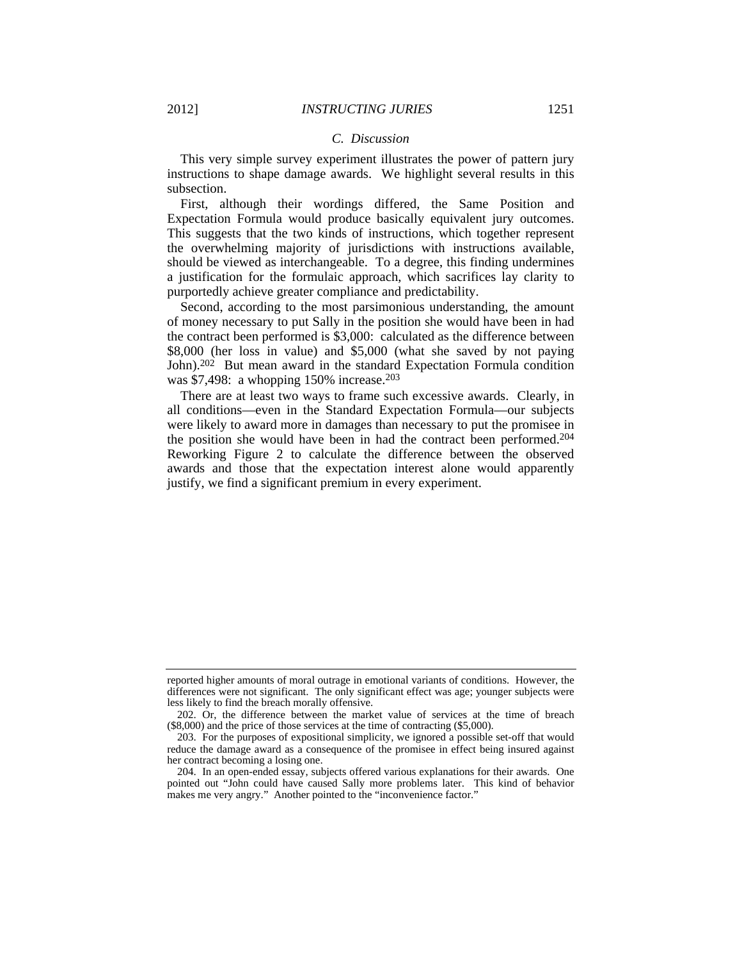#### *C. Discussion*

This very simple survey experiment illustrates the power of pattern jury instructions to shape damage awards. We highlight several results in this subsection.

First, although their wordings differed, the Same Position and Expectation Formula would produce basically equivalent jury outcomes. This suggests that the two kinds of instructions, which together represent the overwhelming majority of jurisdictions with instructions available, should be viewed as interchangeable. To a degree, this finding undermines a justification for the formulaic approach, which sacrifices lay clarity to purportedly achieve greater compliance and predictability.

Second, according to the most parsimonious understanding, the amount of money necessary to put Sally in the position she would have been in had the contract been performed is \$3,000: calculated as the difference between \$8,000 (her loss in value) and \$5,000 (what she saved by not paying John).202 But mean award in the standard Expectation Formula condition was \$7,498: a whopping 150% increase.<sup>203</sup>

There are at least two ways to frame such excessive awards. Clearly, in all conditions—even in the Standard Expectation Formula—our subjects were likely to award more in damages than necessary to put the promisee in the position she would have been in had the contract been performed.204 Reworking Figure 2 to calculate the difference between the observed awards and those that the expectation interest alone would apparently justify, we find a significant premium in every experiment.

reported higher amounts of moral outrage in emotional variants of conditions. However, the differences were not significant. The only significant effect was age; younger subjects were less likely to find the breach morally offensive.

 <sup>202.</sup> Or, the difference between the market value of services at the time of breach (\$8,000) and the price of those services at the time of contracting (\$5,000).

 <sup>203.</sup> For the purposes of expositional simplicity, we ignored a possible set-off that would reduce the damage award as a consequence of the promisee in effect being insured against her contract becoming a losing one.

 <sup>204.</sup> In an open-ended essay, subjects offered various explanations for their awards. One pointed out "John could have caused Sally more problems later. This kind of behavior makes me very angry." Another pointed to the "inconvenience factor."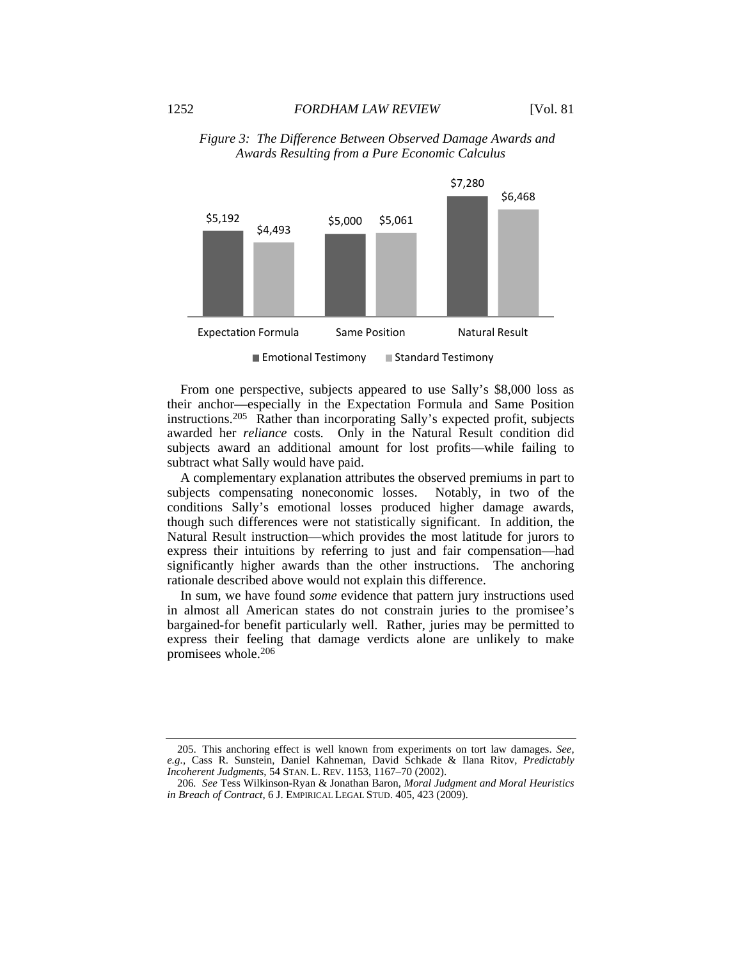



 $\blacksquare$  Emotional Testimony  $\blacksquare$  Standard Testimony

From one perspective, subjects appeared to use Sally's \$8,000 loss as their anchor—especially in the Expectation Formula and Same Position instructions.205 Rather than incorporating Sally's expected profit, subjects awarded her *reliance* costs*.* Only in the Natural Result condition did subjects award an additional amount for lost profits—while failing to subtract what Sally would have paid.

A complementary explanation attributes the observed premiums in part to subjects compensating noneconomic losses. Notably, in two of the conditions Sally's emotional losses produced higher damage awards, though such differences were not statistically significant. In addition, the Natural Result instruction—which provides the most latitude for jurors to express their intuitions by referring to just and fair compensation—had significantly higher awards than the other instructions. The anchoring rationale described above would not explain this difference.

In sum, we have found *some* evidence that pattern jury instructions used in almost all American states do not constrain juries to the promisee's bargained-for benefit particularly well. Rather, juries may be permitted to express their feeling that damage verdicts alone are unlikely to make promisees whole.206

 205. This anchoring effect is well known from experiments on tort law damages. *See, e.g.*, Cass R. Sunstein, Daniel Kahneman, David Schkade & Ilana Ritov, *Predictably Incoherent Judgments*, 54 STAN. L. REV. 1153, 1167–70 (2002).

<sup>206</sup>*. See* Tess Wilkinson-Ryan & Jonathan Baron, *Moral Judgment and Moral Heuristics in Breach of Contract*, 6 J. EMPIRICAL LEGAL STUD. 405, 423 (2009).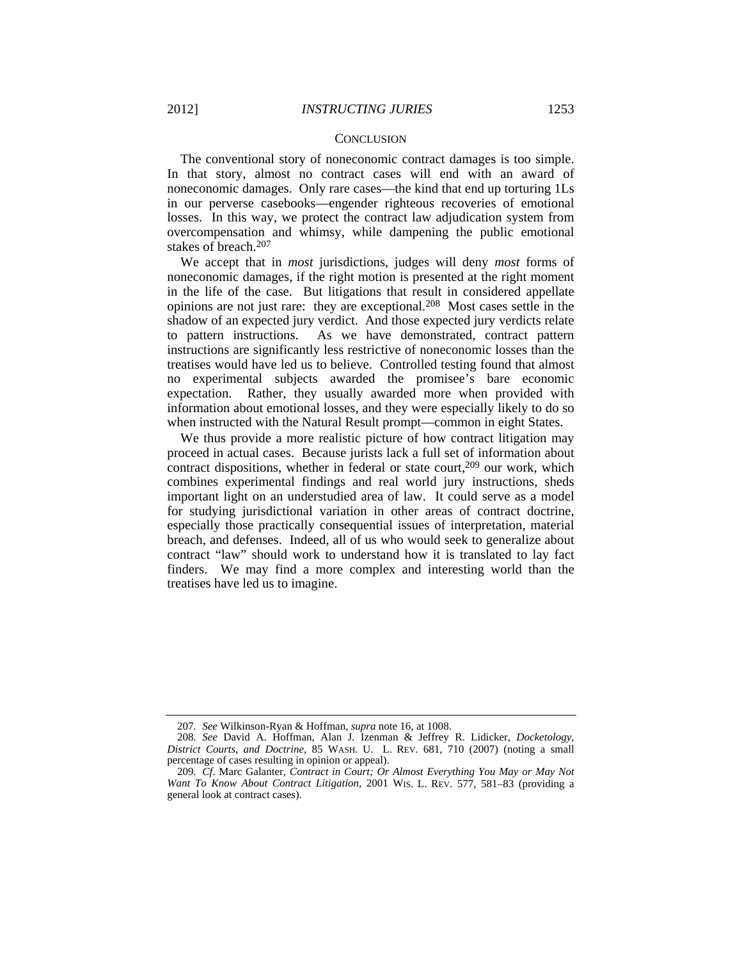#### **CONCLUSION**

The conventional story of noneconomic contract damages is too simple. In that story, almost no contract cases will end with an award of noneconomic damages. Only rare cases—the kind that end up torturing 1Ls in our perverse casebooks—engender righteous recoveries of emotional losses. In this way, we protect the contract law adjudication system from overcompensation and whimsy, while dampening the public emotional stakes of breach.207

We accept that in *most* jurisdictions, judges will deny *most* forms of noneconomic damages, if the right motion is presented at the right moment in the life of the case. But litigations that result in considered appellate opinions are not just rare: they are exceptional.208 Most cases settle in the shadow of an expected jury verdict. And those expected jury verdicts relate to pattern instructions. As we have demonstrated, contract pattern instructions are significantly less restrictive of noneconomic losses than the treatises would have led us to believe. Controlled testing found that almost no experimental subjects awarded the promisee's bare economic expectation. Rather, they usually awarded more when provided with information about emotional losses, and they were especially likely to do so when instructed with the Natural Result prompt—common in eight States.

We thus provide a more realistic picture of how contract litigation may proceed in actual cases. Because jurists lack a full set of information about contract dispositions, whether in federal or state court, $209$  our work, which combines experimental findings and real world jury instructions, sheds important light on an understudied area of law. It could serve as a model for studying jurisdictional variation in other areas of contract doctrine, especially those practically consequential issues of interpretation, material breach, and defenses. Indeed, all of us who would seek to generalize about contract "law" should work to understand how it is translated to lay fact finders. We may find a more complex and interesting world than the treatises have led us to imagine.

<sup>207</sup>*. See* Wilkinson-Ryan & Hoffman, *supra* note 16, at 1008.

<sup>208</sup>*. See* David A. Hoffman, Alan J. Izenman & Jeffrey R. Lidicker, *Docketology*, *District Courts*, *and Doctrine*, 85 WASH. U. L. REV. 681, 710 (2007) (noting a small percentage of cases resulting in opinion or appeal).

<sup>209</sup>*. Cf*. Marc Galanter, *Contract in Court; Or Almost Everything You May or May Not Want To Know About Contract Litigation*, 2001 WIS. L. REV. 577, 581–83 (providing a general look at contract cases).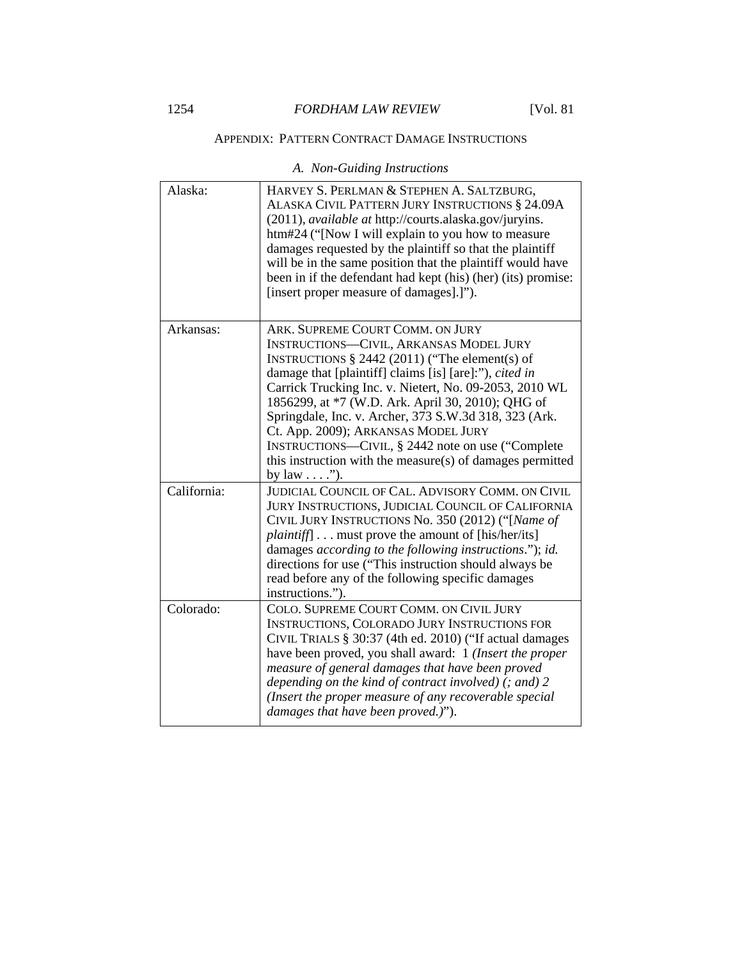## APPENDIX: PATTERN CONTRACT DAMAGE INSTRUCTIONS

| Alaska:     | HARVEY S. PERLMAN & STEPHEN A. SALTZBURG,<br>ALASKA CIVIL PATTERN JURY INSTRUCTIONS § 24.09A<br>(2011), <i>available at http://courts.alaska.gov/juryins.</i><br>htm#24 ("[Now I will explain to you how to measure<br>damages requested by the plaintiff so that the plaintiff<br>will be in the same position that the plaintiff would have<br>been in if the defendant had kept (his) (her) (its) promise:<br>[insert proper measure of damages].]").                                                                                                   |
|-------------|------------------------------------------------------------------------------------------------------------------------------------------------------------------------------------------------------------------------------------------------------------------------------------------------------------------------------------------------------------------------------------------------------------------------------------------------------------------------------------------------------------------------------------------------------------|
| Arkansas:   | ARK. SUPREME COURT COMM. ON JURY<br><b>INSTRUCTIONS-CIVIL, ARKANSAS MODEL JURY</b><br>INSTRUCTIONS $\S$ 2442 (2011) ("The element(s) of<br>damage that [plaintiff] claims [is] [are]:"), cited in<br>Carrick Trucking Inc. v. Nietert, No. 09-2053, 2010 WL<br>1856299, at *7 (W.D. Ark. April 30, 2010); QHG of<br>Springdale, Inc. v. Archer, 373 S.W.3d 318, 323 (Ark.<br>Ct. App. 2009); ARKANSAS MODEL JURY<br>INSTRUCTIONS—CIVIL, § 2442 note on use ("Complete"<br>this instruction with the measure(s) of damages permitted<br>by law $\dots$ ."). |
| California: | JUDICIAL COUNCIL OF CAL. ADVISORY COMM. ON CIVIL<br><b>JURY INSTRUCTIONS, JUDICIAL COUNCIL OF CALIFORNIA</b><br>CIVIL JURY INSTRUCTIONS No. 350 (2012) ("[Name of<br><i>plaintiff</i> must prove the amount of [his/her/its]<br>damages according to the following instructions."); id.<br>directions for use ("This instruction should always be<br>read before any of the following specific damages<br>instructions.").                                                                                                                                 |
| Colorado:   | COLO. SUPREME COURT COMM. ON CIVIL JURY<br>INSTRUCTIONS, COLORADO JURY INSTRUCTIONS FOR<br>CIVIL TRIALS § 30:37 (4th ed. 2010) ("If actual damages<br>have been proved, you shall award: 1 (Insert the proper<br>measure of general damages that have been proved<br>depending on the kind of contract involved) $($ ; and) 2<br>(Insert the proper measure of any recoverable special<br>damages that have been proved.)").                                                                                                                               |

*A. Non-Guiding Instructions*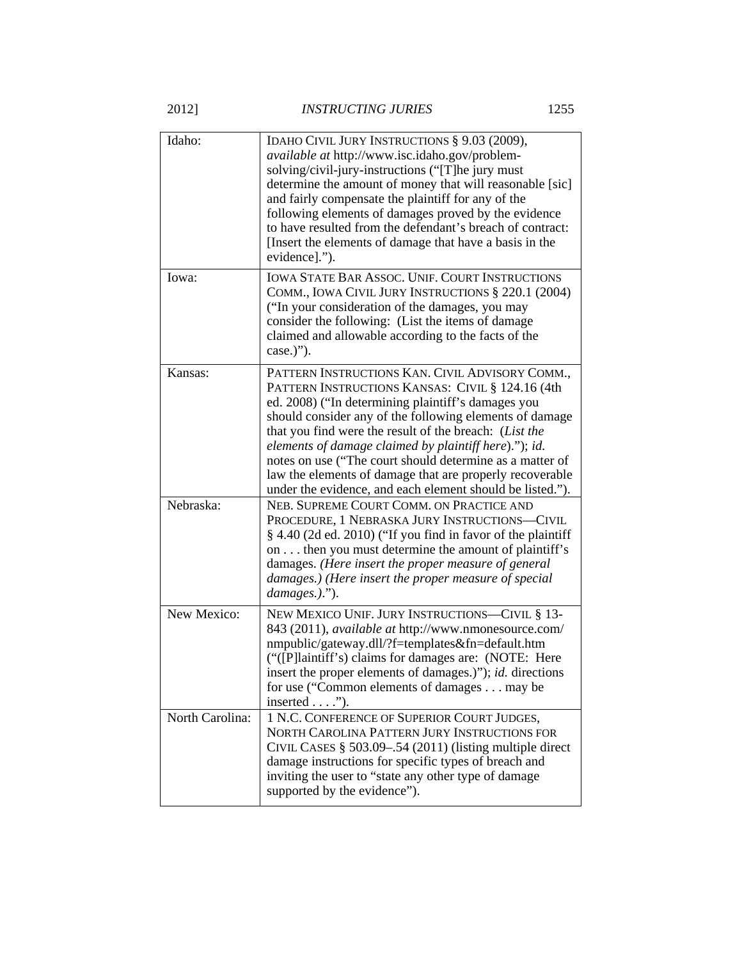| Idaho:          | IDAHO CIVIL JURY INSTRUCTIONS § 9.03 (2009),<br>available at http://www.isc.idaho.gov/problem-<br>solving/civil-jury-instructions ("[T]he jury must<br>determine the amount of money that will reasonable [sic]<br>and fairly compensate the plaintiff for any of the<br>following elements of damages proved by the evidence<br>to have resulted from the defendant's breach of contract:<br>[Insert the elements of damage that have a basis in the<br>evidence].").                                                       |
|-----------------|------------------------------------------------------------------------------------------------------------------------------------------------------------------------------------------------------------------------------------------------------------------------------------------------------------------------------------------------------------------------------------------------------------------------------------------------------------------------------------------------------------------------------|
| Iowa:           | <b>IOWA STATE BAR ASSOC. UNIF. COURT INSTRUCTIONS</b><br>COMM., IOWA CIVIL JURY INSTRUCTIONS § 220.1 (2004)<br>("In your consideration of the damages, you may<br>consider the following: (List the items of damage<br>claimed and allowable according to the facts of the<br>case.)").                                                                                                                                                                                                                                      |
| Kansas:         | PATTERN INSTRUCTIONS KAN. CIVIL ADVISORY COMM.,<br>PATTERN INSTRUCTIONS KANSAS: CIVIL § 124.16 (4th<br>ed. 2008) ("In determining plaintiff's damages you<br>should consider any of the following elements of damage<br>that you find were the result of the breach: (List the<br>elements of damage claimed by plaintiff here)."); id.<br>notes on use ("The court should determine as a matter of<br>law the elements of damage that are properly recoverable<br>under the evidence, and each element should be listed."). |
| Nebraska:       | NEB. SUPREME COURT COMM. ON PRACTICE AND<br>PROCEDURE, 1 NEBRASKA JURY INSTRUCTIONS-CIVIL<br>§ 4.40 (2d ed. 2010) ("If you find in favor of the plaintiff<br>on then you must determine the amount of plaintiff's<br>damages. (Here insert the proper measure of general<br>damages.) (Here insert the proper measure of special<br>damages.).").                                                                                                                                                                            |
| New Mexico:     | NEW MEXICO UNIF. JURY INSTRUCTIONS-CIVIL § 13-<br>843 (2011), available at http://www.nmonesource.com/<br>nmpublic/gateway.dll/?f=templates&fn=default.htm<br>("([P]laintiff's) claims for damages are: (NOTE: Here)<br>insert the proper elements of damages.)"); id. directions<br>for use ("Common elements of damages may be<br>inserted $\dots$ .").                                                                                                                                                                    |
| North Carolina: | 1 N.C. CONFERENCE OF SUPERIOR COURT JUDGES,<br>NORTH CAROLINA PATTERN JURY INSTRUCTIONS FOR<br>CIVIL CASES § 503.09-.54 (2011) (listing multiple direct<br>damage instructions for specific types of breach and<br>inviting the user to "state any other type of damage<br>supported by the evidence").                                                                                                                                                                                                                      |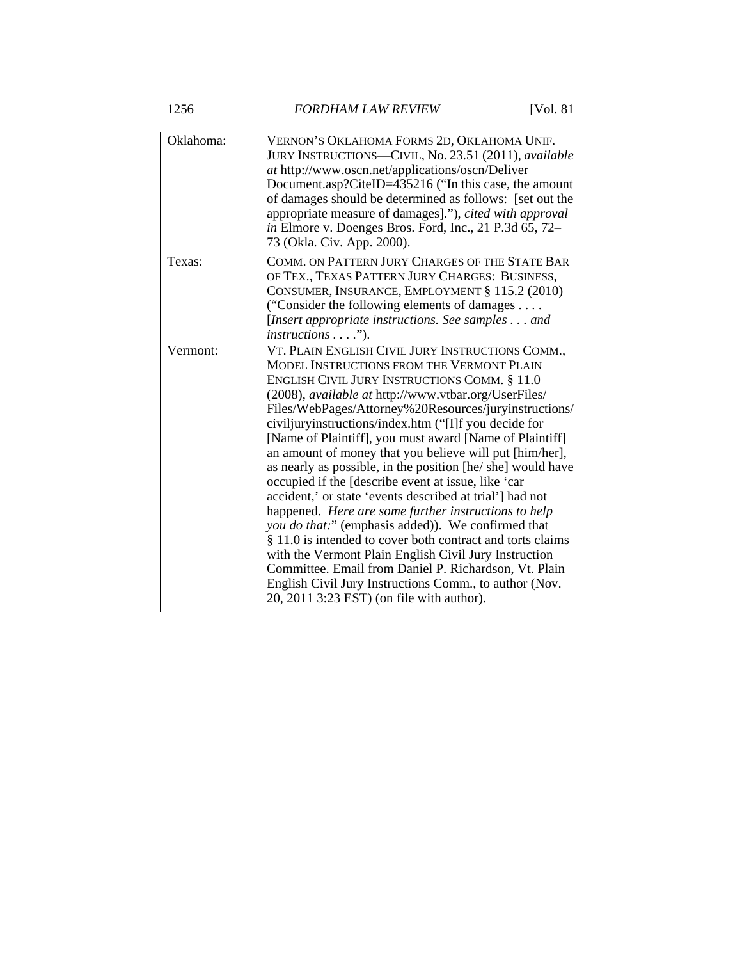1256 *FORDHAM LAW REVIEW* [Vol. 81

| Oklahoma: | VERNON'S OKLAHOMA FORMS 2D, OKLAHOMA UNIF.<br>JURY INSTRUCTIONS-CIVIL, No. 23.51 (2011), available<br>at http://www.oscn.net/applications/oscn/Deliver<br>Document.asp?CiteID=435216 ("In this case, the amount<br>of damages should be determined as follows: [set out the<br>appropriate measure of damages]."), cited with approval<br>in Elmore v. Doenges Bros. Ford, Inc., 21 P.3d 65, 72-<br>73 (Okla. Civ. App. 2000).                                                                                                                                                                                                                                                                                                                                                                                                                                                                                                                                                                                                       |
|-----------|--------------------------------------------------------------------------------------------------------------------------------------------------------------------------------------------------------------------------------------------------------------------------------------------------------------------------------------------------------------------------------------------------------------------------------------------------------------------------------------------------------------------------------------------------------------------------------------------------------------------------------------------------------------------------------------------------------------------------------------------------------------------------------------------------------------------------------------------------------------------------------------------------------------------------------------------------------------------------------------------------------------------------------------|
| Texas:    | COMM. ON PATTERN JURY CHARGES OF THE STATE BAR<br>OF TEX., TEXAS PATTERN JURY CHARGES: BUSINESS,<br>CONSUMER, INSURANCE, EMPLOYMENT § 115.2 (2010)<br>("Consider the following elements of damages $\dots$<br>[Insert appropriate instructions. See samples and<br>$instructions \ldots$ ").                                                                                                                                                                                                                                                                                                                                                                                                                                                                                                                                                                                                                                                                                                                                         |
| Vermont:  | VT. PLAIN ENGLISH CIVIL JURY INSTRUCTIONS COMM.,<br>MODEL INSTRUCTIONS FROM THE VERMONT PLAIN<br>ENGLISH CIVIL JURY INSTRUCTIONS COMM. § 11.0<br>(2008), available at http://www.vtbar.org/UserFiles/<br>Files/WebPages/Attorney%20Resources/juryinstructions/<br>civiljuryinstructions/index.htm ("[I]f you decide for<br>[Name of Plaintiff], you must award [Name of Plaintiff]<br>an amount of money that you believe will put [him/her],<br>as nearly as possible, in the position [he/ she] would have<br>occupied if the [describe event at issue, like 'car<br>accident,' or state 'events described at trial'] had not<br>happened. Here are some further instructions to help<br>you do that:" (emphasis added)). We confirmed that<br>§ 11.0 is intended to cover both contract and torts claims<br>with the Vermont Plain English Civil Jury Instruction<br>Committee. Email from Daniel P. Richardson, Vt. Plain<br>English Civil Jury Instructions Comm., to author (Nov.<br>20, 2011 3:23 EST) (on file with author). |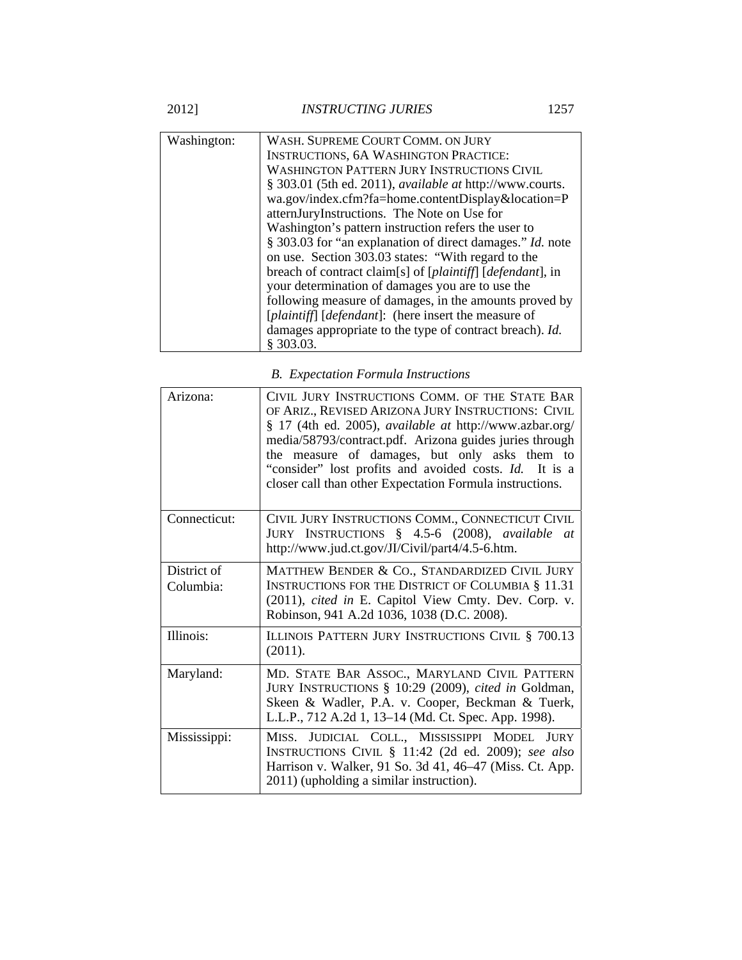2012] *INSTRUCTING JURIES* 1257

| Washington: | WASH. SUPREME COURT COMM. ON JURY                                      |
|-------------|------------------------------------------------------------------------|
|             |                                                                        |
|             | <b>INSTRUCTIONS, 6A WASHINGTON PRACTICE:</b>                           |
|             | <b>WASHINGTON PATTERN JURY INSTRUCTIONS CIVIL</b>                      |
|             | § 303.01 (5th ed. 2011), <i>available at http://www.courts.</i>        |
|             | wa.gov/index.cfm?fa=home.contentDisplay&location=P                     |
|             | atternJuryInstructions. The Note on Use for                            |
|             | Washington's pattern instruction refers the user to                    |
|             | § 303.03 for "an explanation of direct damages." Id. note              |
|             | on use. Section 303.03 states: "With regard to the                     |
|             | breach of contract claim[s] of [plaintiff] [defendant], in             |
|             | your determination of damages you are to use the                       |
|             | following measure of damages, in the amounts proved by                 |
|             | [ <i>plaintiff</i> ] [ <i>defendant</i> ]: (here insert the measure of |
|             | damages appropriate to the type of contract breach). Id.               |
|             | § 303.03.                                                              |

|  | <b>B.</b> Expectation Formula Instructions |  |
|--|--------------------------------------------|--|
|--|--------------------------------------------|--|

| Arizona:                 | CIVIL JURY INSTRUCTIONS COMM. OF THE STATE BAR<br>OF ARIZ., REVISED ARIZONA JURY INSTRUCTIONS: CIVIL<br>§ 17 (4th ed. 2005), <i>available at http://www.azbar.org/</i><br>media/58793/contract.pdf. Arizona guides juries through<br>the measure of damages, but only asks them to<br>"consider" lost profits and avoided costs. Id. It is a<br>closer call than other Expectation Formula instructions. |
|--------------------------|----------------------------------------------------------------------------------------------------------------------------------------------------------------------------------------------------------------------------------------------------------------------------------------------------------------------------------------------------------------------------------------------------------|
| Connecticut:             | CIVIL JURY INSTRUCTIONS COMM., CONNECTICUT CIVIL<br>JURY INSTRUCTIONS § 4.5-6 (2008), available at<br>http://www.jud.ct.gov/JI/Civil/part4/4.5-6.htm.                                                                                                                                                                                                                                                    |
| District of<br>Columbia: | MATTHEW BENDER & CO., STANDARDIZED CIVIL JURY<br><b>INSTRUCTIONS FOR THE DISTRICT OF COLUMBIA § 11.31</b><br>(2011), cited in E. Capitol View Cmty. Dev. Corp. v.<br>Robinson, 941 A.2d 1036, 1038 (D.C. 2008).                                                                                                                                                                                          |
| Illinois:                | ILLINOIS PATTERN JURY INSTRUCTIONS CIVIL § 700.13<br>(2011).                                                                                                                                                                                                                                                                                                                                             |
| Maryland:                | MD. STATE BAR ASSOC., MARYLAND CIVIL PATTERN<br>JURY INSTRUCTIONS § 10:29 (2009), cited in Goldman,<br>Skeen & Wadler, P.A. v. Cooper, Beckman & Tuerk,<br>L.L.P., 712 A.2d 1, 13–14 (Md. Ct. Spec. App. 1998).                                                                                                                                                                                          |
| Mississippi:             | MISS. JUDICIAL COLL., MISSISSIPPI MODEL JURY<br>INSTRUCTIONS CIVIL § 11:42 (2d ed. 2009); see also<br>Harrison v. Walker, 91 So. 3d 41, 46-47 (Miss. Ct. App.<br>2011) (upholding a similar instruction).                                                                                                                                                                                                |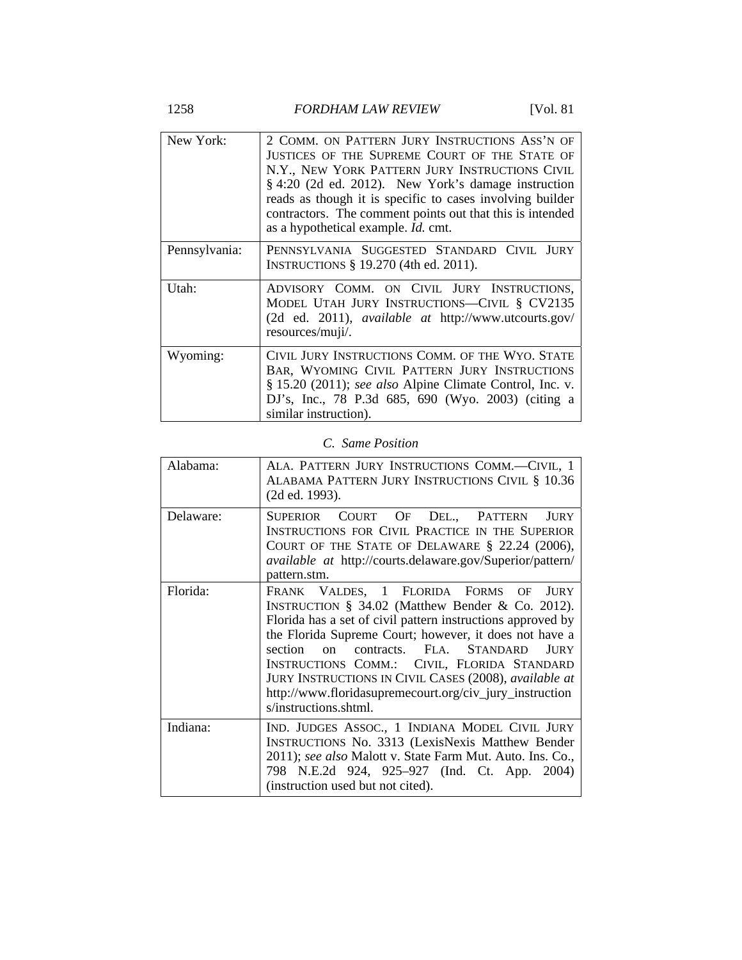1258 *FORDHAM LAW REVIEW* [Vol. 81

| New York:     | 2 COMM. ON PATTERN JURY INSTRUCTIONS ASS'N OF<br>JUSTICES OF THE SUPREME COURT OF THE STATE OF<br>N.Y., NEW YORK PATTERN JURY INSTRUCTIONS CIVIL<br>§ 4:20 (2d ed. 2012). New York's damage instruction<br>reads as though it is specific to cases involving builder<br>contractors. The comment points out that this is intended<br>as a hypothetical example. <i>Id.</i> cmt. |
|---------------|---------------------------------------------------------------------------------------------------------------------------------------------------------------------------------------------------------------------------------------------------------------------------------------------------------------------------------------------------------------------------------|
| Pennsylvania: | PENNSYLVANIA SUGGESTED STANDARD CIVIL JURY<br>INSTRUCTIONS § 19.270 (4th ed. 2011).                                                                                                                                                                                                                                                                                             |
| Utah:         | ADVISORY COMM. ON CIVIL JURY INSTRUCTIONS,<br>MODEL UTAH JURY INSTRUCTIONS-CIVIL § CV2135<br>(2d ed. 2011), <i>available at http://www.utcourts.gov/</i><br>resources/muji/.                                                                                                                                                                                                    |
| Wyoming:      | CIVIL JURY INSTRUCTIONS COMM. OF THE WYO. STATE<br>BAR, WYOMING CIVIL PATTERN JURY INSTRUCTIONS<br>§ 15.20 (2011); see also Alpine Climate Control, Inc. v.<br>DJ's, Inc., 78 P.3d 685, 690 (Wyo. 2003) (citing a<br>similar instruction).                                                                                                                                      |

# *C. Same Position*

| Alabama:  | ALA. PATTERN JURY INSTRUCTIONS COMM.-CIVIL, 1<br>ALABAMA PATTERN JURY INSTRUCTIONS CIVIL § 10.36<br>(2d ed. 1993).                                                                                                                                                                                                                                                                                                                                                                         |
|-----------|--------------------------------------------------------------------------------------------------------------------------------------------------------------------------------------------------------------------------------------------------------------------------------------------------------------------------------------------------------------------------------------------------------------------------------------------------------------------------------------------|
| Delaware: | SUPERIOR COURT OF DEL., PATTERN<br><b>JURY</b><br><b>INSTRUCTIONS FOR CIVIL PRACTICE IN THE SUPERIOR</b><br>COURT OF THE STATE OF DELAWARE $\S$ 22.24 (2006),<br>available at http://courts.delaware.gov/Superior/pattern/<br>pattern.stm.                                                                                                                                                                                                                                                 |
| Florida:  | FRANK VALDES, 1 FLORIDA FORMS OF<br><b>JURY</b><br>INSTRUCTION § 34.02 (Matthew Bender & Co. 2012).<br>Florida has a set of civil pattern instructions approved by<br>the Florida Supreme Court; however, it does not have a<br>contracts. FLA. STANDARD<br>section<br><b>IURY</b><br>$\Omega$<br>INSTRUCTIONS COMM.: CIVIL, FLORIDA STANDARD<br>JURY INSTRUCTIONS IN CIVIL CASES (2008), available at<br>http://www.floridasupremecourt.org/civ_jury_instruction<br>s/instructions.shtml. |
| Indiana:  | IND. JUDGES ASSOC., 1 INDIANA MODEL CIVIL JURY<br><b>INSTRUCTIONS No. 3313 (LexisNexis Matthew Bender</b><br>2011); see also Malott v. State Farm Mut. Auto. Ins. Co.,<br>798 N.E.2d 924, 925–927 (Ind. Ct. App. 2004)<br>(instruction used but not cited).                                                                                                                                                                                                                                |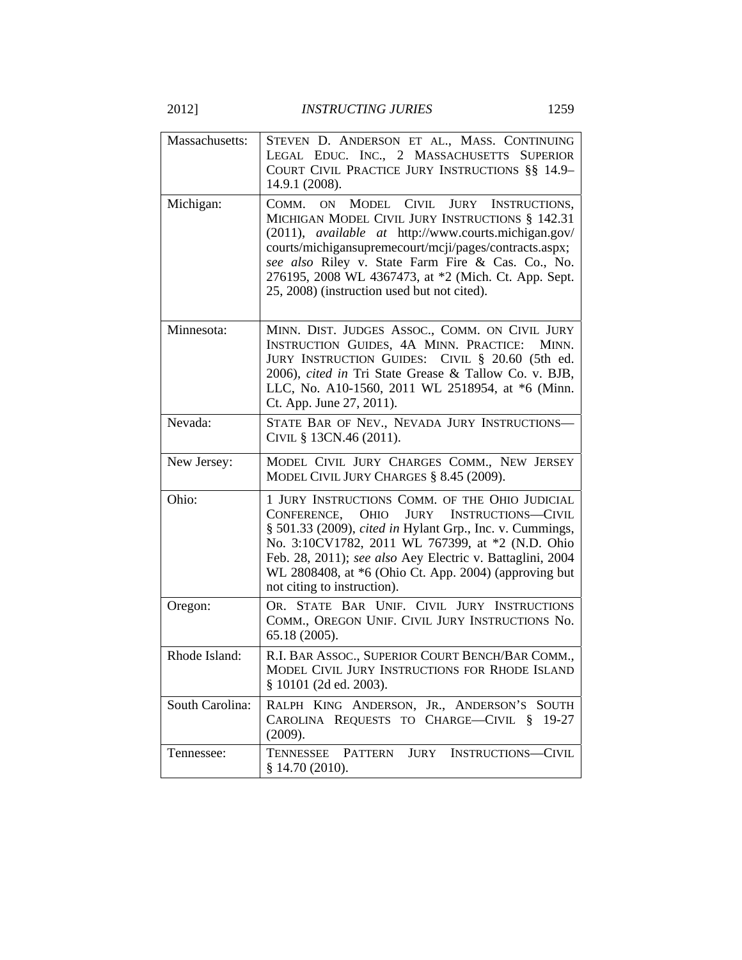2012] *INSTRUCTING JURIES* 1259

| Massachusetts:  | STEVEN D. ANDERSON ET AL., MASS. CONTINUING<br>LEGAL EDUC. INC., 2 MASSACHUSETTS SUPERIOR<br>COURT CIVIL PRACTICE JURY INSTRUCTIONS §§ 14.9-<br>14.9.1 (2008).                                                                                                                                                                                                                                                      |
|-----------------|---------------------------------------------------------------------------------------------------------------------------------------------------------------------------------------------------------------------------------------------------------------------------------------------------------------------------------------------------------------------------------------------------------------------|
| Michigan:       | <b>MODEL</b><br><b>CIVIL</b><br><b>JURY</b><br>COMM.<br>INSTRUCTIONS,<br>ON<br>MICHIGAN MODEL CIVIL JURY INSTRUCTIONS § 142.31<br>(2011), <i>available at http://www.courts.michigan.gov/</i><br>courts/michigansupremecourt/mcji/pages/contracts.aspx;<br>see also Riley v. State Farm Fire & Cas. Co., No.<br>276195, 2008 WL 4367473, at *2 (Mich. Ct. App. Sept.<br>25, 2008) (instruction used but not cited). |
| Minnesota:      | MINN. DIST. JUDGES ASSOC., COMM. ON CIVIL JURY<br>INSTRUCTION GUIDES, 4A MINN. PRACTICE:<br>MINN.<br>JURY INSTRUCTION GUIDES: CIVIL § 20.60 (5th ed.<br>2006), cited in Tri State Grease & Tallow Co. v. BJB,<br>LLC, No. A10-1560, 2011 WL 2518954, at *6 (Minn.<br>Ct. App. June 27, 2011).                                                                                                                       |
| Nevada:         | STATE BAR OF NEV., NEVADA JURY INSTRUCTIONS-<br>CIVIL § 13CN.46 (2011).                                                                                                                                                                                                                                                                                                                                             |
|                 |                                                                                                                                                                                                                                                                                                                                                                                                                     |
| New Jersey:     | MODEL CIVIL JURY CHARGES COMM., NEW JERSEY<br>MODEL CIVIL JURY CHARGES § 8.45 (2009).                                                                                                                                                                                                                                                                                                                               |
| Ohio:           | 1 JURY INSTRUCTIONS COMM. OF THE OHIO JUDICIAL<br>CONFERENCE,<br><b>OHIO</b><br>JURY<br><b>INSTRUCTIONS-CIVIL</b><br>§ 501.33 (2009), cited in Hylant Grp., Inc. v. Cummings,<br>No. 3:10CV1782, 2011 WL 767399, at *2 (N.D. Ohio<br>Feb. 28, 2011); see also Aey Electric v. Battaglini, 2004<br>WL 2808408, at *6 (Ohio Ct. App. 2004) (approving but<br>not citing to instruction).                              |
| Oregon:         | OR. STATE BAR UNIF. CIVIL JURY INSTRUCTIONS<br>COMM., OREGON UNIF. CIVIL JURY INSTRUCTIONS No.<br>65.18 (2005).                                                                                                                                                                                                                                                                                                     |
| Rhode Island:   | R.I. BAR ASSOC., SUPERIOR COURT BENCH/BAR COMM.,<br>MODEL CIVIL JURY INSTRUCTIONS FOR RHODE ISLAND<br>§ 10101 (2d ed. 2003).                                                                                                                                                                                                                                                                                        |
| South Carolina: | RALPH KING ANDERSON, JR., ANDERSON'S SOUTH<br>CAROLINA REQUESTS TO CHARGE-CIVIL § 19-27<br>(2009).                                                                                                                                                                                                                                                                                                                  |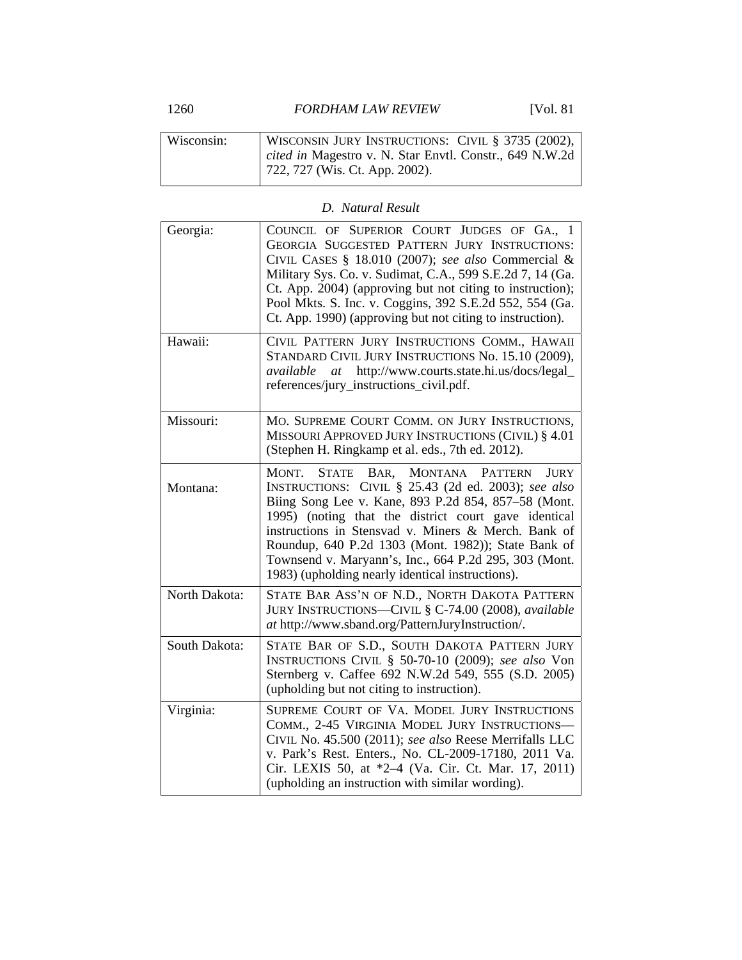1260 *FORDHAM LAW REVIEW* [Vol. 81

| Wisconsin: | WISCONSIN JURY INSTRUCTIONS: CIVIL § 3735 (2002),       |
|------------|---------------------------------------------------------|
|            | cited in Magestro v. N. Star Envtl. Constr., 649 N.W.2d |
|            | $722, 727$ (Wis. Ct. App. 2002).                        |

## *D. Natural Result*

| Georgia:      | COUNCIL OF SUPERIOR COURT JUDGES OF GA., 1<br>GEORGIA SUGGESTED PATTERN JURY INSTRUCTIONS:<br>CIVIL CASES § 18.010 (2007); see also Commercial &<br>Military Sys. Co. v. Sudimat, C.A., 599 S.E.2d 7, 14 (Ga.<br>Ct. App. 2004) (approving but not citing to instruction);<br>Pool Mkts. S. Inc. v. Coggins, 392 S.E.2d 552, 554 (Ga.<br>Ct. App. 1990) (approving but not citing to instruction).                                                                         |
|---------------|----------------------------------------------------------------------------------------------------------------------------------------------------------------------------------------------------------------------------------------------------------------------------------------------------------------------------------------------------------------------------------------------------------------------------------------------------------------------------|
| Hawaii:       | CIVIL PATTERN JURY INSTRUCTIONS COMM., HAWAII<br>STANDARD CIVIL JURY INSTRUCTIONS No. 15.10 (2009),<br>available at http://www.courts.state.hi.us/docs/legal_<br>references/jury_instructions_civil.pdf.                                                                                                                                                                                                                                                                   |
| Missouri:     | MO. SUPREME COURT COMM. ON JURY INSTRUCTIONS,<br>MISSOURI APPROVED JURY INSTRUCTIONS (CIVIL) § 4.01<br>(Stephen H. Ringkamp et al. eds., 7th ed. 2012).                                                                                                                                                                                                                                                                                                                    |
| Montana:      | <b>STATE</b><br>BAR,<br><b>MONTANA</b><br><b>PATTERN</b><br>MONT.<br>JURY<br>INSTRUCTIONS: CIVIL § 25.43 (2d ed. 2003); see also<br>Biing Song Lee v. Kane, 893 P.2d 854, 857–58 (Mont.<br>1995) (noting that the district court gave identical<br>instructions in Stensvad v. Miners & Merch. Bank of<br>Roundup, 640 P.2d 1303 (Mont. 1982)); State Bank of<br>Townsend v. Maryann's, Inc., 664 P.2d 295, 303 (Mont.<br>1983) (upholding nearly identical instructions). |
| North Dakota: | STATE BAR ASS'N OF N.D., NORTH DAKOTA PATTERN<br>JURY INSTRUCTIONS-CIVIL § C-74.00 (2008), available<br>at http://www.sband.org/PatternJuryInstruction/.                                                                                                                                                                                                                                                                                                                   |
| South Dakota: | STATE BAR OF S.D., SOUTH DAKOTA PATTERN JURY<br>INSTRUCTIONS CIVIL § 50-70-10 (2009); see also Von<br>Sternberg v. Caffee 692 N.W.2d 549, 555 (S.D. 2005)<br>(upholding but not citing to instruction).                                                                                                                                                                                                                                                                    |
| Virginia:     | SUPREME COURT OF VA. MODEL JURY INSTRUCTIONS<br>COMM., 2-45 VIRGINIA MODEL JURY INSTRUCTIONS-<br>CIVIL No. 45.500 (2011); see also Reese Merrifalls LLC<br>v. Park's Rest. Enters., No. CL-2009-17180, 2011 Va.<br>Cir. LEXIS 50, at *2-4 (Va. Cir. Ct. Mar. 17, 2011)<br>(upholding an instruction with similar wording).                                                                                                                                                 |